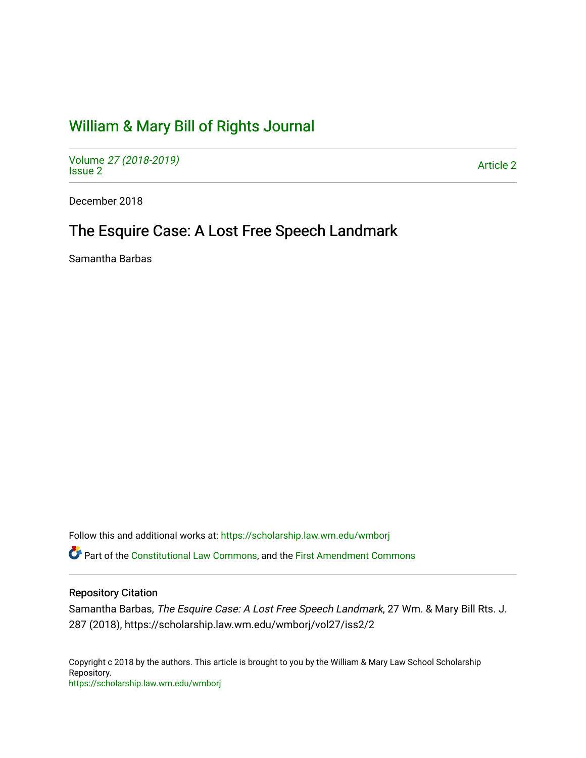# [William & Mary Bill of Rights Journal](https://scholarship.law.wm.edu/wmborj)

Volume [27 \(2018-2019\)](https://scholarship.law.wm.edu/wmborj/vol27)  volume 27 (2010-2019)<br>[Issue 2](https://scholarship.law.wm.edu/wmborj/vol27/iss2) Article 2

December 2018

## The Esquire Case: A Lost Free Speech Landmark

Samantha Barbas

Follow this and additional works at: [https://scholarship.law.wm.edu/wmborj](https://scholarship.law.wm.edu/wmborj?utm_source=scholarship.law.wm.edu%2Fwmborj%2Fvol27%2Fiss2%2F2&utm_medium=PDF&utm_campaign=PDFCoverPages) 

Part of the [Constitutional Law Commons,](http://network.bepress.com/hgg/discipline/589?utm_source=scholarship.law.wm.edu%2Fwmborj%2Fvol27%2Fiss2%2F2&utm_medium=PDF&utm_campaign=PDFCoverPages) and the [First Amendment Commons](http://network.bepress.com/hgg/discipline/1115?utm_source=scholarship.law.wm.edu%2Fwmborj%2Fvol27%2Fiss2%2F2&utm_medium=PDF&utm_campaign=PDFCoverPages)

## Repository Citation

Samantha Barbas, The Esquire Case: A Lost Free Speech Landmark, 27 Wm. & Mary Bill Rts. J. 287 (2018), https://scholarship.law.wm.edu/wmborj/vol27/iss2/2

Copyright c 2018 by the authors. This article is brought to you by the William & Mary Law School Scholarship Repository. <https://scholarship.law.wm.edu/wmborj>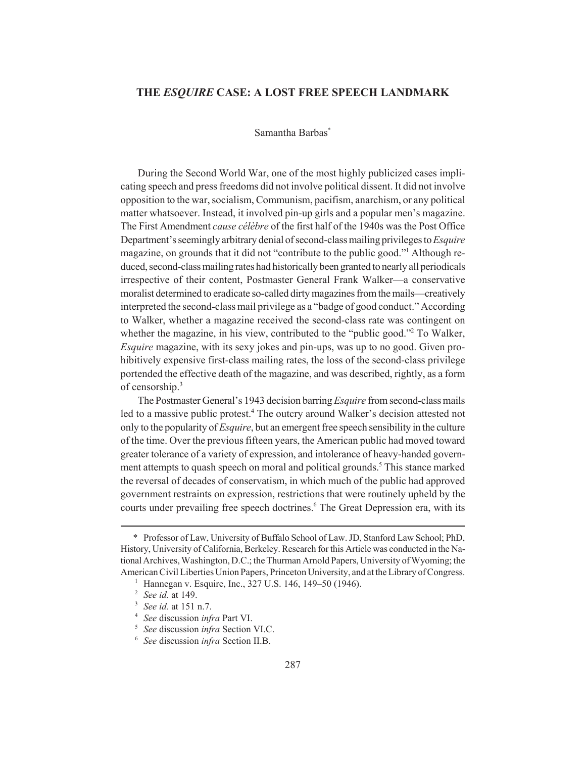## **THE** *ESQUIRE* **CASE: A LOST FREE SPEECH LANDMARK**

#### Samantha Barbas\*

During the Second World War, one of the most highly publicized cases implicating speech and press freedoms did not involve political dissent. It did not involve opposition to the war, socialism, Communism, pacifism, anarchism, or any political matter whatsoever. Instead, it involved pin-up girls and a popular men's magazine. The First Amendment *cause célèbre* of the first half of the 1940s was the Post Office Department's seemingly arbitrary denial of second-class mailing privileges to *Esquire* magazine, on grounds that it did not "contribute to the public good."<sup>1</sup> Although reduced, second-class mailing rates had historically been granted to nearly all periodicals irrespective of their content, Postmaster General Frank Walker—a conservative moralist determined to eradicate so-called dirty magazines from the mails—creatively interpreted the second-class mail privilege as a "badge of good conduct." According to Walker, whether a magazine received the second-class rate was contingent on whether the magazine, in his view, contributed to the "public good."<sup>2</sup> To Walker, *Esquire* magazine, with its sexy jokes and pin-ups, was up to no good. Given prohibitively expensive first-class mailing rates, the loss of the second-class privilege portended the effective death of the magazine, and was described, rightly, as a form of censorship.<sup>3</sup>

The Postmaster General's 1943 decision barring *Esquire* from second-class mails led to a massive public protest.<sup>4</sup> The outcry around Walker's decision attested not only to the popularity of *Esquire*, but an emergent free speech sensibility in the culture of the time. Over the previous fifteen years, the American public had moved toward greater tolerance of a variety of expression, and intolerance of heavy-handed government attempts to quash speech on moral and political grounds.<sup>5</sup> This stance marked the reversal of decades of conservatism, in which much of the public had approved government restraints on expression, restrictions that were routinely upheld by the courts under prevailing free speech doctrines.<sup>6</sup> The Great Depression era, with its

<sup>\*</sup> Professor of Law, University of Buffalo School of Law. JD, Stanford Law School; PhD, History, University of California, Berkeley. Research for this Article was conducted in the National Archives, Washington, D.C.; the Thurman Arnold Papers, University of Wyoming; the American Civil Liberties Union Papers, Princeton University, and at the Library of Congress.

<sup>&</sup>lt;sup>1</sup> Hannegan v. Esquire, Inc., 327 U.S. 146, 149–50 (1946).

<sup>2</sup> *See id.* at 149.

<sup>3</sup> *See id.* at 151 n.7.

<sup>4</sup> *See* discussion *infra* Part VI.

<sup>5</sup> *See* discussion *infra* Section VI.C.

<sup>6</sup> *See* discussion *infra* Section II.B.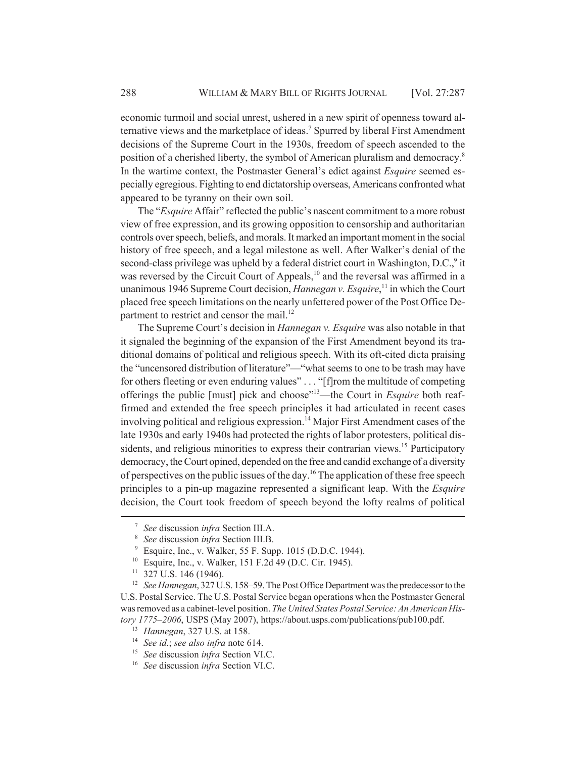economic turmoil and social unrest, ushered in a new spirit of openness toward alternative views and the marketplace of ideas.<sup>7</sup> Spurred by liberal First Amendment decisions of the Supreme Court in the 1930s, freedom of speech ascended to the position of a cherished liberty, the symbol of American pluralism and democracy.8 In the wartime context, the Postmaster General's edict against *Esquire* seemed especially egregious. Fighting to end dictatorship overseas, Americans confronted what appeared to be tyranny on their own soil.

The "*Esquire* Affair" reflected the public's nascent commitment to a more robust view of free expression, and its growing opposition to censorship and authoritarian controls over speech, beliefs, and morals. It marked an important moment in the social history of free speech, and a legal milestone as well. After Walker's denial of the second-class privilege was upheld by a federal district court in Washington, D.C., $9$  it was reversed by the Circuit Court of Appeals,<sup>10</sup> and the reversal was affirmed in a unanimous 1946 Supreme Court decision, *Hannegan v. Esquire*, 11 in which the Court placed free speech limitations on the nearly unfettered power of the Post Office Department to restrict and censor the mail.<sup>12</sup>

The Supreme Court's decision in *Hannegan v. Esquire* was also notable in that it signaled the beginning of the expansion of the First Amendment beyond its traditional domains of political and religious speech. With its oft-cited dicta praising the "uncensored distribution of literature"—"what seems to one to be trash may have for others fleeting or even enduring values" . . . "[f]rom the multitude of competing offerings the public [must] pick and choose"13—the Court in *Esquire* both reaffirmed and extended the free speech principles it had articulated in recent cases involving political and religious expression.<sup>14</sup> Major First Amendment cases of the late 1930s and early 1940s had protected the rights of labor protesters, political dissidents, and religious minorities to express their contrarian views.<sup>15</sup> Participatory democracy, the Court opined, depended on the free and candid exchange of a diversity of perspectives on the public issues of the day.<sup>16</sup> The application of these free speech principles to a pin-up magazine represented a significant leap. With the *Esquire* decision, the Court took freedom of speech beyond the lofty realms of political

<sup>7</sup> *See* discussion *infra* Section III.A.

<sup>8</sup> *See* discussion *infra* Section III.B.

 $9$  Esquire, Inc., v. Walker, 55 F. Supp. 1015 (D.D.C. 1944).

<sup>10</sup> Esquire, Inc., v. Walker, 151 F.2d 49 (D.C. Cir. 1945).

 $11$  327 U.S. 146 (1946).

<sup>&</sup>lt;sup>12</sup> *See Hannegan*, 327 U.S. 158–59. The Post Office Department was the predecessor to the U.S. Postal Service. The U.S. Postal Service began operations when the Postmaster General was removed as a cabinet-level position. *The United States Postal Service: An American History 1775–2006*, USPS (May 2007), https://about.usps.com/publications/pub100.pdf.

<sup>13</sup> *Hannegan*, 327 U.S. at 158.

<sup>14</sup> *See id.*; *see also infra* note 614.

<sup>15</sup> *See* discussion *infra* Section VI.C.

<sup>16</sup> *See* discussion *infra* Section VI.C.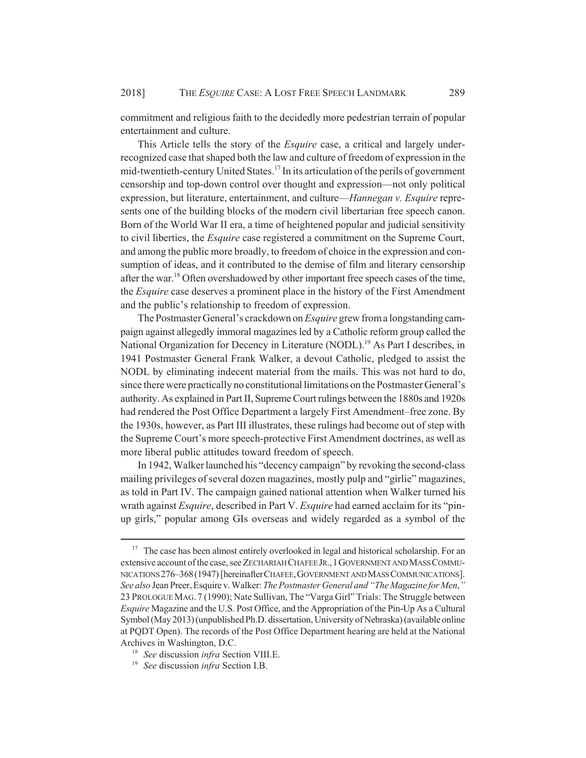commitment and religious faith to the decidedly more pedestrian terrain of popular entertainment and culture.

This Article tells the story of the *Esquire* case, a critical and largely underrecognized case that shaped both the law and culture of freedom of expression in the mid-twentieth-century United States.<sup>17</sup> In its articulation of the perils of government censorship and top-down control over thought and expression—not only political expression, but literature, entertainment, and culture—*Hannegan v. Esquire* represents one of the building blocks of the modern civil libertarian free speech canon. Born of the World War II era, a time of heightened popular and judicial sensitivity to civil liberties, the *Esquire* case registered a commitment on the Supreme Court, and among the public more broadly, to freedom of choice in the expression and consumption of ideas, and it contributed to the demise of film and literary censorship after the war.18 Often overshadowed by other important free speech cases of the time, the *Esquire* case deserves a prominent place in the history of the First Amendment and the public's relationship to freedom of expression.

The Postmaster General's crackdown on *Esquire* grew from a longstanding campaign against allegedly immoral magazines led by a Catholic reform group called the National Organization for Decency in Literature (NODL).<sup>19</sup> As Part I describes, in 1941 Postmaster General Frank Walker, a devout Catholic, pledged to assist the NODL by eliminating indecent material from the mails. This was not hard to do, since there were practically no constitutional limitations on the Postmaster General's authority. As explained in Part II, Supreme Court rulings between the 1880s and 1920s had rendered the Post Office Department a largely First Amendment–free zone. By the 1930s, however, as Part III illustrates, these rulings had become out of step with the Supreme Court's more speech-protective First Amendment doctrines, as well as more liberal public attitudes toward freedom of speech.

In 1942, Walker launched his "decency campaign" by revoking the second-class mailing privileges of several dozen magazines, mostly pulp and "girlie" magazines, as told in Part IV. The campaign gained national attention when Walker turned his wrath against *Esquire*, described in Part V. *Esquire* had earned acclaim for its "pinup girls," popular among GIs overseas and widely regarded as a symbol of the

<sup>&</sup>lt;sup>17</sup> The case has been almost entirely overlooked in legal and historical scholarship. For an extensive account of the case, see ZECHARIAH CHAFEE JR.,1GOVERNMENT AND MASS COMMU-NICATIONS 276–368(1947) [hereinafterCHAFEE,GOVERNMENT AND MASS COMMUNICATIONS]. *See also* Jean Preer, Esquire v. Walker: *The Postmaster General and "The Magazine for Men*,*"* 23 PROLOGUE MAG. 7 (1990); Nate Sullivan, The "Varga Girl" Trials: The Struggle between *Esquire* Magazine and the U.S. Post Office, and the Appropriation of the Pin-Up As a Cultural Symbol (May 2013) (unpublished Ph.D. dissertation, University of Nebraska) (available online at PQDT Open). The records of the Post Office Department hearing are held at the National Archives in Washington, D.C.

<sup>18</sup> *See* discussion *infra* Section VIII.E.

<sup>19</sup> *See* discussion *infra* Section I.B.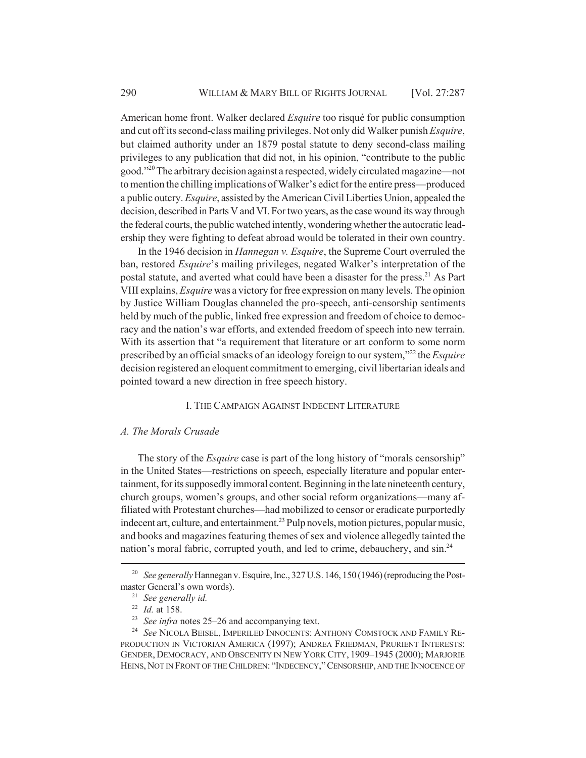American home front. Walker declared *Esquire* too risqué for public consumption and cut off its second-class mailing privileges. Not only did Walker punish *Esquire*, but claimed authority under an 1879 postal statute to deny second-class mailing privileges to any publication that did not, in his opinion, "contribute to the public good."20 The arbitrary decision against a respected, widely circulated magazine—not to mention the chilling implications of Walker's edict for the entire press—produced a public outcry. *Esquire*, assisted by the American Civil Liberties Union, appealed the decision, described in Parts V and VI. For two years, as the case wound its way through the federal courts, the public watched intently, wondering whether the autocratic leadership they were fighting to defeat abroad would be tolerated in their own country.

In the 1946 decision in *Hannegan v. Esquire*, the Supreme Court overruled the ban, restored *Esquire*'s mailing privileges, negated Walker's interpretation of the postal statute, and averted what could have been a disaster for the press.<sup>21</sup> As Part VIII explains, *Esquire* was a victory for free expression on many levels. The opinion by Justice William Douglas channeled the pro-speech, anti-censorship sentiments held by much of the public, linked free expression and freedom of choice to democracy and the nation's war efforts, and extended freedom of speech into new terrain. With its assertion that "a requirement that literature or art conform to some norm prescribed by an official smacks of an ideology foreign to our system,"22 the *Esquire* decision registered an eloquent commitment to emerging, civil libertarian ideals and pointed toward a new direction in free speech history.

## I. THE CAMPAIGN AGAINST INDECENT LITERATURE

#### *A. The Morals Crusade*

The story of the *Esquire* case is part of the long history of "morals censorship" in the United States—restrictions on speech, especially literature and popular entertainment, for its supposedly immoral content. Beginning in the late nineteenth century, church groups, women's groups, and other social reform organizations—many affiliated with Protestant churches—had mobilized to censor or eradicate purportedly indecent art, culture, and entertainment.<sup>23</sup> Pulp novels, motion pictures, popular music, and books and magazines featuring themes of sex and violence allegedly tainted the nation's moral fabric, corrupted youth, and led to crime, debauchery, and sin.<sup>24</sup>

<sup>&</sup>lt;sup>20</sup> *See generally* Hannegan v. Esquire, Inc., 327 U.S. 146, 150 (1946) (reproducing the Postmaster General's own words).

<sup>21</sup> *See generally id.*

<sup>22</sup> *Id.* at 158.

<sup>23</sup> *See infra* notes 25–26 and accompanying text.

<sup>24</sup> *See* NICOLA BEISEL, IMPERILED INNOCENTS: ANTHONY COMSTOCK AND FAMILY RE-PRODUCTION IN VICTORIAN AMERICA (1997); ANDREA FRIEDMAN, PRURIENT INTERESTS: GENDER, DEMOCRACY, AND OBSCENITY IN NEW YORK CITY, 1909–1945 (2000); MARJORIE HEINS, NOT IN FRONT OF THE CHILDREN: "INDECENCY,"CENSORSHIP, AND THE INNOCENCE OF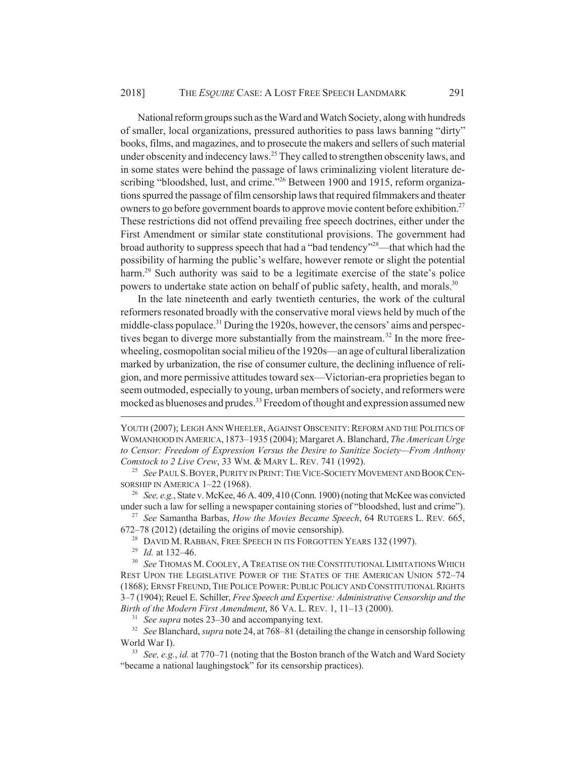National reform groups such as the Ward and Watch Society, along with hundreds of smaller, local organizations, pressured authorities to pass laws banning "dirty" books, films, and magazines, and to prosecute the makers and sellers of such material under obscenity and indecency laws.<sup>25</sup> They called to strengthen obscenity laws, and in some states were behind the passage of laws criminalizing violent literature describing "bloodshed, lust, and crime."<sup>26</sup> Between 1900 and 1915, reform organizations spurred the passage of film censorship laws that required filmmakers and theater owners to go before government boards to approve movie content before exhibition.<sup>27</sup> These restrictions did not offend prevailing free speech doctrines, either under the First Amendment or similar state constitutional provisions. The government had broad authority to suppress speech that had a "bad tendency"28—that which had the possibility of harming the public's welfare, however remote or slight the potential harm.<sup>29</sup> Such authority was said to be a legitimate exercise of the state's police powers to undertake state action on behalf of public safety, health, and morals.<sup>30</sup>

In the late nineteenth and early twentieth centuries, the work of the cultural reformers resonated broadly with the conservative moral views held by much of the middle-class populace.<sup>31</sup> During the 1920s, however, the censors' aims and perspectives began to diverge more substantially from the mainstream.<sup>32</sup> In the more freewheeling, cosmopolitan social milieu of the 1920s—an age of cultural liberalization marked by urbanization, the rise of consumer culture, the declining influence of religion, and more permissive attitudes toward sex—Victorian-era proprieties began to seem outmoded, especially to young, urban members of society, and reformers were mocked as bluenoses and prudes.<sup>33</sup> Freedom of thought and expression assumed new

YOUTH (2007); LEIGH ANN WHEELER, AGAINST OBSCENITY: REFORM AND THE POLITICS OF WOMANHOOD IN AMERICA, 1873–1935 (2004); Margaret A. Blanchard, *The American Urge to Censor: Freedom of Expression Versus the Desire to Sanitize Society—From Anthony Comstock to 2 Live Crew*, 33 WM. & MARY L. REV. 741 (1992).

<sup>31</sup> *See supra* notes 23–30 and accompanying text.

<sup>32</sup> *See* Blanchard, *supra* note 24, at 768–81 (detailing the change in censorship following World War I).

<sup>33</sup> *See, e.g.*, *id.* at 770–71 (noting that the Boston branch of the Watch and Ward Society "became a national laughingstock" for its censorship practices).

<sup>&</sup>lt;sup>25</sup> See PAUL S. BOYER, PURITY IN PRINT: THE VICE-SOCIETY MOVEMENT AND BOOK CEN-SORSHIP IN AMERICA 1-22 (1968).

<sup>26</sup> *See, e.g.*, State v. McKee, 46 A. 409, 410 (Conn. 1900) (noting that McKee was convicted under such a law for selling a newspaper containing stories of "bloodshed, lust and crime").

<sup>27</sup> *See* Samantha Barbas, *How the Movies Became Speech*, 64 RUTGERS L. REV*.* 665, 672–78 (2012) (detailing the origins of movie censorship).

<sup>&</sup>lt;sup>28</sup> DAVID M. RABBAN, FREE SPEECH IN ITS FORGOTTEN YEARS 132 (1997).

<sup>29</sup> *Id.* at 132–46.

<sup>&</sup>lt;sup>30</sup> See THOMAS M. COOLEY, A TREATISE ON THE CONSTITUTIONAL LIMITATIONS WHICH REST UPON THE LEGISLATIVE POWER OF THE STATES OF THE AMERICAN UNION 572–74 (1868); ERNST FREUND, THE POLICE POWER: PUBLIC POLICY AND CONSTITUTIONAL RIGHTS 3–7 (1904); Reuel E. Schiller, *Free Speech and Expertise: Administrative Censorship and the Birth of the Modern First Amendment*, 86 VA. L. REV. 1, 11–13 (2000).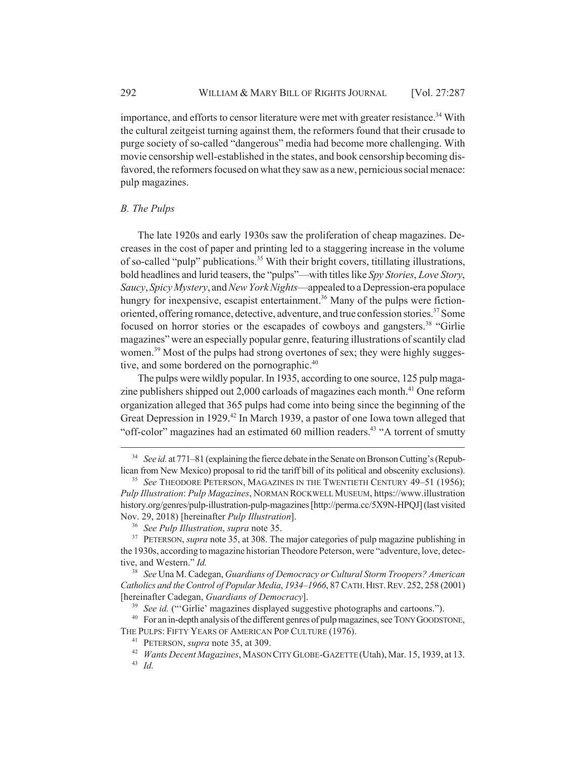importance, and efforts to censor literature were met with greater resistance.<sup>34</sup> With the cultural zeitgeist turning against them, the reformers found that their crusade to purge society of so-called "dangerous" media had become more challenging. With movie censorship well-established in the states, and book censorship becoming disfavored, the reformers focused on what they saw as a new, pernicious social menace: pulp magazines.

#### *B. The Pulps*

The late 1920s and early 1930s saw the proliferation of cheap magazines. Decreases in the cost of paper and printing led to a staggering increase in the volume of so-called "pulp" publications.<sup>35</sup> With their bright covers, titillating illustrations, bold headlines and lurid teasers, the "pulps"—with titles like *Spy Stories*, *Love Story*, *Saucy*, *Spicy Mystery*, and *New York Nights*—appealed to a Depression-era populace hungry for inexpensive, escapist entertainment.<sup>36</sup> Many of the pulps were fictionoriented, offering romance, detective, adventure, and true confession stories.37 Some focused on horror stories or the escapades of cowboys and gangsters.<sup>38</sup> "Girlie" magazines" were an especially popular genre, featuring illustrations of scantily clad women.<sup>39</sup> Most of the pulps had strong overtones of sex; they were highly suggestive, and some bordered on the pornographic.<sup>40</sup>

The pulps were wildly popular. In 1935, according to one source, 125 pulp magazine publishers shipped out  $2,000$  carloads of magazines each month.<sup>41</sup> One reform organization alleged that 365 pulps had come into being since the beginning of the Great Depression in 1929.<sup>42</sup> In March 1939, a pastor of one Iowa town alleged that "off-color" magazines had an estimated 60 million readers.<sup>43</sup> "A torrent of smutty"

<sup>&</sup>lt;sup>34</sup> *See id.* at 771–81 (explaining the fierce debate in the Senate on Bronson Cutting's (Republican from New Mexico) proposal to rid the tariff bill of its political and obscenity exclusions).

<sup>&</sup>lt;sup>35</sup> *See* THEODORE PETERSON, MAGAZINES IN THE TWENTIETH CENTURY 49–51 (1956); *Pulp Illustration*: *Pulp Magazines*, NORMAN ROCKWELL MUSEUM, https://www.illustration history.org/genres/pulp-illustration-pulp-magazines [http://perma.cc/5X9N-HPQJ] (last visited Nov. 29, 2018) [hereinafter *Pulp Illustration*].

<sup>36</sup> *See Pulp Illustration*, *supra* note 35.

<sup>&</sup>lt;sup>37</sup> PETERSON, *supra* note 35, at 308. The major categories of pulp magazine publishing in the 1930s, according to magazine historian Theodore Peterson, were "adventure, love, detective, and Western." *Id.*

<sup>38</sup> *See* Una M. Cadegan, *Guardians of Democracy or Cultural Storm Troopers? American Catholics and the Control of Popular Media*, *1934–1966*, 87 CATH.HIST.REV. 252, 258 (2001) [hereinafter Cadegan, *Guardians of Democracy*].

<sup>&</sup>lt;sup>39</sup> *See id.* ("Girlie' magazines displayed suggestive photographs and cartoons.").

<sup>&</sup>lt;sup>40</sup> For an in-depth analysis of the different genres of pulp magazines, see TONY GOODSTONE, THE PULPS: FIFTY YEARS OF AMERICAN POP CULTURE (1976).

<sup>41</sup> PETERSON, *supra* note 35, at 309.

<sup>42</sup> *Wants Decent Magazines*, MASON CITY GLOBE-GAZETTE (Utah), Mar. 15, 1939, at 13. <sup>43</sup> *Id.*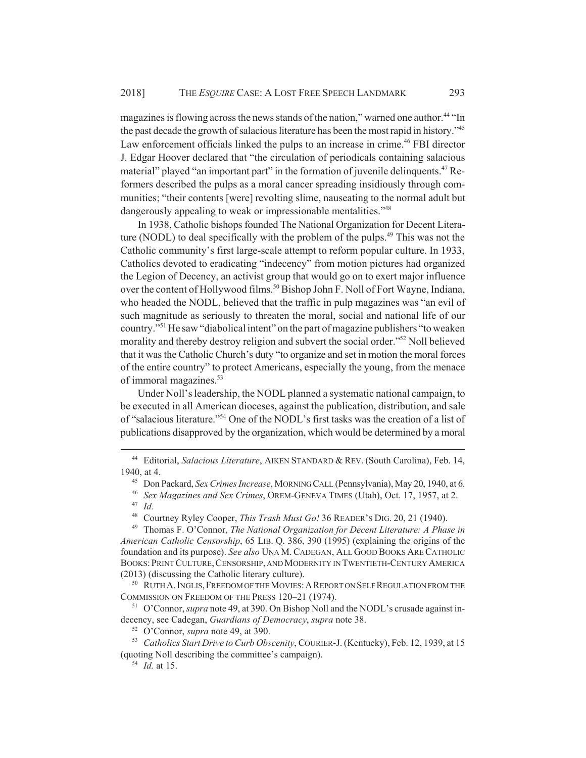magazines is flowing across the news stands of the nation," warned one author.<sup>44</sup> "In the past decade the growth of salacious literature has been the most rapid in history."45 Law enforcement officials linked the pulps to an increase in crime.<sup>46</sup> FBI director J. Edgar Hoover declared that "the circulation of periodicals containing salacious material" played "an important part" in the formation of juvenile delinquents.<sup>47</sup> Reformers described the pulps as a moral cancer spreading insidiously through communities; "their contents [were] revolting slime, nauseating to the normal adult but dangerously appealing to weak or impressionable mentalities."<sup>48</sup>

In 1938, Catholic bishops founded The National Organization for Decent Literature (NODL) to deal specifically with the problem of the pulps.<sup>49</sup> This was not the Catholic community's first large-scale attempt to reform popular culture. In 1933, Catholics devoted to eradicating "indecency" from motion pictures had organized the Legion of Decency, an activist group that would go on to exert major influence over the content of Hollywood films.<sup>50</sup> Bishop John F. Noll of Fort Wayne, Indiana, who headed the NODL, believed that the traffic in pulp magazines was "an evil of such magnitude as seriously to threaten the moral, social and national life of our country."51 He saw "diabolical intent" on the part of magazine publishers "to weaken morality and thereby destroy religion and subvert the social order."<sup>52</sup> Noll believed that it was the Catholic Church's duty "to organize and set in motion the moral forces of the entire country" to protect Americans, especially the young, from the menace of immoral magazines.<sup>53</sup>

Under Noll's leadership, the NODL planned a systematic national campaign, to be executed in all American dioceses, against the publication, distribution, and sale of "salacious literature."54 One of the NODL's first tasks was the creation of a list of publications disapproved by the organization, which would be determined by a moral

<sup>49</sup> Thomas F. O'Connor, *The National Organization for Decent Literature: A Phase in American Catholic Censorship*, 65 LIB. Q. 386, 390 (1995) (explaining the origins of the foundation and its purpose). *See also* UNA M.CADEGAN, ALL GOOD BOOKS ARE CATHOLIC BOOKS:PRINT CULTURE,CENSORSHIP, AND MODERNITY IN TWENTIETH-CENTURY AMERICA (2013) (discussing the Catholic literary culture).

<sup>50</sup> RUTH A. INGLIS, FREEDOM OF THE MOVIES: A REPORT ON SELF REGULATION FROM THE COMMISSION ON FREEDOM OF THE PRESS 120–21 (1974).

<sup>51</sup> O'Connor, *supra* note 49, at 390. On Bishop Noll and the NODL's crusade against indecency, see Cadegan, *Guardians of Democracy*, *supra* note 38.

<sup>44</sup> Editorial, *Salacious Literature*, AIKEN STANDARD & REV. (South Carolina), Feb. 14, 1940, at 4.

<sup>45</sup> Don Packard, *Sex Crimes Increase*, MORNING CALL (Pennsylvania), May 20, 1940, at 6.

<sup>46</sup> *Sex Magazines and Sex Crimes*, OREM-GENEVA TIMES (Utah), Oct. 17, 1957, at 2.

<sup>47</sup> *Id.*

<sup>48</sup> Courtney Ryley Cooper, *This Trash Must Go!* 36 READER'S DIG. 20, 21 (1940).

<sup>52</sup> O'Connor, *supra* note 49, at 390.

<sup>53</sup> *Catholics Start Drive to Curb Obscenity*, COURIER-J. (Kentucky), Feb. 12, 1939, at 15 (quoting Noll describing the committee's campaign).

<sup>54</sup> *Id.* at 15.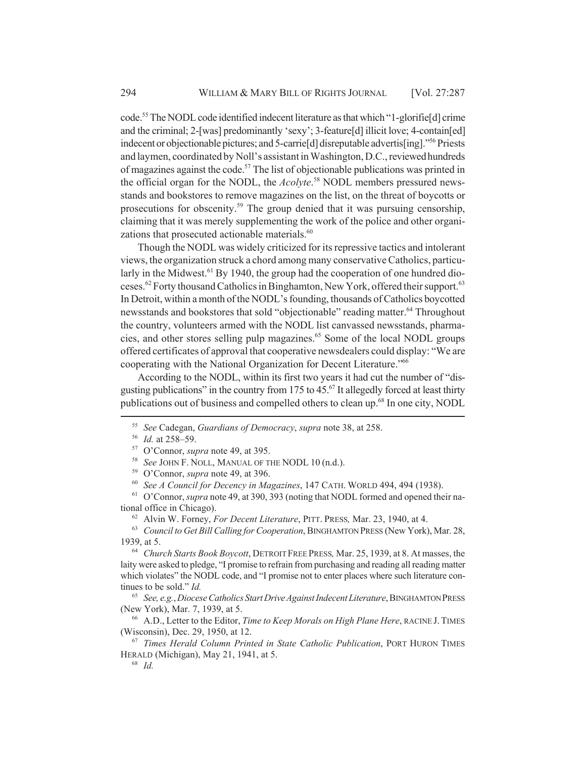code.55 The NODL code identified indecent literature as that which "1-glorifie[d] crime and the criminal; 2-[was] predominantly 'sexy'; 3-feature[d] illicit love; 4-contain[ed] indecent or objectionable pictures; and 5-carrie[d] disreputable advertis[ing]."56 Priests and laymen, coordinated by Noll's assistant in Washington, D.C., reviewed hundreds of magazines against the code.<sup>57</sup> The list of objectionable publications was printed in the official organ for the NODL, the *Acolyte*. 58 NODL members pressured newsstands and bookstores to remove magazines on the list, on the threat of boycotts or prosecutions for obscenity.59 The group denied that it was pursuing censorship, claiming that it was merely supplementing the work of the police and other organizations that prosecuted actionable materials.<sup>60</sup>

Though the NODL was widely criticized for its repressive tactics and intolerant views, the organization struck a chord among many conservative Catholics, particularly in the Midwest.<sup>61</sup> By 1940, the group had the cooperation of one hundred dioceses.62 Forty thousand Catholics in Binghamton, New York, offered their support.63 In Detroit, within a month of the NODL's founding, thousands of Catholics boycotted newsstands and bookstores that sold "objectionable" reading matter.<sup>64</sup> Throughout the country, volunteers armed with the NODL list canvassed newsstands, pharmacies, and other stores selling pulp magazines.<sup>65</sup> Some of the local NODL groups offered certificates of approval that cooperative newsdealers could display: "We are cooperating with the National Organization for Decent Literature."66

According to the NODL, within its first two years it had cut the number of "disgusting publications" in the country from 175 to  $45<sup>67</sup>$  It allegedly forced at least thirty publications out of business and compelled others to clean up.68 In one city, NODL

<sup>62</sup> Alvin W. Forney, *For Decent Literature*, PITT. PRESS*,* Mar. 23, 1940, at 4.

<sup>63</sup> *Council to Get Bill Calling for Cooperation*, BINGHAMTON PRESS (New York), Mar. 28, 1939, at 5.

<sup>68</sup> *Id.*

<sup>55</sup> *See* Cadegan, *Guardians of Democracy*, *supra* note 38, at 258.

<sup>56</sup> *Id.* at 258–59.

<sup>57</sup> O'Connor, *supra* note 49, at 395.

<sup>58</sup> *See* JOHN F. NOLL, MANUAL OF THE NODL 10 (n.d.).

<sup>59</sup> O'Connor, *supra* note 49, at 396.

<sup>60</sup> *See A Council for Decency in Magazines*, 147 CATH. WORLD 494, 494 (1938).

<sup>61</sup> O'Connor, *supra* note 49, at 390, 393 (noting that NODL formed and opened their national office in Chicago).

<sup>64</sup> *Church Starts Book Boycott*, DETROIT FREE PRESS*,* Mar. 25, 1939, at 8. At masses, the laity were asked to pledge, "I promise to refrain from purchasing and reading all reading matter which violates" the NODL code, and "I promise not to enter places where such literature continues to be sold." *Id.*

<sup>65</sup> *See, e.g.*, *DioceseCatholics Start Drive Against Indecent Literature*, BINGHAMTON PRESS (New York), Mar. 7, 1939, at 5.

<sup>66</sup> A.D., Letter to the Editor, *Time to Keep Morals on High Plane Here*, RACINE J. TIMES (Wisconsin), Dec. 29, 1950, at 12.

<sup>67</sup> *Times Herald Column Printed in State Catholic Publication*, PORT HURON TIMES HERALD (Michigan), May 21, 1941, at 5.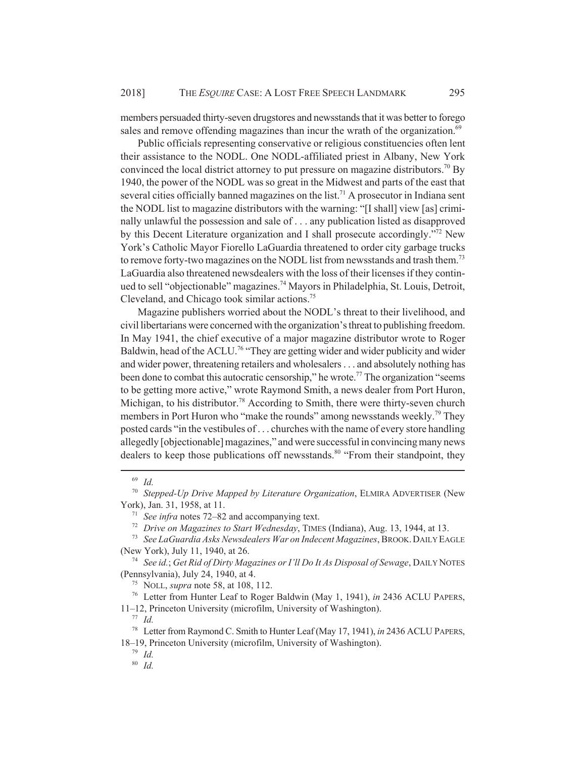members persuaded thirty-seven drugstores and newsstands that it was better to forego sales and remove offending magazines than incur the wrath of the organization.<sup>69</sup>

Public officials representing conservative or religious constituencies often lent their assistance to the NODL. One NODL-affiliated priest in Albany, New York convinced the local district attorney to put pressure on magazine distributors.<sup>70</sup> By 1940, the power of the NODL was so great in the Midwest and parts of the east that several cities officially banned magazines on the list.<sup>71</sup> A prosecutor in Indiana sent the NODL list to magazine distributors with the warning: "[I shall] view [as] criminally unlawful the possession and sale of . . . any publication listed as disapproved by this Decent Literature organization and I shall prosecute accordingly.<sup>772</sup> New York's Catholic Mayor Fiorello LaGuardia threatened to order city garbage trucks to remove forty-two magazines on the NODL list from newsstands and trash them.<sup>73</sup> LaGuardia also threatened newsdealers with the loss of their licenses if they continued to sell "objectionable" magazines.<sup>74</sup> Mayors in Philadelphia, St. Louis, Detroit, Cleveland, and Chicago took similar actions.75

Magazine publishers worried about the NODL's threat to their livelihood, and civil libertarians were concerned with the organization's threat to publishing freedom. In May 1941, the chief executive of a major magazine distributor wrote to Roger Baldwin, head of the ACLU.<sup>76</sup> "They are getting wider and wider publicity and wider and wider power, threatening retailers and wholesalers . . . and absolutely nothing has been done to combat this autocratic censorship," he wrote.<sup>77</sup> The organization "seems" to be getting more active," wrote Raymond Smith, a news dealer from Port Huron, Michigan, to his distributor.<sup>78</sup> According to Smith, there were thirty-seven church members in Port Huron who "make the rounds" among newsstands weekly.<sup>79</sup> They posted cards "in the vestibules of . . . churches with the name of every store handling allegedly [objectionable] magazines," and were successful in convincing many news dealers to keep those publications off newsstands.<sup>80</sup> "From their standpoint, they

<sup>69</sup> *Id.*

<sup>70</sup> *Stepped-Up Drive Mapped by Literature Organization*, ELMIRA ADVERTISER (New York), Jan. 31, 1958, at 11.

<sup>71</sup> *See infra* notes 72–82 and accompanying text.

<sup>72</sup> *Drive on Magazines to Start Wednesday*, TIMES (Indiana), Aug. 13, 1944, at 13.

<sup>73</sup> *See LaGuardia Asks Newsdealers War on Indecent Magazines*, BROOK.DAILY EAGLE (New York), July 11, 1940, at 26.

<sup>74</sup> *See id.*; *Get Rid of Dirty Magazines or I'll Do It As Disposal of Sewage*, DAILY NOTES (Pennsylvania), July 24, 1940, at 4.

<sup>75</sup> NOLL, *supra* note 58, at 108, 112.

<sup>76</sup> Letter from Hunter Leaf to Roger Baldwin (May 1, 1941), *in* 2436 ACLU PAPERS,

<sup>11–12,</sup> Princeton University (microfilm, University of Washington).

<sup>77</sup> *Id.*

<sup>78</sup> Letter from Raymond C. Smith to Hunter Leaf (May 17, 1941), *in* 2436 ACLU PAPERS, 18–19, Princeton University (microfilm, University of Washington).

<sup>79</sup> *Id.*

<sup>80</sup> *Id.*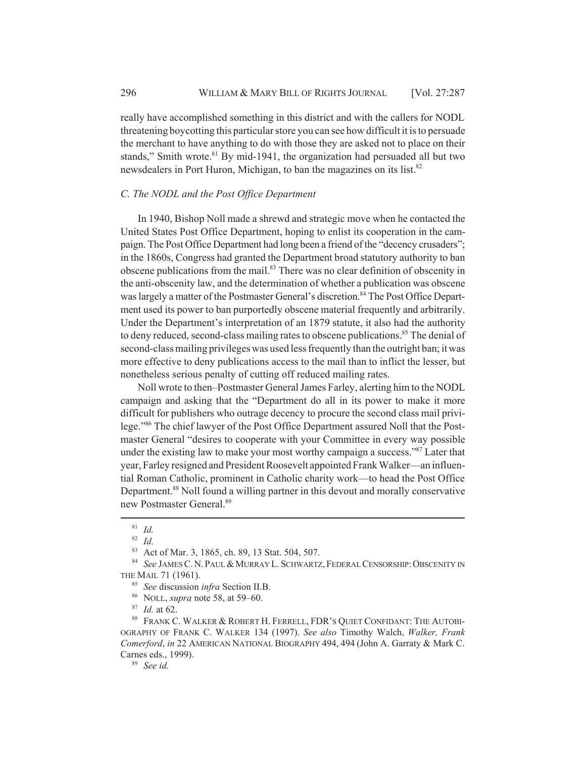really have accomplished something in this district and with the callers for NODL threatening boycotting this particular store you can see how difficult it is to persuade the merchant to have anything to do with those they are asked not to place on their stands," Smith wrote. $81$  By mid-1941, the organization had persuaded all but two newsdealers in Port Huron, Michigan, to ban the magazines on its list.<sup>82</sup>

#### *C. The NODL and the Post Office Department*

In 1940, Bishop Noll made a shrewd and strategic move when he contacted the United States Post Office Department, hoping to enlist its cooperation in the campaign. The Post Office Department had long been a friend of the "decency crusaders"; in the 1860s, Congress had granted the Department broad statutory authority to ban obscene publications from the mail.<sup>83</sup> There was no clear definition of obscenity in the anti-obscenity law, and the determination of whether a publication was obscene was largely a matter of the Postmaster General's discretion.<sup>84</sup> The Post Office Department used its power to ban purportedly obscene material frequently and arbitrarily. Under the Department's interpretation of an 1879 statute, it also had the authority to deny reduced, second-class mailing rates to obscene publications.<sup>85</sup> The denial of second-class mailing privileges was used less frequently than the outright ban; it was more effective to deny publications access to the mail than to inflict the lesser, but nonetheless serious penalty of cutting off reduced mailing rates.

Noll wrote to then–Postmaster General James Farley, alerting him to the NODL campaign and asking that the "Department do all in its power to make it more difficult for publishers who outrage decency to procure the second class mail privilege."86 The chief lawyer of the Post Office Department assured Noll that the Postmaster General "desires to cooperate with your Committee in every way possible under the existing law to make your most worthy campaign a success."<sup>87</sup> Later that year, Farley resigned and President Roosevelt appointed Frank Walker—an influential Roman Catholic, prominent in Catholic charity work—to head the Post Office Department.<sup>88</sup> Noll found a willing partner in this devout and morally conservative new Postmaster General.89

<sup>89</sup> *See id.*

<sup>81</sup> *Id.*

<sup>82</sup> *Id.*

<sup>83</sup> Act of Mar. 3, 1865, ch. 89, 13 Stat. 504, 507.

<sup>84</sup> See JAMES C. N. PAUL & MURRAY L. SCHWARTZ, FEDERAL CENSORSHIP: OBSCENITY IN THE MAIL 71 (1961).

<sup>85</sup> *See* discussion *infra* Section II.B.

<sup>86</sup> NOLL, *supra* note 58, at 59–60.

<sup>87</sup> *Id.* at 62.

<sup>88</sup> FRANK C. WALKER & ROBERT H. FERRELL, FDR'S QUIET CONFIDANT: THE AUTOBI-OGRAPHY OF FRANK C. WALKER 134 (1997). *See also* Timothy Walch, *Walker, Frank Comerford*, *in* 22 AMERICAN NATIONAL BIOGRAPHY 494, 494 (John A. Garraty & Mark C. Carnes eds., 1999).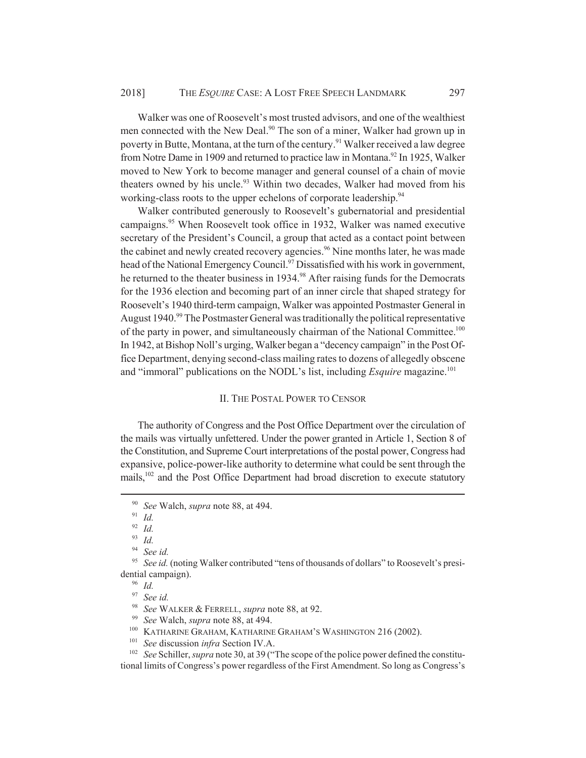Walker was one of Roosevelt's most trusted advisors, and one of the wealthiest men connected with the New Deal.<sup>90</sup> The son of a miner, Walker had grown up in poverty in Butte, Montana, at the turn of the century.<sup>91</sup> Walker received a law degree from Notre Dame in 1909 and returned to practice law in Montana.<sup>92</sup> In 1925, Walker moved to New York to become manager and general counsel of a chain of movie theaters owned by his uncle.<sup>93</sup> Within two decades, Walker had moved from his working-class roots to the upper echelons of corporate leadership.<sup>94</sup>

Walker contributed generously to Roosevelt's gubernatorial and presidential campaigns.<sup>95</sup> When Roosevelt took office in 1932, Walker was named executive secretary of the President's Council, a group that acted as a contact point between the cabinet and newly created recovery agencies.<sup>96</sup> Nine months later, he was made head of the National Emergency Council.97 Dissatisfied with his work in government, he returned to the theater business in 1934.<sup>98</sup> After raising funds for the Democrats for the 1936 election and becoming part of an inner circle that shaped strategy for Roosevelt's 1940 third-term campaign, Walker was appointed Postmaster General in August 1940.<sup>99</sup> The Postmaster General was traditionally the political representative of the party in power, and simultaneously chairman of the National Committee.<sup>100</sup> In 1942, at Bishop Noll's urging, Walker began a "decency campaign" in the Post Office Department, denying second-class mailing rates to dozens of allegedly obscene and "immoral" publications on the NODL's list, including *Esquire* magazine.<sup>101</sup>

#### II. THE POSTAL POWER TO CENSOR

The authority of Congress and the Post Office Department over the circulation of the mails was virtually unfettered. Under the power granted in Article 1, Section 8 of the Constitution, and Supreme Court interpretations of the postal power, Congress had expansive, police-power-like authority to determine what could be sent through the mails,<sup>102</sup> and the Post Office Department had broad discretion to execute statutory

<sup>95</sup> See id. (noting Walker contributed "tens of thousands of dollars" to Roosevelt's presidential campaign).

- <sup>100</sup> KATHARINE GRAHAM, KATHARINE GRAHAM'S WASHINGTON 216 (2002).
- <sup>101</sup> *See* discussion *infra* Section IV.A.

<sup>102</sup> *See* Schiller, *supra* note 30, at 39 ("The scope of the police power defined the constitutional limits of Congress's power regardless of the First Amendment. So long as Congress's

<sup>90</sup> *See* Walch, *supra* note 88, at 494.

<sup>91</sup> *Id.*

<sup>92</sup> *Id.*

<sup>93</sup> *Id.*

<sup>94</sup> *See id.*

 $\frac{96}{97}$  *Id.* 

See id.

<sup>98</sup> *See* WALKER & FERRELL, *supra* note 88, at 92.

<sup>99</sup> *See* Walch, *supra* note 88, at 494.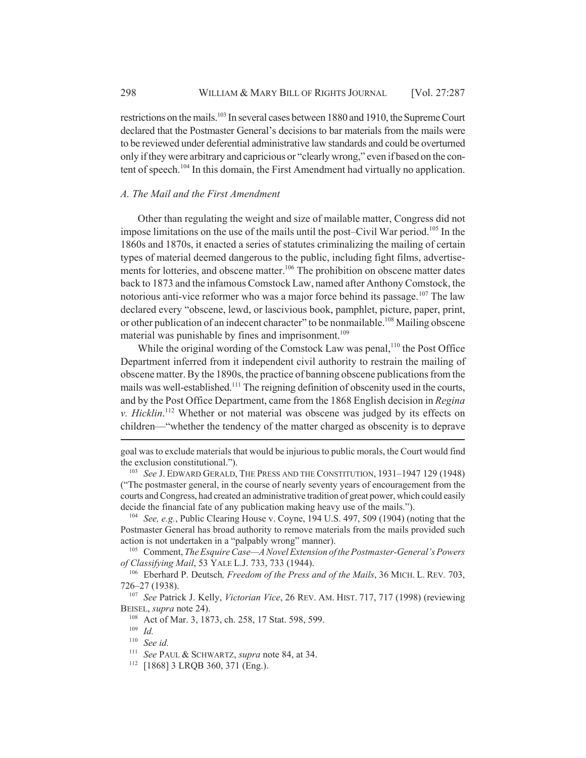restrictions on the mails.103 In several cases between 1880 and 1910, the Supreme Court declared that the Postmaster General's decisions to bar materials from the mails were to be reviewed under deferential administrative law standards and could be overturned only if they were arbitrary and capricious or "clearly wrong," even if based on the content of speech.<sup>104</sup> In this domain, the First Amendment had virtually no application.

## *A. The Mail and the First Amendment*

Other than regulating the weight and size of mailable matter, Congress did not impose limitations on the use of the mails until the post–Civil War period.<sup>105</sup> In the 1860s and 1870s, it enacted a series of statutes criminalizing the mailing of certain types of material deemed dangerous to the public, including fight films, advertisements for lotteries, and obscene matter.<sup>106</sup> The prohibition on obscene matter dates back to 1873 and the infamous Comstock Law, named after Anthony Comstock, the notorious anti-vice reformer who was a major force behind its passage.<sup>107</sup> The law declared every "obscene, lewd, or lascivious book, pamphlet, picture, paper, print, or other publication of an indecent character" to be nonmailable.<sup>108</sup> Mailing obscene material was punishable by fines and imprisonment.<sup>109</sup>

While the original wording of the Comstock Law was penal,<sup>110</sup> the Post Office Department inferred from it independent civil authority to restrain the mailing of obscene matter. By the 1890s, the practice of banning obscene publications from the mails was well-established.<sup>111</sup> The reigning definition of obscenity used in the courts, and by the Post Office Department, came from the 1868 English decision in *Regina v. Hicklin*. 112 Whether or not material was obscene was judged by its effects on children—"whether the tendency of the matter charged as obscenity is to deprave

<sup>104</sup> *See, e.g.*, Public Clearing House v. Coyne, 194 U.S. 497, 509 (1904) (noting that the Postmaster General has broad authority to remove materials from the mails provided such action is not undertaken in a "palpably wrong" manner).

<sup>105</sup> Comment, *The Esquire Case—A Novel Extension of the Postmaster-General's Powers of Classifying Mail*, 53 YALE L.J. 733, 733 (1944).

<sup>106</sup> Eberhard P. Deutsch*, Freedom of the Press and of the Mails*, 36 MICH. L. REV*.* 703, 726–27 (1938).

<sup>107</sup> *See* Patrick J. Kelly, *Victorian Vice*, 26 REV. AM. HIST. 717, 717 (1998) (reviewing BEISEL, *supra* note 24).

goal was to exclude materials that would be injurious to public morals, the Court would find the exclusion constitutional.").

<sup>103</sup> *See* J. EDWARD GERALD, THE PRESS AND THE CONSTITUTION, 1931–1947 129 (1948) ("The postmaster general, in the course of nearly seventy years of encouragement from the courts and Congress, had created an administrative tradition of great power, which could easily decide the financial fate of any publication making heavy use of the mails.").

<sup>108</sup> Act of Mar. 3, 1873, ch. 258, 17 Stat. 598, 599.

<sup>109</sup> *Id.*

<sup>110</sup> *See id.*

<sup>111</sup> *See* PAUL & SCHWARTZ, *supra* note 84, at 34.

<sup>112</sup> [1868] 3 LRQB 360, 371 (Eng.).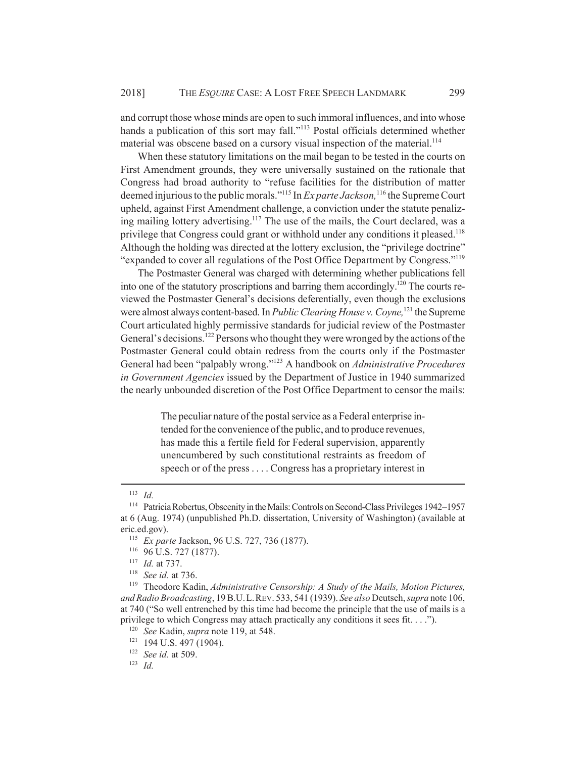and corrupt those whose minds are open to such immoral influences, and into whose hands a publication of this sort may fall."<sup>113</sup> Postal officials determined whether material was obscene based on a cursory visual inspection of the material.<sup>114</sup>

When these statutory limitations on the mail began to be tested in the courts on First Amendment grounds, they were universally sustained on the rationale that Congress had broad authority to "refuse facilities for the distribution of matter deemed injurious to the public morals."115 In *Ex parte Jackson,*116 the Supreme Court upheld, against First Amendment challenge, a conviction under the statute penalizing mailing lottery advertising.<sup>117</sup> The use of the mails, the Court declared, was a privilege that Congress could grant or withhold under any conditions it pleased.<sup>118</sup> Although the holding was directed at the lottery exclusion, the "privilege doctrine" "expanded to cover all regulations of the Post Office Department by Congress."119

The Postmaster General was charged with determining whether publications fell into one of the statutory proscriptions and barring them accordingly.<sup>120</sup> The courts reviewed the Postmaster General's decisions deferentially, even though the exclusions were almost always content-based. In *Public Clearing House v. Coyne*,<sup>121</sup> the Supreme Court articulated highly permissive standards for judicial review of the Postmaster General's decisions.<sup>122</sup> Persons who thought they were wronged by the actions of the Postmaster General could obtain redress from the courts only if the Postmaster General had been "palpably wrong."123 A handbook on *Administrative Procedures in Government Agencies* issued by the Department of Justice in 1940 summarized the nearly unbounded discretion of the Post Office Department to censor the mails:

> The peculiar nature of the postal service as a Federal enterprise intended for the convenience of the public, and to produce revenues, has made this a fertile field for Federal supervision, apparently unencumbered by such constitutional restraints as freedom of speech or of the press . . . . Congress has a proprietary interest in

<sup>123</sup> *Id.*

<sup>113</sup> *Id.*

<sup>114</sup> Patricia Robertus, Obscenity in the Mails: Controls on Second-Class Privileges 1942–1957 at 6 (Aug. 1974) (unpublished Ph.D. dissertation, University of Washington) (available at eric.ed.gov).

<sup>115</sup> *Ex parte* Jackson, 96 U.S. 727, 736 (1877).

 $^{116}$  96 U.S. 727 (1877).

*Id.* at 737.

<sup>118</sup> *See id.* at 736.

<sup>119</sup> Theodore Kadin, *Administrative Censorship: A Study of the Mails, Motion Pictures, and Radio Broadcasting*, 19 B.U.L.REV. 533, 541 (1939). *See also* Deutsch, *supra* note 106, at 740 ("So well entrenched by this time had become the principle that the use of mails is a privilege to which Congress may attach practically any conditions it sees fit. . . .").

<sup>120</sup> *See* Kadin, *supra* note 119, at 548.

<sup>&</sup>lt;sup>121</sup> 194 U.S. 497 (1904).

<sup>122</sup> *See id.* at 509.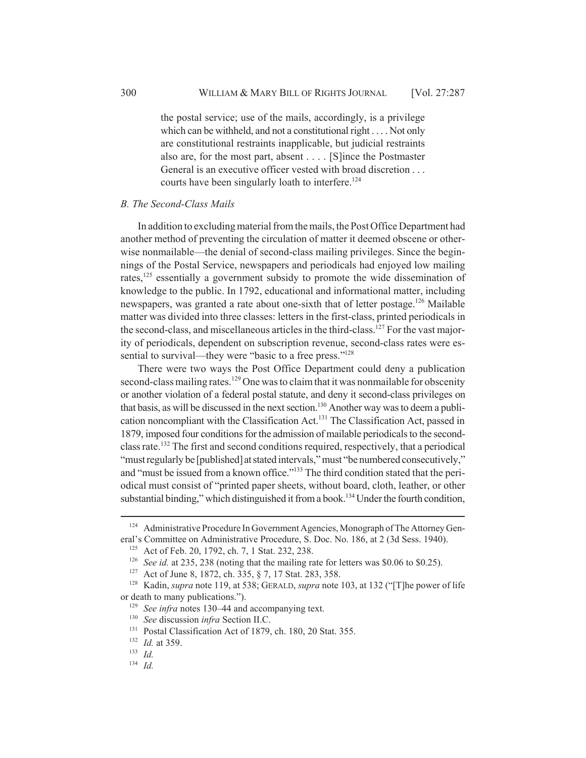the postal service; use of the mails, accordingly, is a privilege which can be withheld, and not a constitutional right . . . . Not only are constitutional restraints inapplicable, but judicial restraints also are, for the most part, absent . . . . [S]ince the Postmaster General is an executive officer vested with broad discretion . . . courts have been singularly loath to interfere.<sup>124</sup>

#### *B. The Second-Class Mails*

In addition to excluding material from the mails, the Post Office Department had another method of preventing the circulation of matter it deemed obscene or otherwise nonmailable—the denial of second-class mailing privileges. Since the beginnings of the Postal Service, newspapers and periodicals had enjoyed low mailing rates,<sup>125</sup> essentially a government subsidy to promote the wide dissemination of knowledge to the public. In 1792, educational and informational matter, including newspapers, was granted a rate about one-sixth that of letter postage.<sup>126</sup> Mailable matter was divided into three classes: letters in the first-class, printed periodicals in the second-class, and miscellaneous articles in the third-class.<sup>127</sup> For the vast majority of periodicals, dependent on subscription revenue, second-class rates were essential to survival—they were "basic to a free press."<sup>128</sup>

There were two ways the Post Office Department could deny a publication second-class mailing rates.<sup>129</sup> One was to claim that it was nonmailable for obscenity or another violation of a federal postal statute, and deny it second-class privileges on that basis, as will be discussed in the next section.<sup>130</sup> Another way was to deem a publication noncompliant with the Classification Act.<sup>131</sup> The Classification Act, passed in 1879, imposed four conditions for the admission of mailable periodicals to the secondclass rate.132 The first and second conditions required, respectively, that a periodical "must regularly be [published] at stated intervals," must "be numbered consecutively," and "must be issued from a known office."<sup>133</sup> The third condition stated that the periodical must consist of "printed paper sheets, without board, cloth, leather, or other substantial binding," which distinguished it from a book.<sup>134</sup> Under the fourth condition,

<sup>&</sup>lt;sup>124</sup> Administrative Procedure In Government Agencies, Monograph of The Attorney General's Committee on Administrative Procedure, S. Doc. No. 186, at 2 (3d Sess. 1940).

<sup>&</sup>lt;sup>125</sup> Act of Feb. 20, 1792, ch. 7, 1 Stat. 232, 238.

<sup>&</sup>lt;sup>126</sup> *See id.* at 235, 238 (noting that the mailing rate for letters was \$0.06 to \$0.25).

<sup>127</sup> Act of June 8, 1872, ch. 335, § 7, 17 Stat. 283, 358.

<sup>128</sup> Kadin, *supra* note 119, at 538; GERALD, *supra* note 103, at 132 ("[T]he power of life or death to many publications.").

<sup>129</sup> *See infra* notes 130–44 and accompanying text.

<sup>130</sup> *See* discussion *infra* Section II.C.

<sup>&</sup>lt;sup>131</sup> Postal Classification Act of 1879, ch. 180, 20 Stat. 355.

<sup>132</sup> *Id.* at 359.

<sup>133</sup> *Id.*

<sup>134</sup> *Id.*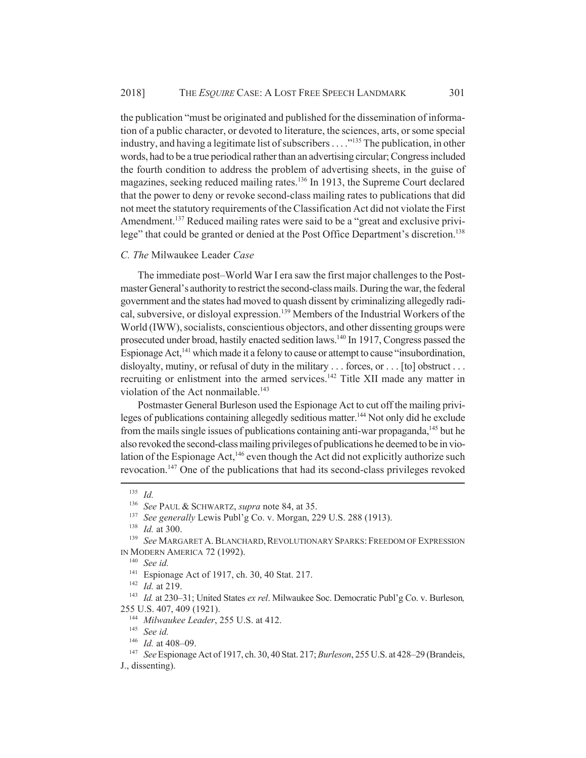the publication "must be originated and published for the dissemination of information of a public character, or devoted to literature, the sciences, arts, or some special industry, and having a legitimate list of subscribers . . . .<sup>"135</sup> The publication, in other words, had to be a true periodical rather than an advertising circular; Congress included the fourth condition to address the problem of advertising sheets, in the guise of magazines, seeking reduced mailing rates.<sup>136</sup> In 1913, the Supreme Court declared that the power to deny or revoke second-class mailing rates to publications that did not meet the statutory requirements of the Classification Act did not violate the First Amendment.<sup>137</sup> Reduced mailing rates were said to be a "great and exclusive privilege" that could be granted or denied at the Post Office Department's discretion.<sup>138</sup>

#### *C. The* Milwaukee Leader *Case*

The immediate post–World War I era saw the first major challenges to the Postmaster General's authority to restrict the second-class mails. During the war, the federal government and the states had moved to quash dissent by criminalizing allegedly radical, subversive, or disloyal expression.<sup>139</sup> Members of the Industrial Workers of the World (IWW), socialists, conscientious objectors, and other dissenting groups were prosecuted under broad, hastily enacted sedition laws.140 In 1917, Congress passed the Espionage Act, $^{141}$  which made it a felony to cause or attempt to cause "insubordination, disloyalty, mutiny, or refusal of duty in the military . . . forces, or . . . [to] obstruct . . . recruiting or enlistment into the armed services.<sup>142</sup> Title XII made any matter in violation of the Act nonmailable.<sup>143</sup>

Postmaster General Burleson used the Espionage Act to cut off the mailing privileges of publications containing allegedly seditious matter.<sup>144</sup> Not only did he exclude from the mails single issues of publications containing anti-war propaganda,<sup>145</sup> but he also revoked the second-class mailing privileges of publications he deemed to be in violation of the Espionage Act, $^{146}$  even though the Act did not explicitly authorize such revocation.147 One of the publications that had its second-class privileges revoked

<sup>135</sup> *Id.*

<sup>136</sup> *See* PAUL & SCHWARTZ, *supra* note 84, at 35.

See generally Lewis Publ'g Co. v. Morgan, 229 U.S. 288 (1913).

<sup>138</sup> *Id.* at 300.

<sup>&</sup>lt;sup>139</sup> See MARGARET A. BLANCHARD, REVOLUTIONARY SPARKS: FREEDOM OF EXPRESSION IN MODERN AMERICA 72 (1992).

<sup>140</sup> *See id.*

<sup>141</sup> Espionage Act of 1917, ch. 30, 40 Stat. 217.

<sup>142</sup> *Id.* at 219.

<sup>143</sup> *Id.* at 230–31; United States *ex rel*. Milwaukee Soc. Democratic Publ'g Co. v. Burleson*,* 255 U.S. 407, 409 (1921).

<sup>144</sup> *Milwaukee Leader*, 255 U.S. at 412.

<sup>145</sup> *See id.*

<sup>146</sup> *Id.* at 408–09.

<sup>147</sup> *See* Espionage Act of 1917, ch. 30, 40 Stat. 217; *Burleson*, 255 U.S. at 428–29 (Brandeis, J., dissenting).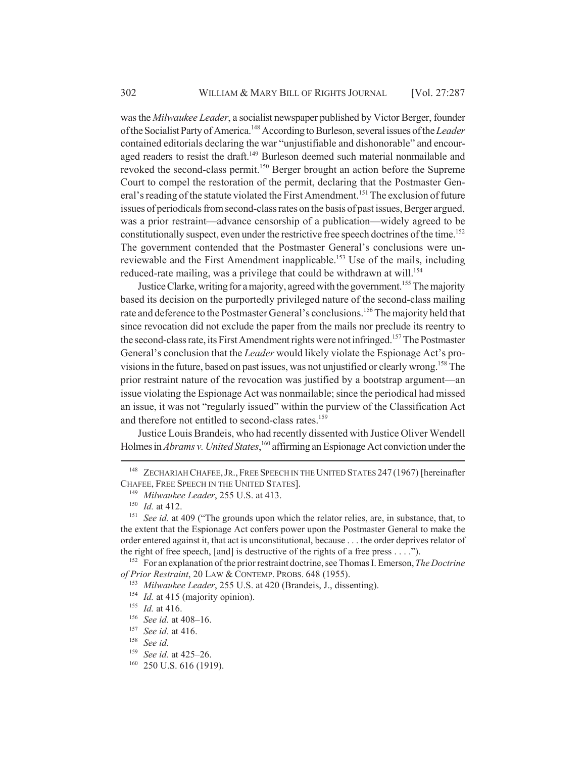was the *Milwaukee Leader*, a socialist newspaper published by Victor Berger, founder of the Socialist Party of America.148 According to Burleson, several issues of the *Leader* contained editorials declaring the war "unjustifiable and dishonorable" and encouraged readers to resist the draft.<sup>149</sup> Burleson deemed such material nonmailable and revoked the second-class permit.150 Berger brought an action before the Supreme Court to compel the restoration of the permit, declaring that the Postmaster General's reading of the statute violated the First Amendment.<sup>151</sup> The exclusion of future issues of periodicals from second-class rates on the basis of past issues, Berger argued, was a prior restraint—advance censorship of a publication—widely agreed to be constitutionally suspect, even under the restrictive free speech doctrines of the time.<sup>152</sup> The government contended that the Postmaster General's conclusions were unreviewable and the First Amendment inapplicable.<sup>153</sup> Use of the mails, including reduced-rate mailing, was a privilege that could be withdrawn at will.<sup>154</sup>

Justice Clarke, writing for a majority, agreed with the government.<sup>155</sup> The majority based its decision on the purportedly privileged nature of the second-class mailing rate and deference to the Postmaster General's conclusions.<sup>156</sup> The majority held that since revocation did not exclude the paper from the mails nor preclude its reentry to the second-class rate, its First Amendment rights were not infringed.<sup>157</sup> The Postmaster General's conclusion that the *Leader* would likely violate the Espionage Act's provisions in the future, based on past issues, was not unjustified or clearly wrong.158 The prior restraint nature of the revocation was justified by a bootstrap argument—an issue violating the Espionage Act was nonmailable; since the periodical had missed an issue, it was not "regularly issued" within the purview of the Classification Act and therefore not entitled to second-class rates.<sup>159</sup>

Justice Louis Brandeis, who had recently dissented with Justice Oliver Wendell Holmes in *Abrams v. United States*, 160 affirming an Espionage Act conviction under the

<sup>&</sup>lt;sup>148</sup> ZECHARIAH CHAFEE, JR., FREE SPEECH IN THE UNITED STATES 247 (1967) [hereinafter CHAFEE, FREE SPEECH IN THE UNITED STATES].

<sup>149</sup> *Milwaukee Leader*, 255 U.S. at 413.

<sup>150</sup> *Id.* at 412.

<sup>&</sup>lt;sup>151</sup> *See id.* at 409 ("The grounds upon which the relator relies, are, in substance, that, to the extent that the Espionage Act confers power upon the Postmaster General to make the order entered against it, that act is unconstitutional, because . . . the order deprives relator of the right of free speech, [and] is destructive of the rights of a free press . . . .").

<sup>152</sup> For an explanation of the prior restraint doctrine, see Thomas I. Emerson, *The Doctrine of Prior Restraint*, 20 LAW & CONTEMP. PROBS. 648 (1955).

<sup>153</sup> *Milwaukee Leader*, 255 U.S. at 420 (Brandeis, J., dissenting).

<sup>&</sup>lt;sup>154</sup> *Id.* at 415 (majority opinion).

<sup>155</sup> *Id.* at 416.

<sup>156</sup> *See id.* at 408–16.

<sup>157</sup> *See id.* at 416.

<sup>158</sup> *See id.*

<sup>159</sup> *See id.* at 425–26.

<sup>&</sup>lt;sup>160</sup> 250 U.S. 616 (1919).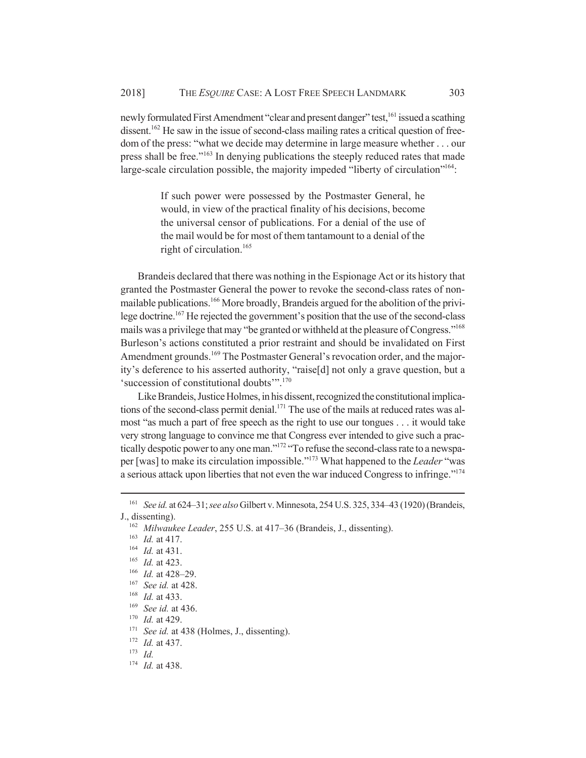newly formulated First Amendment "clear and present danger" test,<sup>161</sup> issued a scathing dissent.<sup>162</sup> He saw in the issue of second-class mailing rates a critical question of freedom of the press: "what we decide may determine in large measure whether . . . our press shall be free.<sup>"163</sup> In denying publications the steeply reduced rates that made large-scale circulation possible, the majority impeded "liberty of circulation"<sup>164</sup>:

> If such power were possessed by the Postmaster General, he would, in view of the practical finality of his decisions, become the universal censor of publications. For a denial of the use of the mail would be for most of them tantamount to a denial of the right of circulation.<sup>165</sup>

Brandeis declared that there was nothing in the Espionage Act or its history that granted the Postmaster General the power to revoke the second-class rates of nonmailable publications.166 More broadly, Brandeis argued for the abolition of the privilege doctrine.167 He rejected the government's position that the use of the second-class mails was a privilege that may "be granted or withheld at the pleasure of Congress."<sup>168</sup> Burleson's actions constituted a prior restraint and should be invalidated on First Amendment grounds.<sup>169</sup> The Postmaster General's revocation order, and the majority's deference to his asserted authority, "raise[d] not only a grave question, but a 'succession of constitutional doubts'".<sup>170</sup>

Like Brandeis, Justice Holmes, in his dissent, recognized the constitutional implications of the second-class permit denial.<sup>171</sup> The use of the mails at reduced rates was almost "as much a part of free speech as the right to use our tongues . . . it would take very strong language to convince me that Congress ever intended to give such a practically despotic power to any one man."172 "To refuse the second-class rate to a newspaper [was] to make its circulation impossible."173 What happened to the *Leader* "was a serious attack upon liberties that not even the war induced Congress to infringe."174

<sup>161</sup> *See id.* at 624–31; *see also* Gilbert v. Minnesota, 254 U.S. 325, 334–43 (1920) (Brandeis, J., dissenting).

<sup>162</sup> *Milwaukee Leader*, 255 U.S. at 417–36 (Brandeis, J., dissenting).

<sup>163</sup> *Id.* at 417.

<sup>164</sup> *Id.* at 431.

<sup>165</sup> *Id.* at 423.

<sup>166</sup> *Id.* at 428–29.

<sup>167</sup> *See id.* at 428.

<sup>168</sup> *Id.* at 433.

<sup>169</sup> *See id.* at 436.

<sup>170</sup> *Id.* at 429.

<sup>&</sup>lt;sup>171</sup> *See id.* at 438 (Holmes, J., dissenting).

<sup>172</sup> *Id.* at 437.

<sup>173</sup> *Id.*

<sup>174</sup> *Id.* at 438.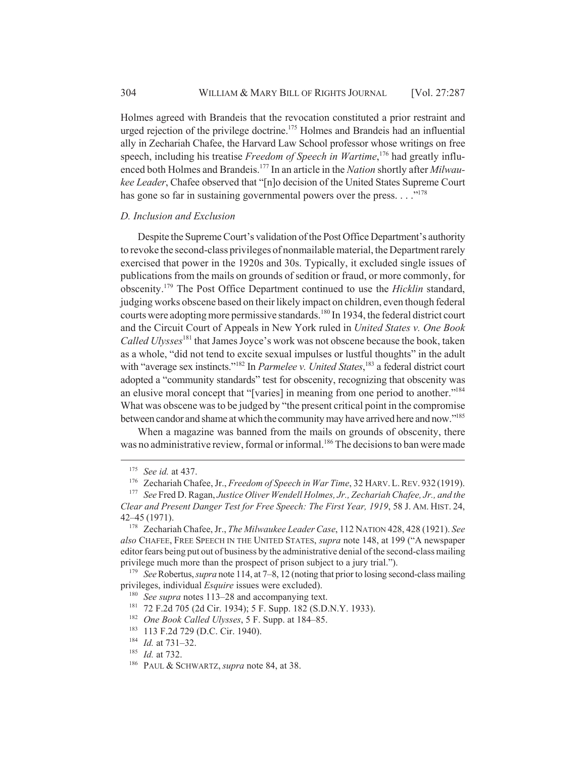Holmes agreed with Brandeis that the revocation constituted a prior restraint and urged rejection of the privilege doctrine.<sup>175</sup> Holmes and Brandeis had an influential ally in Zechariah Chafee, the Harvard Law School professor whose writings on free speech, including his treatise *Freedom of Speech in Wartime*, 176 had greatly influenced both Holmes and Brandeis.177 In an article in the *Nation* shortly after *Milwaukee Leader*, Chafee observed that "[n]o decision of the United States Supreme Court has gone so far in sustaining governmental powers over the press.  $\ldots$ <sup>178</sup>

## *D. Inclusion and Exclusion*

Despite the Supreme Court's validation of the Post Office Department's authority to revoke the second-class privileges of nonmailable material, the Department rarely exercised that power in the 1920s and 30s. Typically, it excluded single issues of publications from the mails on grounds of sedition or fraud, or more commonly, for obscenity.179 The Post Office Department continued to use the *Hicklin* standard, judging works obscene based on their likely impact on children, even though federal courts were adopting more permissive standards.<sup>180</sup> In 1934, the federal district court and the Circuit Court of Appeals in New York ruled in *United States v. One Book Called Ulysses*181 that James Joyce's work was not obscene because the book, taken as a whole, "did not tend to excite sexual impulses or lustful thoughts" in the adult with "average sex instincts."<sup>182</sup> In *Parmelee v. United States*,<sup>183</sup> a federal district court adopted a "community standards" test for obscenity, recognizing that obscenity was an elusive moral concept that "[varies] in meaning from one period to another."184 What was obscene was to be judged by "the present critical point in the compromise between candor and shame at which the community may have arrived here and now."185

When a magazine was banned from the mails on grounds of obscenity, there was no administrative review, formal or informal.<sup>186</sup> The decisions to ban were made

<sup>175</sup> *See id.* at 437.

<sup>176</sup> Zechariah Chafee, Jr., *Freedom of Speech in War Time*, 32 HARV.L.REV. 932 (1919).

<sup>177</sup> *See* Fred D. Ragan, *Justice Oliver Wendell Holmes, Jr., Zechariah Chafee, Jr., and the Clear and Present Danger Test for Free Speech: The First Year, 1919*, 58 J. AM. HIST. 24, 42–45 (1971).

<sup>178</sup> Zechariah Chafee, Jr., *The Milwaukee Leader Case*, 112 NATION 428, 428 (1921). *See also* CHAFEE, FREE SPEECH IN THE UNITED STATES, *supra* note 148, at 199 ("A newspaper editor fears being put out of business by the administrative denial of the second-class mailing privilege much more than the prospect of prison subject to a jury trial.").

<sup>179</sup> *See* Robertus, *supra* note 114, at 7–8, 12 (noting that prior to losing second-class mailing privileges, individual *Esquire* issues were excluded).

<sup>180</sup> *See supra* notes 113–28 and accompanying text.

<sup>181</sup> 72 F.2d 705 (2d Cir. 1934); 5 F. Supp. 182 (S.D.N.Y. 1933).

<sup>182</sup> *One Book Called Ulysses*, 5 F. Supp. at 184–85.

<sup>183</sup> 113 F.2d 729 (D.C. Cir. 1940).

<sup>184</sup> *Id.* at 731–32.

<sup>185</sup> *Id.* at 732.

<sup>186</sup> PAUL & SCHWARTZ, *supra* note 84, at 38.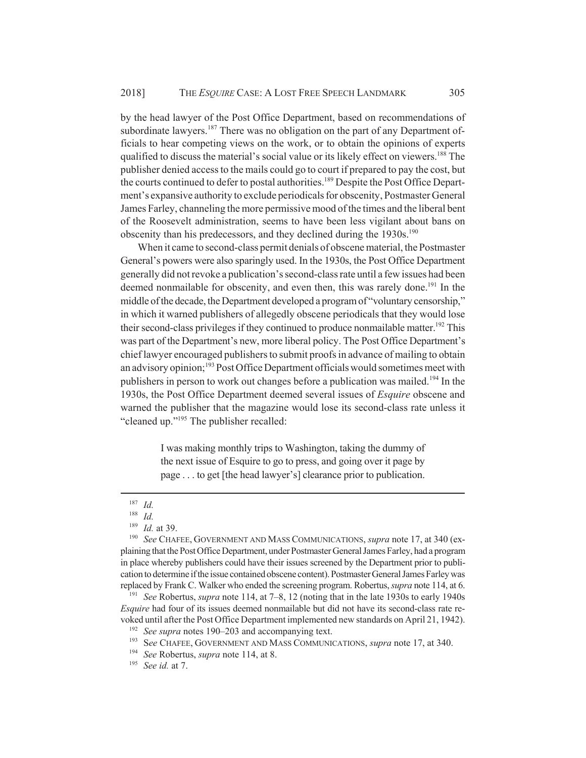by the head lawyer of the Post Office Department, based on recommendations of subordinate lawyers.<sup>187</sup> There was no obligation on the part of any Department officials to hear competing views on the work, or to obtain the opinions of experts qualified to discuss the material's social value or its likely effect on viewers.<sup>188</sup> The publisher denied access to the mails could go to court if prepared to pay the cost, but the courts continued to defer to postal authorities.<sup>189</sup> Despite the Post Office Department's expansive authority to exclude periodicals for obscenity, Postmaster General James Farley, channeling the more permissive mood of the times and the liberal bent of the Roosevelt administration, seems to have been less vigilant about bans on obscenity than his predecessors, and they declined during the 1930s.<sup>190</sup>

When it came to second-class permit denials of obscene material, the Postmaster General's powers were also sparingly used. In the 1930s, the Post Office Department generally did not revoke a publication's second-class rate until a few issues had been deemed nonmailable for obscenity, and even then, this was rarely done.<sup>191</sup> In the middle of the decade, the Department developed a program of "voluntary censorship," in which it warned publishers of allegedly obscene periodicals that they would lose their second-class privileges if they continued to produce nonmailable matter.192 This was part of the Department's new, more liberal policy. The Post Office Department's chief lawyer encouraged publishers to submit proofs in advance of mailing to obtain an advisory opinion;<sup>193</sup> Post Office Department officials would sometimes meet with publishers in person to work out changes before a publication was mailed.194 In the 1930s, the Post Office Department deemed several issues of *Esquire* obscene and warned the publisher that the magazine would lose its second-class rate unless it "cleaned up."195 The publisher recalled:

> I was making monthly trips to Washington, taking the dummy of the next issue of Esquire to go to press, and going over it page by page . . . to get [the head lawyer's] clearance prior to publication.

<sup>191</sup> *See* Robertus, *supra* note 114, at 7–8, 12 (noting that in the late 1930s to early 1940s *Esquire* had four of its issues deemed nonmailable but did not have its second-class rate revoked until after the Post Office Department implemented new standards on April 21, 1942).

<sup>193</sup> S*ee* CHAFEE, GOVERNMENT AND MASS COMMUNICATIONS, *supra* note 17, at 340.

 $\frac{187}{188}$  *Id.* 

<sup>188</sup> *Id.*

<sup>189</sup> *Id.* at 39.

<sup>190</sup> *See* CHAFEE, GOVERNMENT AND MASS COMMUNICATIONS, *supra* note 17, at 340 (explaining that the Post Office Department, under Postmaster General James Farley, had a program in place whereby publishers could have their issues screened by the Department prior to publication to determine if the issue contained obscene content). Postmaster General James Farley was replaced by Frank C. Walker who ended the screening program. Robertus, *supra* note 114, at 6.

<sup>192</sup> *See supra* notes 190–203 and accompanying text.

<sup>194</sup> *See* Robertus, *supra* note 114, at 8.

<sup>195</sup> *See id.* at 7.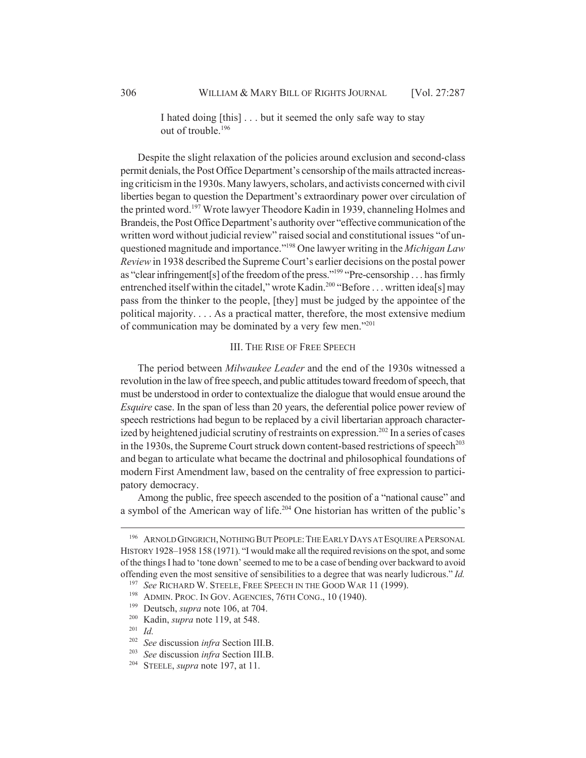I hated doing [this] . . . but it seemed the only safe way to stay out of trouble.196

Despite the slight relaxation of the policies around exclusion and second-class permit denials, the Post Office Department's censorship of the mails attracted increasing criticism in the 1930s. Many lawyers, scholars, and activists concerned with civil liberties began to question the Department's extraordinary power over circulation of the printed word.197 Wrote lawyer Theodore Kadin in 1939, channeling Holmes and Brandeis, the Post Office Department's authority over "effective communication of the written word without judicial review" raised social and constitutional issues "of unquestioned magnitude and importance."198 One lawyer writing in the *Michigan Law Review* in 1938 described the Supreme Court's earlier decisions on the postal power as "clear infringement[s] of the freedom of the press."<sup>199</sup> "Pre-censorship . . . has firmly entrenched itself within the citadel," wrote Kadin.<sup>200</sup> "Before . . . written idea[s] may pass from the thinker to the people, [they] must be judged by the appointee of the political majority. . . . As a practical matter, therefore, the most extensive medium of communication may be dominated by a very few men."201

### III. THE RISE OF FREE SPEECH

The period between *Milwaukee Leader* and the end of the 1930s witnessed a revolution in the law of free speech, and public attitudes toward freedom of speech, that must be understood in order to contextualize the dialogue that would ensue around the *Esquire* case. In the span of less than 20 years, the deferential police power review of speech restrictions had begun to be replaced by a civil libertarian approach characterized by heightened judicial scrutiny of restraints on expression.<sup>202</sup> In a series of cases in the 1930s, the Supreme Court struck down content-based restrictions of speech<sup>203</sup> and began to articulate what became the doctrinal and philosophical foundations of modern First Amendment law, based on the centrality of free expression to participatory democracy.

Among the public, free speech ascended to the position of a "national cause" and a symbol of the American way of life.204 One historian has written of the public's

<sup>&</sup>lt;sup>196</sup> ARNOLD GINGRICH, NOTHING BUT PEOPLE: THE EARLY DAYS AT ESQUIRE A PERSONAL HISTORY 1928–1958 158 (1971). "I would make all the required revisions on the spot, and some of the things I had to 'tone down' seemed to me to be a case of bending over backward to avoid offending even the most sensitive of sensibilities to a degree that was nearly ludicrous." *Id.*

<sup>197</sup> *See* RICHARD W. STEELE, FREE SPEECH IN THE GOOD WAR 11 (1999).

<sup>&</sup>lt;sup>198</sup> ADMIN. PROC. IN GOV. AGENCIES, 76TH CONG., 10 (1940).

<sup>199</sup> Deutsch, *supra* note 106, at 704.

<sup>200</sup> Kadin, *supra* note 119, at 548.

<sup>201</sup> *Id.*

<sup>202</sup> *See* discussion *infra* Section III.B.

<sup>203</sup> *See* discussion *infra* Section III.B.

<sup>204</sup> STEELE, *supra* note 197, at 11.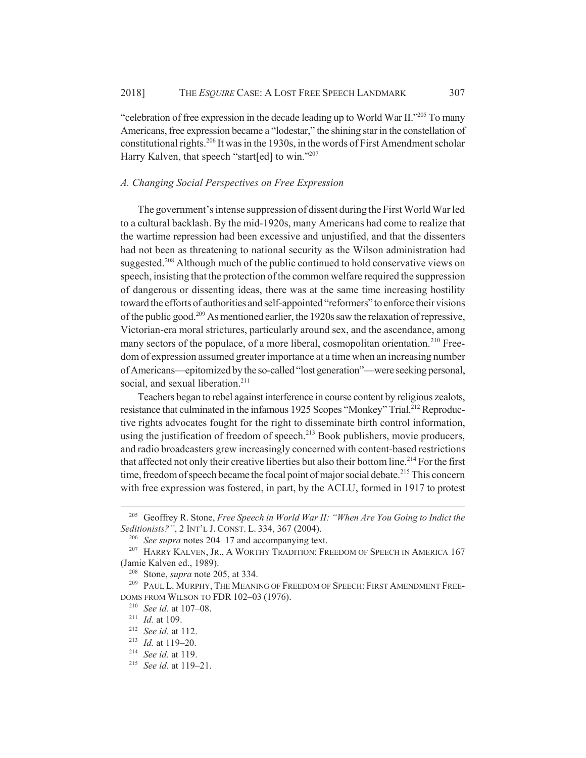"celebration of free expression in the decade leading up to World War II."205 To many Americans, free expression became a "lodestar," the shining star in the constellation of constitutional rights.206 It was in the 1930s, in the words of First Amendment scholar Harry Kalven, that speech "start[ed] to win."<sup>207</sup>

#### *A. Changing Social Perspectives on Free Expression*

The government's intense suppression of dissent during the First World War led to a cultural backlash. By the mid-1920s, many Americans had come to realize that the wartime repression had been excessive and unjustified, and that the dissenters had not been as threatening to national security as the Wilson administration had suggested.<sup>208</sup> Although much of the public continued to hold conservative views on speech, insisting that the protection of the common welfare required the suppression of dangerous or dissenting ideas, there was at the same time increasing hostility toward the efforts of authorities and self-appointed "reformers" to enforce their visions of the public good.209 As mentioned earlier, the 1920s saw the relaxation of repressive, Victorian-era moral strictures, particularly around sex, and the ascendance, among many sectors of the populace, of a more liberal, cosmopolitan orientation.<sup>210</sup> Freedom of expression assumed greater importance at a time when an increasing number of Americans—epitomized by the so-called "lost generation"—were seeking personal, social, and sexual liberation.<sup>211</sup>

Teachers began to rebel against interference in course content by religious zealots, resistance that culminated in the infamous 1925 Scopes "Monkey" Trial.<sup>212</sup> Reproductive rights advocates fought for the right to disseminate birth control information, using the justification of freedom of speech.<sup>213</sup> Book publishers, movie producers, and radio broadcasters grew increasingly concerned with content-based restrictions that affected not only their creative liberties but also their bottom line.<sup>214</sup> For the first time, freedom of speech became the focal point of major social debate.<sup>215</sup> This concern with free expression was fostered, in part, by the ACLU, formed in 1917 to protest

<sup>205</sup> Geoffrey R. Stone, *Free Speech in World War II: "When Are You Going to Indict the Seditionists?"*, 2 INT'L J. CONST. L. 334, 367 (2004).

<sup>206</sup> *See supra* notes 204–17 and accompanying text.

<sup>&</sup>lt;sup>207</sup> HARRY KALVEN, JR., A WORTHY TRADITION: FREEDOM OF SPEECH IN AMERICA 167 (Jamie Kalven ed., 1989).

<sup>208</sup> Stone, *supra* note 205, at 334.

<sup>&</sup>lt;sup>209</sup> PAUL L. MURPHY, THE MEANING OF FREEDOM OF SPEECH: FIRST AMENDMENT FREE-DOMS FROM WILSON TO FDR 102–03 (1976).

<sup>210</sup> *See id.* at 107–08.

<sup>211</sup> *Id.* at 109.

<sup>212</sup> *See id.* at 112.

<sup>213</sup> *Id.* at 119–20.

<sup>214</sup> *See id.* at 119.

<sup>215</sup> *See id.* at 119–21.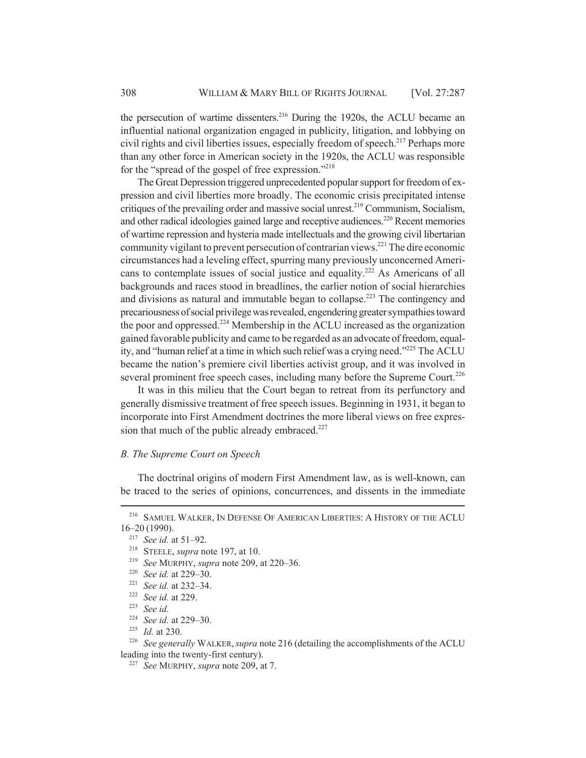the persecution of wartime dissenters.<sup>216</sup> During the 1920s, the ACLU became an influential national organization engaged in publicity, litigation, and lobbying on civil rights and civil liberties issues, especially freedom of speech.<sup>217</sup> Perhaps more than any other force in American society in the 1920s, the ACLU was responsible for the "spread of the gospel of free expression."218

The Great Depression triggered unprecedented popular support for freedom of expression and civil liberties more broadly. The economic crisis precipitated intense critiques of the prevailing order and massive social unrest.219 Communism, Socialism, and other radical ideologies gained large and receptive audiences.<sup>220</sup> Recent memories of wartime repression and hysteria made intellectuals and the growing civil libertarian community vigilant to prevent persecution of contrarian views.221 The dire economic circumstances had a leveling effect, spurring many previously unconcerned Americans to contemplate issues of social justice and equality.<sup>222</sup> As Americans of all backgrounds and races stood in breadlines, the earlier notion of social hierarchies and divisions as natural and immutable began to collapse.<sup>223</sup> The contingency and precariousness of social privilege was revealed, engendering greater sympathies toward the poor and oppressed.<sup>224</sup> Membership in the ACLU increased as the organization gained favorable publicity and came to be regarded as an advocate of freedom, equality, and "human relief at a time in which such relief was a crying need."225 The ACLU became the nation's premiere civil liberties activist group, and it was involved in several prominent free speech cases, including many before the Supreme Court.<sup>226</sup>

It was in this milieu that the Court began to retreat from its perfunctory and generally dismissive treatment of free speech issues. Beginning in 1931, it began to incorporate into First Amendment doctrines the more liberal views on free expression that much of the public already embraced. $227$ 

#### *B. The Supreme Court on Speech*

The doctrinal origins of modern First Amendment law, as is well-known, can be traced to the series of opinions, concurrences, and dissents in the immediate

<sup>223</sup> *See id.*

<sup>216</sup> SAMUEL WALKER, IN DEFENSE OF AMERICAN LIBERTIES: A HISTORY OF THE ACLU 16–20 (1990).

<sup>217</sup> *See id.* at 51–92.

<sup>218</sup> STEELE, *supra* note 197, at 10.

<sup>219</sup> *See* MURPHY, *supra* note 209, at 220–36.

<sup>220</sup> *See id.* at 229–30.

<sup>221</sup> *See id.* at 232–34.

<sup>222</sup> *See id.* at 229.

<sup>224</sup> *See id.* at 229–30.

<sup>225</sup> *Id.* at 230.

<sup>226</sup> *See generally* WALKER,*supra* note 216 (detailing the accomplishments of the ACLU leading into the twenty-first century).

<sup>227</sup> *See* MURPHY, *supra* note 209, at 7.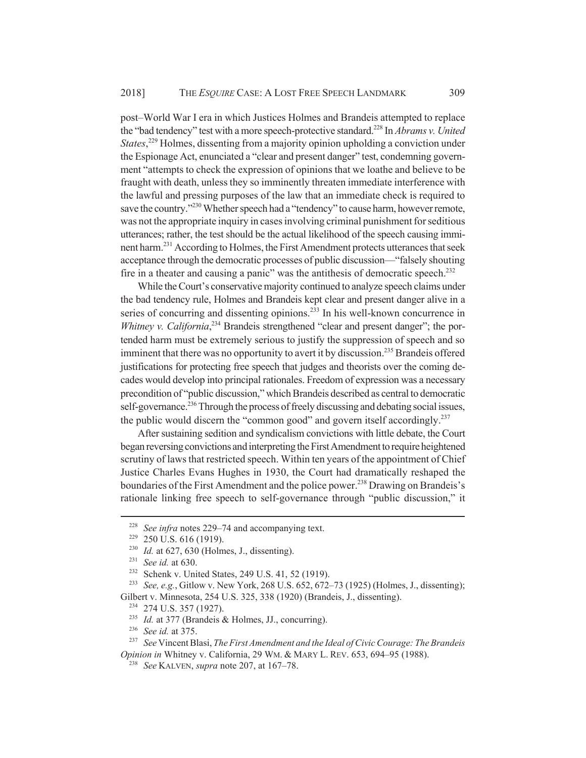post–World War I era in which Justices Holmes and Brandeis attempted to replace the "bad tendency" test with a more speech-protective standard.228 In *Abrams v. United States*, 229 Holmes, dissenting from a majority opinion upholding a conviction under the Espionage Act, enunciated a "clear and present danger" test, condemning government "attempts to check the expression of opinions that we loathe and believe to be fraught with death, unless they so imminently threaten immediate interference with the lawful and pressing purposes of the law that an immediate check is required to save the country."<sup>230</sup> Whether speech had a "tendency" to cause harm, however remote, was not the appropriate inquiry in cases involving criminal punishment for seditious utterances; rather, the test should be the actual likelihood of the speech causing imminent harm.231 According to Holmes, the First Amendment protects utterances that seek acceptance through the democratic processes of public discussion—"falsely shouting fire in a theater and causing a panic" was the antithesis of democratic speech.<sup>232</sup>

While the Court's conservative majority continued to analyze speech claims under the bad tendency rule, Holmes and Brandeis kept clear and present danger alive in a series of concurring and dissenting opinions.<sup>233</sup> In his well-known concurrence in *Whitney v. California*<sup>234</sup> Brandeis strengthened "clear and present danger"; the portended harm must be extremely serious to justify the suppression of speech and so imminent that there was no opportunity to avert it by discussion.<sup>235</sup> Brandeis offered justifications for protecting free speech that judges and theorists over the coming decades would develop into principal rationales. Freedom of expression was a necessary precondition of "public discussion," which Brandeis described as central to democratic self-governance.<sup>236</sup> Through the process of freely discussing and debating social issues, the public would discern the "common good" and govern itself accordingly.<sup>237</sup>

After sustaining sedition and syndicalism convictions with little debate, the Court began reversing convictions and interpreting the First Amendment to require heightened scrutiny of laws that restricted speech. Within ten years of the appointment of Chief Justice Charles Evans Hughes in 1930, the Court had dramatically reshaped the boundaries of the First Amendment and the police power.<sup>238</sup> Drawing on Brandeis's rationale linking free speech to self-governance through "public discussion," it

<sup>228</sup> *See infra* notes 229–74 and accompanying text.

<sup>229</sup> 250 U.S. 616 (1919).

<sup>230</sup> *Id.* at 627, 630 (Holmes, J., dissenting).

<sup>231</sup> *See id.* at 630.

<sup>232</sup> Schenk v. United States, 249 U.S. 41, 52 (1919).

<sup>233</sup> *See, e.g.*, Gitlow v. New York, 268 U.S. 652, 672–73 (1925) (Holmes, J., dissenting); Gilbert v. Minnesota, 254 U.S. 325, 338 (1920) (Brandeis, J., dissenting).

<sup>&</sup>lt;sup>234</sup> 274 U.S. 357 (1927).

<sup>235</sup> *Id.* at 377 (Brandeis & Holmes, JJ., concurring).

<sup>236</sup> *See id.* at 375.

<sup>237</sup> *See* Vincent Blasi, *The First Amendment and the Ideal of Civic Courage: The Brandeis Opinion in* Whitney v. California, 29 WM. & MARY L. REV. 653, 694–95 (1988).

<sup>238</sup> *See* KALVEN, *supra* note 207, at 167–78.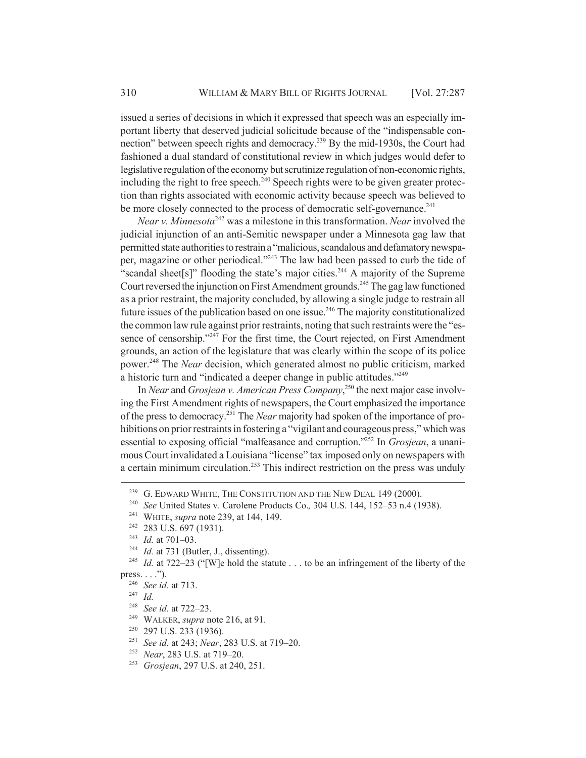issued a series of decisions in which it expressed that speech was an especially important liberty that deserved judicial solicitude because of the "indispensable connection" between speech rights and democracy.239 By the mid-1930s, the Court had fashioned a dual standard of constitutional review in which judges would defer to legislative regulation of the economy but scrutinize regulation of non-economic rights, including the right to free speech. $240$  Speech rights were to be given greater protection than rights associated with economic activity because speech was believed to be more closely connected to the process of democratic self-governance.<sup>241</sup>

*Near v. Minnesota*242 was a milestone in this transformation. *Near* involved the judicial injunction of an anti-Semitic newspaper under a Minnesota gag law that permitted state authorities to restrain a "malicious, scandalous and defamatory newspaper, magazine or other periodical."243 The law had been passed to curb the tide of "scandal sheet[s]" flooding the state's major cities.<sup>244</sup> A majority of the Supreme Court reversed the injunction on First Amendment grounds.<sup>245</sup> The gag law functioned as a prior restraint, the majority concluded, by allowing a single judge to restrain all future issues of the publication based on one issue.<sup>246</sup> The majority constitutionalized the common law rule against prior restraints, noting that such restraints were the "essence of censorship."<sup>247</sup> For the first time, the Court rejected, on First Amendment grounds, an action of the legislature that was clearly within the scope of its police power.248 The *Near* decision, which generated almost no public criticism, marked a historic turn and "indicated a deeper change in public attitudes."249

In *Near* and *Grosjean v. American Press Company*, 250 the next major case involving the First Amendment rights of newspapers, the Court emphasized the importance of the press to democracy.251 The *Near* majority had spoken of the importance of prohibitions on prior restraints in fostering a "vigilant and courageous press," which was essential to exposing official "malfeasance and corruption."252 In *Grosjean*, a unanimous Court invalidated a Louisiana "license" tax imposed only on newspapers with a certain minimum circulation.<sup>253</sup> This indirect restriction on the press was unduly

<sup>247</sup> *Id.*

- <sup>249</sup> WALKER, *supra* note 216, at 91.
- <sup>250</sup> 297 U.S. 233 (1936).
- <sup>251</sup> *See id.* at 243; *Near*, 283 U.S. at 719–20.
- <sup>252</sup> *Near*, 283 U.S. at 719–20.
- <sup>253</sup> *Grosjean*, 297 U.S. at 240, 251.

<sup>&</sup>lt;sup>239</sup> G. EDWARD WHITE, THE CONSTITUTION AND THE NEW DEAL 149 (2000).<br><sup>240</sup> See United States v. Carolane Products Co., 304 U.S., 144, 152–53 n.4 (1)

<sup>240</sup> *See* United States v. Carolene Products Co.*,* 304 U.S. 144, 152–53 n.4 (1938).

<sup>241</sup> WHITE, *supra* note 239, at 144, 149.

<sup>&</sup>lt;sup>242</sup> 283 U.S. 697 (1931).

<sup>&</sup>lt;sup>243</sup> *Id.* at 701–03.<br><sup>244</sup> *Id.* at 731 (Bu)

<sup>&</sup>lt;sup>244</sup> *Id.* at 731 (Butler, J., dissenting).<br><sup>245</sup> *Id.* at 722–23 ("IWJe hold the sta

Id. at 722–23 ("[W]e hold the statute . . . to be an infringement of the liberty of the press.  $\ldots$ .").

<sup>246</sup> *See id.* at 713.

<sup>248</sup> *See id.* at 722–23.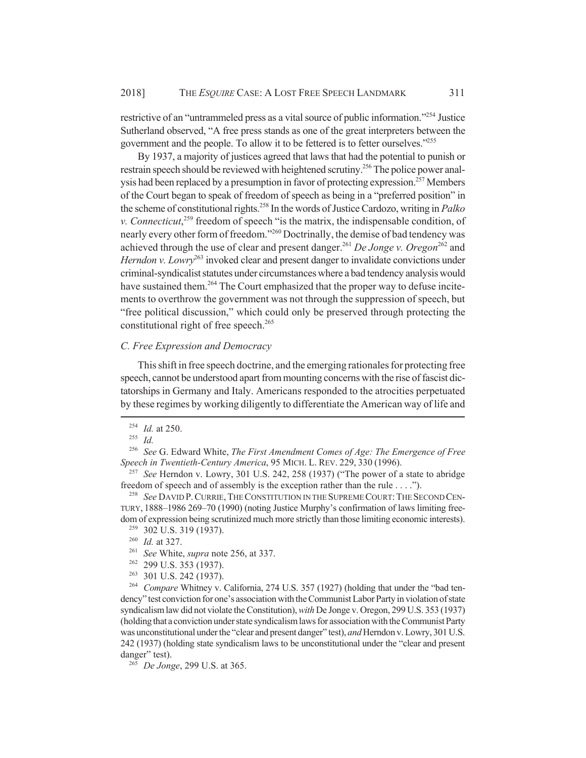restrictive of an "untrammeled press as a vital source of public information."254 Justice Sutherland observed, "A free press stands as one of the great interpreters between the government and the people. To allow it to be fettered is to fetter ourselves."255

By 1937, a majority of justices agreed that laws that had the potential to punish or restrain speech should be reviewed with heightened scrutiny.<sup>256</sup> The police power analysis had been replaced by a presumption in favor of protecting expression.<sup>257</sup> Members of the Court began to speak of freedom of speech as being in a "preferred position" in the scheme of constitutional rights.258 In the words of Justice Cardozo, writing in *Palko v. Connecticut*, 259 freedom of speech "is the matrix, the indispensable condition, of nearly every other form of freedom."<sup>260</sup> Doctrinally, the demise of bad tendency was achieved through the use of clear and present danger.<sup>261</sup> *De Jonge v. Oregon*<sup>262</sup> and *Herndon v. Lowry*<sup>263</sup> invoked clear and present danger to invalidate convictions under criminal-syndicalist statutes under circumstances where a bad tendency analysis would have sustained them.<sup>264</sup> The Court emphasized that the proper way to defuse incitements to overthrow the government was not through the suppression of speech, but "free political discussion," which could only be preserved through protecting the constitutional right of free speech.<sup>265</sup>

#### *C. Free Expression and Democracy*

This shift in free speech doctrine, and the emerging rationales for protecting free speech, cannot be understood apart from mounting concerns with the rise of fascist dictatorships in Germany and Italy. Americans responded to the atrocities perpetuated by these regimes by working diligently to differentiate the American way of life and

<sup>261</sup> *See* White, *supra* note 256, at 337.

<sup>264</sup> *Compare* Whitney v. California, 274 U.S. 357 (1927) (holding that under the "bad tendency" test conviction for one's association with the Communist Labor Party in violation of state syndicalism law did not violate the Constitution), *with* De Jonge v. Oregon, 299 U.S. 353 (1937) (holding that a conviction under state syndicalism laws for association with the Communist Party was unconstitutional under the "clear and present danger" test), *and* Herndon v. Lowry, 301 U.S. 242 (1937) (holding state syndicalism laws to be unconstitutional under the "clear and present danger" test).

<sup>265</sup> *De Jonge*, 299 U.S. at 365.

<sup>254</sup> *Id.* at 250.

<sup>255</sup> *Id.*

<sup>256</sup> *See* G. Edward White, *The First Amendment Comes of Age: The Emergence of Free Speech in Twentieth-Century America*, 95 MICH. L. REV. 229, 330 (1996).

<sup>257</sup> *See* Herndon v. Lowry, 301 U.S. 242, 258 (1937) ("The power of a state to abridge freedom of speech and of assembly is the exception rather than the rule . . . .").

<sup>258</sup> *See* DAVID P.CURRIE,THE CONSTITUTION IN THE SUPREME COURT:THE SECOND CEN-TURY, 1888–1986 269–70 (1990) (noting Justice Murphy's confirmation of laws limiting freedom of expression being scrutinized much more strictly than those limiting economic interests).

<sup>&</sup>lt;sup>259</sup> 302 U.S. 319 (1937).

<sup>260</sup> *Id.* at 327.

<sup>262</sup> 299 U.S. 353 (1937).

<sup>263</sup> 301 U.S. 242 (1937).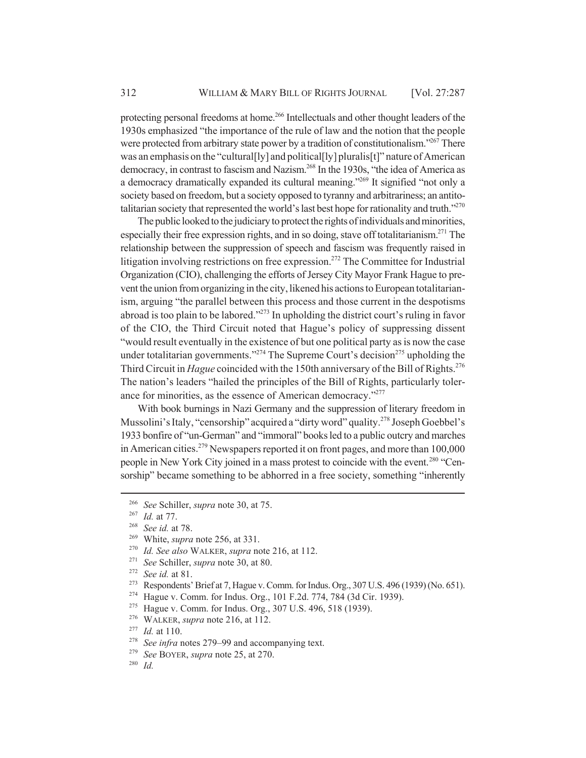protecting personal freedoms at home.<sup>266</sup> Intellectuals and other thought leaders of the 1930s emphasized "the importance of the rule of law and the notion that the people were protected from arbitrary state power by a tradition of constitutionalism."267 There was an emphasis on the "cultural<sup>[ly]</sup> and political<sup>[ly]</sup> pluralis<sup>[t]</sup>" nature of American democracy, in contrast to fascism and Nazism.268 In the 1930s, "the idea of America as a democracy dramatically expanded its cultural meaning."269 It signified "not only a society based on freedom, but a society opposed to tyranny and arbitrariness; an antitotalitarian society that represented the world's last best hope for rationality and truth."<sup>270</sup>

The public looked to the judiciary to protect the rights of individuals and minorities, especially their free expression rights, and in so doing, stave off totalitarianism.<sup>271</sup> The relationship between the suppression of speech and fascism was frequently raised in litigation involving restrictions on free expression.<sup>272</sup> The Committee for Industrial Organization (CIO), challenging the efforts of Jersey City Mayor Frank Hague to prevent the union from organizing in the city, likened his actions to European totalitarianism, arguing "the parallel between this process and those current in the despotisms abroad is too plain to be labored."273 In upholding the district court's ruling in favor of the CIO, the Third Circuit noted that Hague's policy of suppressing dissent "would result eventually in the existence of but one political party as is now the case under totalitarian governments."<sup>274</sup> The Supreme Court's decision<sup>275</sup> upholding the Third Circuit in *Hague* coincided with the 150th anniversary of the Bill of Rights.<sup>276</sup> The nation's leaders "hailed the principles of the Bill of Rights, particularly tolerance for minorities, as the essence of American democracy."<sup>277</sup>

With book burnings in Nazi Germany and the suppression of literary freedom in Mussolini's Italy, "censorship" acquired a "dirty word" quality.<sup>278</sup> Joseph Goebbel's 1933 bonfire of "un-German" and "immoral" books led to a public outcry and marches in American cities.279 Newspapers reported it on front pages, and more than 100,000 people in New York City joined in a mass protest to coincide with the event.<sup>280</sup> "Censorship" became something to be abhorred in a free society, something "inherently

<sup>280</sup> *Id.*

<sup>266</sup> *See* Schiller, *supra* note 30, at 75.

<sup>267</sup> *Id.* at 77.

<sup>268</sup> *See id.* at 78.

<sup>&</sup>lt;sup>269</sup> White, *supra* note 256, at 331.<br><sup>270</sup> *Id See also* WALKER *supra* no

*Id. See also* WALKER, *supra* note 216, at 112.

<sup>271</sup> *See* Schiller, *supra* note 30, at 80.

<sup>272</sup> *See id.* at 81.

<sup>273</sup> Respondents' Brief at 7, Hague v. Comm. for Indus. Org., 307 U.S. 496 (1939) (No. 651).

<sup>274</sup> Hague v. Comm. for Indus. Org., 101 F.2d. 774, 784 (3d Cir. 1939).

<sup>275</sup> Hague v. Comm. for Indus. Org., 307 U.S. 496, 518 (1939).

<sup>276</sup> WALKER, *supra* note 216, at 112.

<sup>277</sup> *Id.* at 110.

<sup>278</sup> *See infra* notes 279–99 and accompanying text.

<sup>279</sup> *See* BOYER, *supra* note 25, at 270.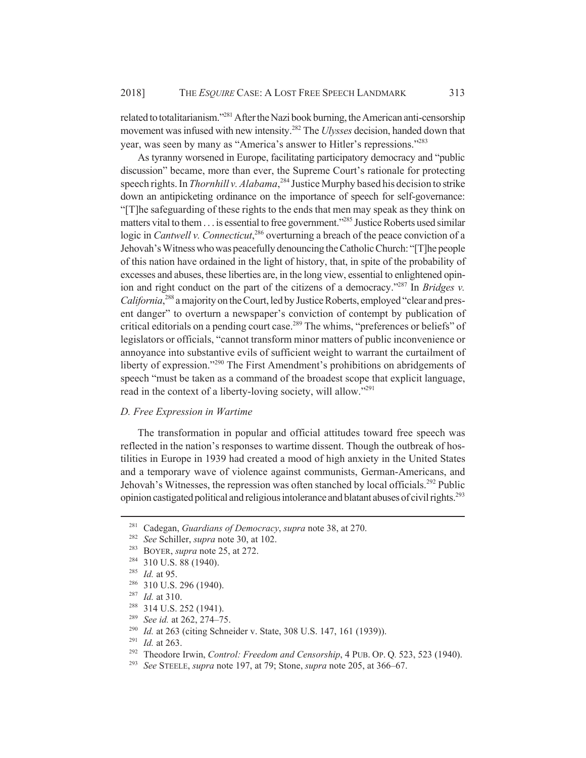related to totalitarianism."281 After the Nazi book burning, the American anti-censorship movement was infused with new intensity.282 The *Ulysses* decision, handed down that year, was seen by many as "America's answer to Hitler's repressions."283

As tyranny worsened in Europe, facilitating participatory democracy and "public discussion" became, more than ever, the Supreme Court's rationale for protecting speech rights. In *Thornhill v. Alabama*, 284 Justice Murphy based his decision to strike down an antipicketing ordinance on the importance of speech for self-governance: "[T]he safeguarding of these rights to the ends that men may speak as they think on matters vital to them . . . is essential to free government."285 Justice Roberts used similar logic in *Cantwell v. Connecticut*,<sup>286</sup> overturning a breach of the peace conviction of a Jehovah's Witness who was peacefully denouncing the Catholic Church: "[T]he people of this nation have ordained in the light of history, that, in spite of the probability of excesses and abuses, these liberties are, in the long view, essential to enlightened opinion and right conduct on the part of the citizens of a democracy."287 In *Bridges v.* California,<sup>288</sup> a majority on the Court, led by Justice Roberts, employed "clear and present danger" to overturn a newspaper's conviction of contempt by publication of critical editorials on a pending court case.<sup>289</sup> The whims, "preferences or beliefs" of legislators or officials, "cannot transform minor matters of public inconvenience or annoyance into substantive evils of sufficient weight to warrant the curtailment of liberty of expression."290 The First Amendment's prohibitions on abridgements of speech "must be taken as a command of the broadest scope that explicit language, read in the context of a liberty-loving society, will allow."<sup>291</sup>

#### *D. Free Expression in Wartime*

The transformation in popular and official attitudes toward free speech was reflected in the nation's responses to wartime dissent. Though the outbreak of hostilities in Europe in 1939 had created a mood of high anxiety in the United States and a temporary wave of violence against communists, German-Americans, and Jehovah's Witnesses, the repression was often stanched by local officials.<sup>292</sup> Public opinion castigated political and religious intolerance and blatant abuses of civil rights.<sup>293</sup>

<sup>287</sup> *Id.* at 310.

- <sup>289</sup> *See id.* at 262, 274–75.
- <sup>290</sup> *Id.* at 263 (citing Schneider v. State, 308 U.S. 147, 161 (1939)).
- <sup>291</sup> *Id.* at 263.
- <sup>292</sup> Theodore Irwin, *Control: Freedom and Censorship*, 4 PUB. OP. Q*.* 523, 523 (1940).
- <sup>293</sup> *See* STEELE, *supra* note 197, at 79; Stone, *supra* note 205, at 366–67.

<sup>281</sup> Cadegan, *Guardians of Democracy*, *supra* note 38, at 270.

<sup>282</sup> *See* Schiller, *supra* note 30, at 102.

<sup>283</sup> BOYER, *supra* note 25, at 272.

<sup>&</sup>lt;sup>284</sup> 310 U.S. 88 (1940).

<sup>285</sup> *Id.* at 95.

<sup>286</sup> 310 U.S. 296 (1940).

<sup>288</sup> 314 U.S. 252 (1941).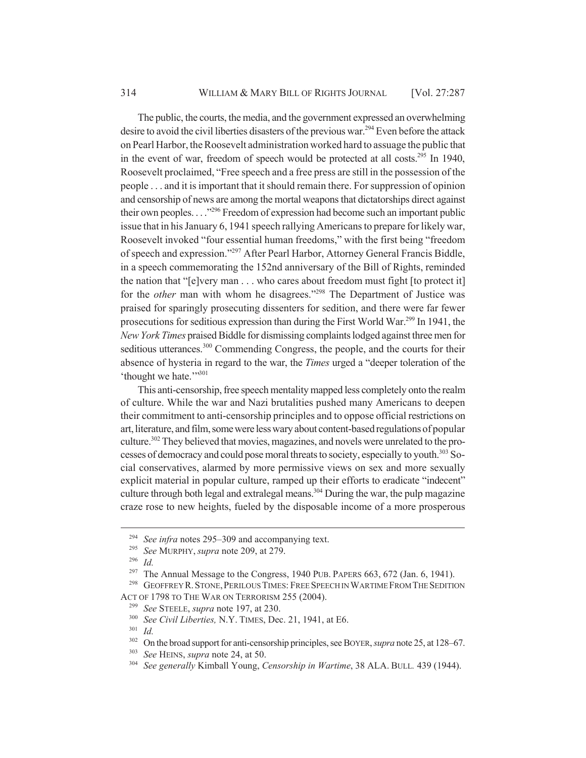The public, the courts, the media, and the government expressed an overwhelming desire to avoid the civil liberties disasters of the previous war.<sup>294</sup> Even before the attack on Pearl Harbor, the Roosevelt administration worked hard to assuage the public that in the event of war, freedom of speech would be protected at all costs.<sup>295</sup> In 1940, Roosevelt proclaimed, "Free speech and a free press are still in the possession of the people . . . and it is important that it should remain there. For suppression of opinion and censorship of news are among the mortal weapons that dictatorships direct against their own peoples. . . ."296 Freedom of expression had become such an important public issue that in his January 6, 1941 speech rallying Americans to prepare for likely war, Roosevelt invoked "four essential human freedoms," with the first being "freedom of speech and expression."297 After Pearl Harbor, Attorney General Francis Biddle, in a speech commemorating the 152nd anniversary of the Bill of Rights, reminded the nation that "[e]very man . . . who cares about freedom must fight [to protect it] for the *other* man with whom he disagrees."<sup>298</sup> The Department of Justice was praised for sparingly prosecuting dissenters for sedition, and there were far fewer prosecutions for seditious expression than during the First World War.299 In 1941, the *New York Times* praised Biddle for dismissing complaints lodged against three men for seditious utterances.<sup>300</sup> Commending Congress, the people, and the courts for their absence of hysteria in regard to the war, the *Times* urged a "deeper toleration of the 'thought we hate.'"301

This anti-censorship, free speech mentality mapped less completely onto the realm of culture. While the war and Nazi brutalities pushed many Americans to deepen their commitment to anti-censorship principles and to oppose official restrictions on art, literature, and film, some were less wary about content-based regulations of popular culture.<sup>302</sup> They believed that movies, magazines, and novels were unrelated to the processes of democracy and could pose moral threats to society, especially to youth.<sup>303</sup> Social conservatives, alarmed by more permissive views on sex and more sexually explicit material in popular culture, ramped up their efforts to eradicate "indecent" culture through both legal and extralegal means.<sup>304</sup> During the war, the pulp magazine craze rose to new heights, fueled by the disposable income of a more prosperous

<sup>301</sup> *Id.*

<sup>&</sup>lt;sup>294</sup> *See infra* notes 295–309 and accompanying text.<br><sup>295</sup> *See* MURPHY *supra* note 209 at 279

<sup>295</sup> *See* MURPHY, *supra* note 209, at 279.

<sup>296</sup> *Id.*

<sup>&</sup>lt;sup>297</sup> The Annual Message to the Congress, 1940 PUB. PAPERS  $663$ ,  $672$  (Jan. 6, 1941).

<sup>&</sup>lt;sup>298</sup> GEOFFREY R. STONE, PERILOUS TIMES: FREE SPEECH IN WARTIME FROM THE SEDITION ACT OF 1798 TO THE WAR ON TERRORISM 255 (2004).

<sup>299</sup> *See* STEELE, *supra* note 197, at 230.

<sup>300</sup> *See Civil Liberties,* N.Y. TIMES, Dec. 21, 1941, at E6.

<sup>302</sup> On the broad support for anti-censorship principles, see BOYER, *supra* note 25, at 128–67.

<sup>303</sup> *See* HEINS, *supra* note 24, at 50.

<sup>304</sup> *See generally* Kimball Young, *Censorship in Wartime*, 38 ALA. BULL*.* 439 (1944).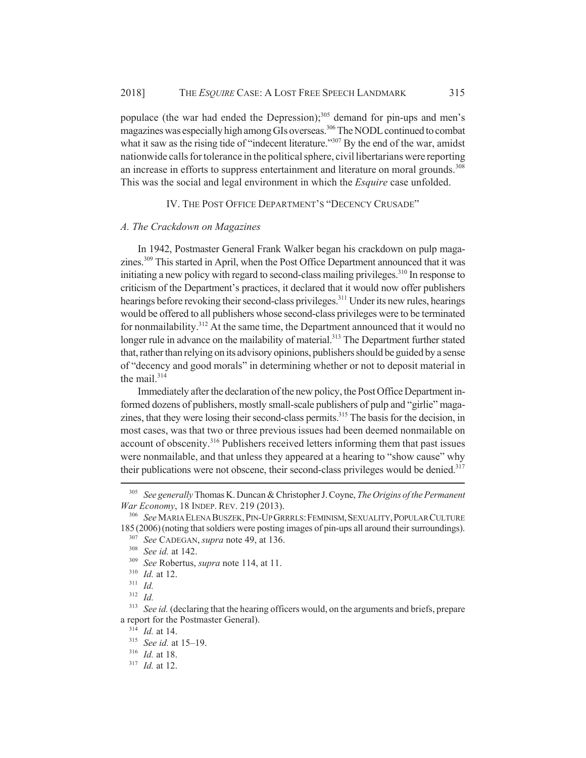populace (the war had ended the Depression);<sup>305</sup> demand for pin-ups and men's magazines was especially high among GIs overseas.<sup>306</sup> The NODL continued to combat what it saw as the rising tide of "indecent literature."<sup>307</sup> By the end of the war, amidst nationwide calls for tolerance in the political sphere, civil libertarians were reporting an increase in efforts to suppress entertainment and literature on moral grounds.<sup>308</sup> This was the social and legal environment in which the *Esquire* case unfolded.

IV. THE POST OFFICE DEPARTMENT'S "DECENCY CRUSADE"

#### *A. The Crackdown on Magazines*

In 1942, Postmaster General Frank Walker began his crackdown on pulp magazines.<sup>309</sup> This started in April, when the Post Office Department announced that it was initiating a new policy with regard to second-class mailing privileges.<sup>310</sup> In response to criticism of the Department's practices, it declared that it would now offer publishers hearings before revoking their second-class privileges.<sup>311</sup> Under its new rules, hearings would be offered to all publishers whose second-class privileges were to be terminated for nonmailability.<sup>312</sup> At the same time, the Department announced that it would no longer rule in advance on the mailability of material.<sup>313</sup> The Department further stated that, rather than relying on its advisory opinions, publishers should be guided by a sense of "decency and good morals" in determining whether or not to deposit material in the mail.<sup>314</sup>

Immediately after the declaration of the new policy, the Post Office Department informed dozens of publishers, mostly small-scale publishers of pulp and "girlie" magazines, that they were losing their second-class permits.<sup>315</sup> The basis for the decision, in most cases, was that two or three previous issues had been deemed nonmailable on account of obscenity.<sup>316</sup> Publishers received letters informing them that past issues were nonmailable, and that unless they appeared at a hearing to "show cause" why their publications were not obscene, their second-class privileges would be denied.<sup>317</sup>

<sup>305</sup> *See generally* Thomas K. Duncan & Christopher J. Coyne, *The Origins of the Permanent War Economy*, 18 INDEP. REV. 219 (2013).

<sup>306</sup> *See* MARIA ELENA BUSZEK,PIN-UP GRRRLS:FEMINISM,SEXUALITY,POPULAR CULTURE 185 (2006)(noting that soldiers were posting images of pin-ups all around their surroundings).

<sup>307</sup> *See* CADEGAN, *supra* note 49, at 136.

<sup>308</sup> *See id.* at 142.

<sup>309</sup> *See* Robertus, *supra* note 114, at 11.

<sup>310</sup> *Id.* at 12.

<sup>311</sup> *Id.*

<sup>312</sup> *Id.*

<sup>&</sup>lt;sup>313</sup> *See id.* (declaring that the hearing officers would, on the arguments and briefs, prepare a report for the Postmaster General).

<sup>314</sup> *Id.* at 14.

<sup>315</sup> *See id.* at 15–19.

<sup>316</sup> *Id.* at 18.

<sup>317</sup> *Id.* at 12.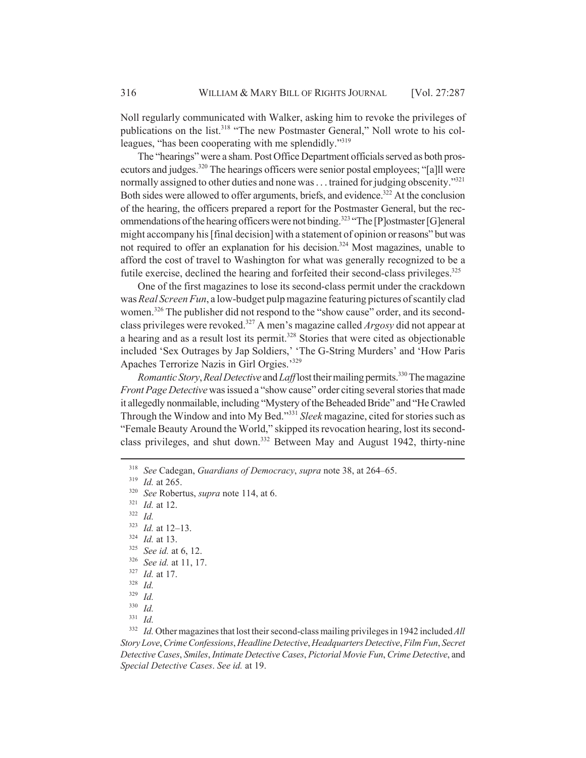Noll regularly communicated with Walker, asking him to revoke the privileges of publications on the list.<sup>318</sup> "The new Postmaster General," Noll wrote to his colleagues, "has been cooperating with me splendidly."319

The "hearings" were a sham. Post Office Department officials served as both prosecutors and judges.<sup>320</sup> The hearings officers were senior postal employees; "[a]ll were normally assigned to other duties and none was . . . trained for judging obscenity."<sup>321</sup> Both sides were allowed to offer arguments, briefs, and evidence.<sup>322</sup> At the conclusion of the hearing, the officers prepared a report for the Postmaster General, but the recommendations of the hearing officers were not binding.<sup>323</sup> "The [P]ostmaster [G]eneral might accompany his [final decision] with a statement of opinion or reasons" but was not required to offer an explanation for his decision.<sup>324</sup> Most magazines, unable to afford the cost of travel to Washington for what was generally recognized to be a futile exercise, declined the hearing and forfeited their second-class privileges.<sup>325</sup>

One of the first magazines to lose its second-class permit under the crackdown was *Real Screen Fun*, a low-budget pulp magazine featuring pictures of scantily clad women.<sup>326</sup> The publisher did not respond to the "show cause" order, and its secondclass privileges were revoked.327 A men's magazine called *Argosy* did not appear at a hearing and as a result lost its permit.<sup>328</sup> Stories that were cited as objectionable included 'Sex Outrages by Jap Soldiers,' 'The G-String Murders' and 'How Paris Apaches Terrorize Nazis in Girl Orgies.'329

*Romantic Story, Real Detective* and *Laff* lost their mailing permits.<sup>330</sup> The magazine *Front Page Detective* was issued a "show cause" order citing several stories that made it allegedly nonmailable, including "Mystery of the Beheaded Bride" and "He Crawled Through the Window and into My Bed."331 *Sleek* magazine, cited for stories such as "Female Beauty Around the World," skipped its revocation hearing, lost its secondclass privileges, and shut down.<sup>332</sup> Between May and August 1942, thirty-nine

<sup>322</sup> *Id.*

- <sup>325</sup> *See id.* at 6, 12.
- <sup>326</sup> *See id.* at 11, 17.
- <sup>327</sup> *Id.* at 17.
- <sup>328</sup> *Id.*

<sup>331</sup> *Id.*

<sup>332</sup> *Id.* Other magazines that lost their second-class mailing privileges in 1942 included *All Story Love*, *Crime Confessions*, *Headline Detective*, *Headquarters Detective*, *Film Fun*, *Secret Detective Cases*, *Smiles*, *Intimate Detective Cases*, *Pictorial Movie Fun*, *Crime Detective*, and *Special Detective Cases*. *See id.* at 19.

<sup>318</sup> *See* Cadegan, *Guardians of Democracy*, *supra* note 38, at 264–65.

<sup>319</sup> *Id.* at 265.

<sup>320</sup> *See* Robertus, *supra* note 114, at 6.

<sup>321</sup> *Id.* at 12.

<sup>323</sup> *Id.* at 12–13.

<sup>324</sup> *Id.* at 13.

<sup>329</sup> *Id.*

<sup>330</sup> *Id.*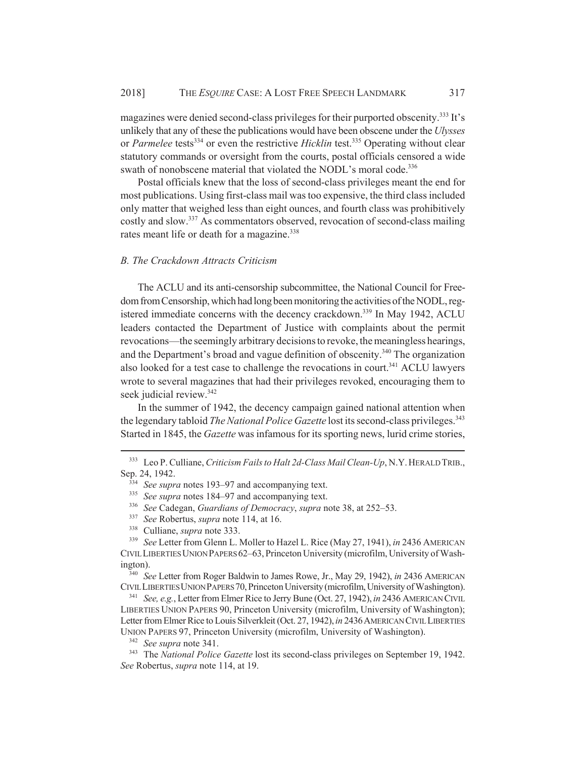magazines were denied second-class privileges for their purported obscenity.<sup>333</sup> It's unlikely that any of these the publications would have been obscene under the *Ulysses* or *Parmelee* tests<sup>334</sup> or even the restrictive *Hicklin* test.<sup>335</sup> Operating without clear statutory commands or oversight from the courts, postal officials censored a wide swath of nonobscene material that violated the NODL's moral code.<sup>336</sup>

Postal officials knew that the loss of second-class privileges meant the end for most publications. Using first-class mail was too expensive, the third class included only matter that weighed less than eight ounces, and fourth class was prohibitively costly and slow.337 As commentators observed, revocation of second-class mailing rates meant life or death for a magazine.<sup>338</sup>

#### *B. The Crackdown Attracts Criticism*

The ACLU and its anti-censorship subcommittee, the National Council for Freedom from Censorship, which had long been monitoring the activities of the NODL, registered immediate concerns with the decency crackdown.<sup>339</sup> In May 1942, ACLU leaders contacted the Department of Justice with complaints about the permit revocations—the seemingly arbitrary decisions to revoke, the meaningless hearings, and the Department's broad and vague definition of obscenity.<sup>340</sup> The organization also looked for a test case to challenge the revocations in court.<sup>341</sup> ACLU lawyers wrote to several magazines that had their privileges revoked, encouraging them to seek judicial review.<sup>342</sup>

In the summer of 1942, the decency campaign gained national attention when the legendary tabloid *The National Police Gazette* lost its second-class privileges.<sup>343</sup> Started in 1845, the *Gazette* was infamous for its sporting news, lurid crime stories,

<sup>340</sup> *See* Letter from Roger Baldwin to James Rowe, Jr., May 29, 1942), *in* 2436 AMERICAN CIVIL LIBERTIES UNION PAPERS 70, Princeton University (microfilm, University of Washington).

<sup>341</sup> *See, e.g.*, Letter from Elmer Rice to Jerry Bune (Oct. 27, 1942), *in* 2436 AMERICAN CIVIL LIBERTIES UNION PAPERS 90, Princeton University (microfilm, University of Washington); Letter from Elmer Rice to Louis Silverkleit (Oct. 27, 1942), *in* 2436 AMERICAN CIVIL LIBERTIES UNION PAPERS 97, Princeton University (microfilm, University of Washington).

<sup>342</sup> *See supra* note 341.

<sup>343</sup> The *National Police Gazette* lost its second-class privileges on September 19, 1942. *See* Robertus, *supra* note 114, at 19.

<sup>333</sup> Leo P. Culliane, *Criticism Fails to Halt 2d-Class Mail Clean-Up*, N.Y.HERALD TRIB., Sep. 24, 1942.

<sup>&</sup>lt;sup>334</sup> *See supra* notes 193–97 and accompanying text.

<sup>&</sup>lt;sup>335</sup> *See supra* notes 184–97 and accompanying text.

<sup>336</sup> *See* Cadegan, *Guardians of Democracy*, *supra* note 38, at 252–53.

<sup>337</sup> *See* Robertus, *supra* note 114, at 16.

<sup>338</sup> Culliane, *supra* note 333.

<sup>339</sup> *See* Letter from Glenn L. Moller to Hazel L. Rice (May 27, 1941), *in* 2436 AMERICAN CIVIL LIBERTIES UNION PAPERS 62–63, Princeton University (microfilm, University of Washington).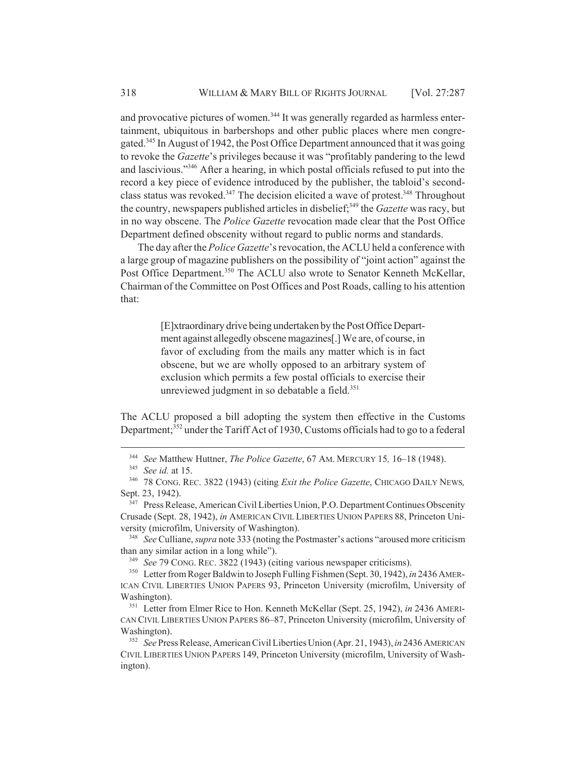and provocative pictures of women.<sup>344</sup> It was generally regarded as harmless entertainment, ubiquitous in barbershops and other public places where men congregated.345 In August of 1942, the Post Office Department announced that it was going to revoke the *Gazette*'s privileges because it was "profitably pandering to the lewd and lascivious."346 After a hearing, in which postal officials refused to put into the record a key piece of evidence introduced by the publisher, the tabloid's secondclass status was revoked.<sup>347</sup> The decision elicited a wave of protest.<sup>348</sup> Throughout the country, newspapers published articles in disbelief;<sup>349</sup> the *Gazette* was racy, but in no way obscene. The *Police Gazette* revocation made clear that the Post Office Department defined obscenity without regard to public norms and standards.

The day after the *Police Gazette*'s revocation, the ACLU held a conference with a large group of magazine publishers on the possibility of "joint action" against the Post Office Department.<sup>350</sup> The ACLU also wrote to Senator Kenneth McKellar, Chairman of the Committee on Post Offices and Post Roads, calling to his attention that:

> [E]xtraordinary drive being undertaken by the Post Office Department against allegedly obscene magazines[.] We are, of course, in favor of excluding from the mails any matter which is in fact obscene, but we are wholly opposed to an arbitrary system of exclusion which permits a few postal officials to exercise their unreviewed judgment in so debatable a field.<sup>351</sup>

The ACLU proposed a bill adopting the system then effective in the Customs Department;<sup>352</sup> under the Tariff Act of 1930, Customs officials had to go to a federal

<sup>348</sup> *See* Culliane, *supra* note 333 (noting the Postmaster's actions "aroused more criticism than any similar action in a long while").

<sup>349</sup> *See* 79 CONG. REC. 3822 (1943) (citing various newspaper criticisms).

<sup>350</sup> Letter from Roger Baldwin to Joseph Fulling Fishmen (Sept. 30, 1942), *in* 2436 AMER-ICAN CIVIL LIBERTIES UNION PAPERS 93, Princeton University (microfilm, University of Washington).

<sup>351</sup> Letter from Elmer Rice to Hon. Kenneth McKellar (Sept. 25, 1942), *in* 2436 AMERI-CAN CIVIL LIBERTIES UNION PAPERS 86–87, Princeton University (microfilm, University of Washington).

<sup>344</sup> *See* Matthew Huttner, *The Police Gazette*, 67 AM. MERCURY 15*,* 16–18 (1948).

<sup>345</sup> *See id.* at 15.

<sup>346</sup> 78 CONG. REC. 3822 (1943) (citing *Exit the Police Gazette*, CHICAGO DAILY NEWS*,* Sept. 23, 1942).

<sup>&</sup>lt;sup>347</sup> Press Release, American Civil Liberties Union, P.O. Department Continues Obscenity Crusade (Sept. 28, 1942), *in* AMERICAN CIVIL LIBERTIES UNION PAPERS 88, Princeton University (microfilm, University of Washington).

<sup>352</sup> *See* Press Release, American Civil Liberties Union (Apr. 21, 1943), *in* 2436 AMERICAN CIVIL LIBERTIES UNION PAPERS 149, Princeton University (microfilm, University of Washington).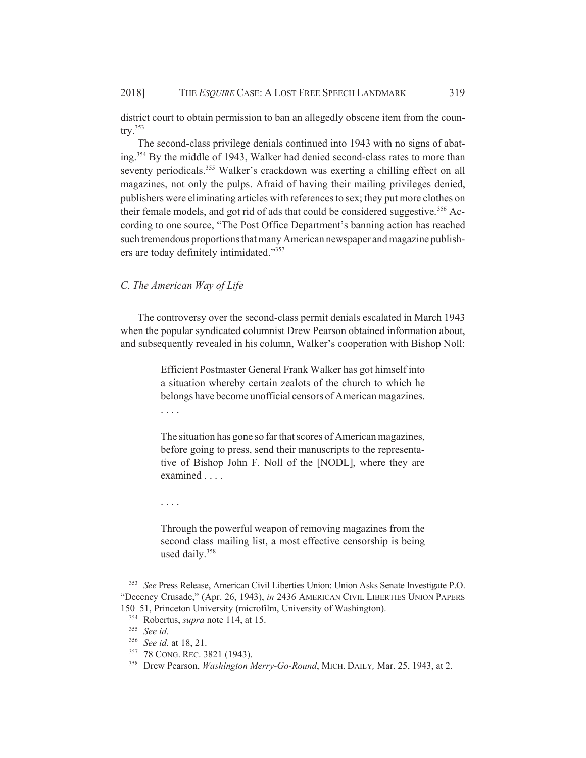district court to obtain permission to ban an allegedly obscene item from the coun- $\text{try.}^{353}$ 

The second-class privilege denials continued into 1943 with no signs of abating.354 By the middle of 1943, Walker had denied second-class rates to more than seventy periodicals.<sup>355</sup> Walker's crackdown was exerting a chilling effect on all magazines, not only the pulps. Afraid of having their mailing privileges denied, publishers were eliminating articles with references to sex; they put more clothes on their female models, and got rid of ads that could be considered suggestive.<sup>356</sup> According to one source, "The Post Office Department's banning action has reached such tremendous proportions that many American newspaper and magazine publishers are today definitely intimidated."357

## *C. The American Way of Life*

The controversy over the second-class permit denials escalated in March 1943 when the popular syndicated columnist Drew Pearson obtained information about, and subsequently revealed in his column, Walker's cooperation with Bishop Noll:

> Efficient Postmaster General Frank Walker has got himself into a situation whereby certain zealots of the church to which he belongs have become unofficial censors of American magazines. . . . .

> The situation has gone so far that scores of American magazines, before going to press, send their manuscripts to the representative of Bishop John F. Noll of the [NODL], where they are examined . . . .

. . . .

Through the powerful weapon of removing magazines from the second class mailing list, a most effective censorship is being used daily.358

<sup>353</sup> *See* Press Release, American Civil Liberties Union: Union Asks Senate Investigate P.O. "Decency Crusade," (Apr. 26, 1943), *in* 2436 AMERICAN CIVIL LIBERTIES UNION PAPERS 150–51, Princeton University (microfilm, University of Washington).

<sup>354</sup> Robertus, *supra* note 114, at 15.

<sup>355</sup> *See id.*

<sup>356</sup> *See id.* at 18, 21.

<sup>357</sup> 78 CONG. REC. 3821 (1943).

<sup>358</sup> Drew Pearson, *Washington Merry-Go-Round*, MICH. DAILY*,* Mar. 25, 1943, at 2.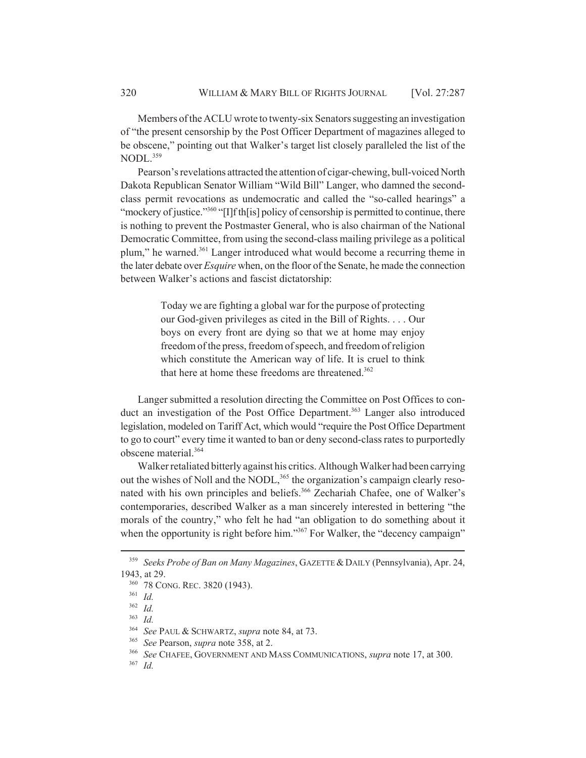Members of the ACLU wrote to twenty-six Senators suggesting an investigation of "the present censorship by the Post Officer Department of magazines alleged to be obscene," pointing out that Walker's target list closely paralleled the list of the NODL.<sup>359</sup>

Pearson's revelations attracted the attention of cigar-chewing, bull-voiced North Dakota Republican Senator William "Wild Bill" Langer, who damned the secondclass permit revocations as undemocratic and called the "so-called hearings" a "mockery of justice."<sup>360</sup> "[I]f th[is] policy of censorship is permitted to continue, there is nothing to prevent the Postmaster General, who is also chairman of the National Democratic Committee, from using the second-class mailing privilege as a political plum," he warned.<sup>361</sup> Langer introduced what would become a recurring theme in the later debate over *Esquire* when, on the floor of the Senate, he made the connection between Walker's actions and fascist dictatorship:

> Today we are fighting a global war for the purpose of protecting our God-given privileges as cited in the Bill of Rights. . . . Our boys on every front are dying so that we at home may enjoy freedom of the press, freedom of speech, and freedom of religion which constitute the American way of life. It is cruel to think that here at home these freedoms are threatened.<sup>362</sup>

Langer submitted a resolution directing the Committee on Post Offices to conduct an investigation of the Post Office Department.<sup>363</sup> Langer also introduced legislation, modeled on Tariff Act, which would "require the Post Office Department to go to court" every time it wanted to ban or deny second-class rates to purportedly obscene material.364

Walker retaliated bitterly against his critics. Although Walker had been carrying out the wishes of Noll and the NODL,<sup>365</sup> the organization's campaign clearly resonated with his own principles and beliefs.<sup>366</sup> Zechariah Chafee, one of Walker's contemporaries, described Walker as a man sincerely interested in bettering "the morals of the country," who felt he had "an obligation to do something about it when the opportunity is right before him."<sup>367</sup> For Walker, the "decency campaign"

<sup>359</sup> *Seeks Probe of Ban on Many Magazines*, GAZETTE & DAILY (Pennsylvania), Apr. 24, 1943, at 29.

<sup>360</sup> 78 CONG. REC. 3820 (1943).

<sup>361</sup> *Id.*

<sup>362</sup> *Id.*

<sup>363</sup> *Id.*

<sup>364</sup> *See* PAUL & SCHWARTZ, *supra* note 84, at 73.

<sup>365</sup> *See* Pearson, *supra* note 358, at 2.

<sup>366</sup> *See* CHAFEE, GOVERNMENT AND MASS COMMUNICATIONS, *supra* note 17, at 300.

<sup>367</sup> *Id.*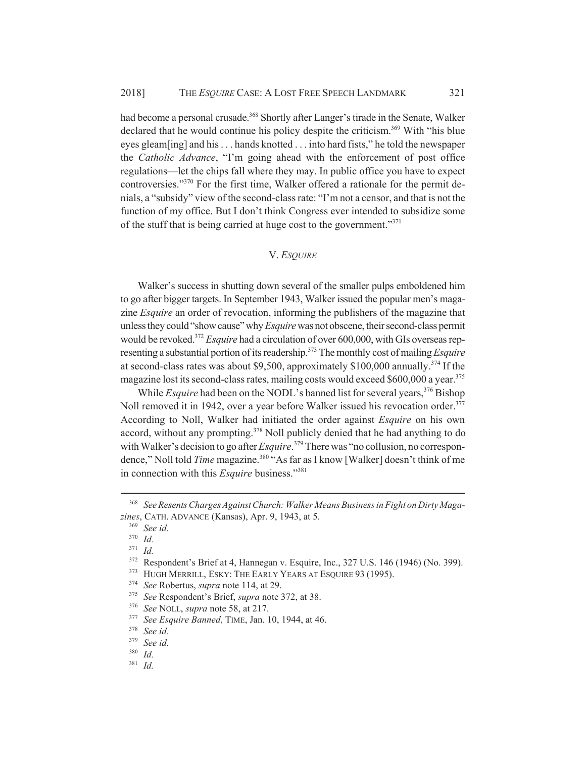had become a personal crusade.<sup>368</sup> Shortly after Langer's tirade in the Senate, Walker declared that he would continue his policy despite the criticism.<sup>369</sup> With "his blue" eyes gleam[ing] and his . . . hands knotted . . . into hard fists," he told the newspaper the *Catholic Advance*, "I'm going ahead with the enforcement of post office regulations—let the chips fall where they may. In public office you have to expect controversies."370 For the first time, Walker offered a rationale for the permit denials, a "subsidy" view of the second-class rate: "I'm not a censor, and that is not the function of my office. But I don't think Congress ever intended to subsidize some of the stuff that is being carried at huge cost to the government."371

#### V. *ESQUIRE*

Walker's success in shutting down several of the smaller pulps emboldened him to go after bigger targets. In September 1943, Walker issued the popular men's magazine *Esquire* an order of revocation, informing the publishers of the magazine that unless they could "show cause" why *Esquire* was not obscene, their second-class permit would be revoked.372 *Esquire* had a circulation of over 600,000, with GIs overseas representing a substantial portion of its readership.<sup>373</sup> The monthly cost of mailing *Esquire* at second-class rates was about \$9,500, approximately \$100,000 annually.<sup>374</sup> If the magazine lost its second-class rates, mailing costs would exceed \$600,000 a year.<sup>375</sup>

While *Esquire* had been on the NODL's banned list for several years,<sup>376</sup> Bishop Noll removed it in 1942, over a year before Walker issued his revocation order.<sup>377</sup> According to Noll, Walker had initiated the order against *Esquire* on his own accord, without any prompting.<sup>378</sup> Noll publicly denied that he had anything to do with Walker's decision to go after *Esquire*.<sup>379</sup> There was "no collusion, no correspondence," Noll told *Time* magazine.<sup>380</sup> "As far as I know [Walker] doesn't think of me in connection with this *Esquire* business."381

<sup>368</sup> *See Resents Charges Against Church: Walker Means Business in Fight on Dirty Magazines*, CATH. ADVANCE (Kansas), Apr. 9, 1943, at 5.

<sup>369</sup> *See id.*

<sup>370</sup> *Id.*

<sup>371</sup> *Id.*

<sup>372</sup> Respondent's Brief at 4, Hannegan v. Esquire, Inc., 327 U.S. 146 (1946) (No. 399).

<sup>&</sup>lt;sup>373</sup> HUGH MERRILL, ESKY: THE EARLY YEARS AT ESQUIRE 93 (1995).

<sup>374</sup> *See* Robertus, *supra* note 114, at 29.

<sup>375</sup> *See* Respondent's Brief, *supra* note 372, at 38.

<sup>376</sup> *See* NOLL, *supra* note 58, at 217.

<sup>377</sup> *See Esquire Banned*, TIME, Jan. 10, 1944, at 46.

<sup>378</sup> *See id*.

<sup>379</sup> *See id.*

<sup>380</sup> *Id.*

<sup>381</sup> *Id.*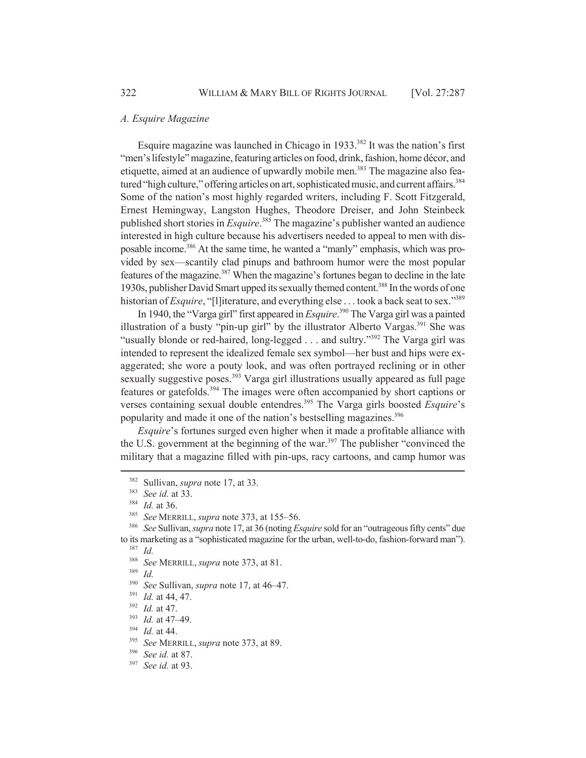#### *A. Esquire Magazine*

Esquire magazine was launched in Chicago in 1933.382 It was the nation's first "men's lifestyle" magazine, featuring articles on food, drink, fashion, home décor, and etiquette, aimed at an audience of upwardly mobile men.<sup>383</sup> The magazine also featured "high culture," offering articles on art, sophisticated music, and current affairs.<sup>384</sup> Some of the nation's most highly regarded writers, including F. Scott Fitzgerald, Ernest Hemingway, Langston Hughes, Theodore Dreiser, and John Steinbeck published short stories in *Esquire*. 385 The magazine's publisher wanted an audience interested in high culture because his advertisers needed to appeal to men with disposable income.386 At the same time, he wanted a "manly" emphasis, which was provided by sex—scantily clad pinups and bathroom humor were the most popular features of the magazine.<sup>387</sup> When the magazine's fortunes began to decline in the late 1930s, publisher David Smart upped its sexually themed content.388 In the words of one historian of *Esquire*, "[l]iterature, and everything else . . . took a back seat to sex."<sup>389</sup>

In 1940, the "Varga girl" first appeared in *Esquire*. 390 The Varga girl was a painted illustration of a busty "pin-up girl" by the illustrator Alberto Vargas.<sup>391</sup> She was "usually blonde or red-haired, long-legged . . . and sultry."<sup>392</sup> The Varga girl was intended to represent the idealized female sex symbol—her bust and hips were exaggerated; she wore a pouty look, and was often portrayed reclining or in other sexually suggestive poses.<sup>393</sup> Varga girl illustrations usually appeared as full page features or gatefolds.394 The images were often accompanied by short captions or verses containing sexual double entendres.395 The Varga girls boosted *Esquire*'s popularity and made it one of the nation's bestselling magazines.<sup>396</sup>

*Esquire*'s fortunes surged even higher when it made a profitable alliance with the U.S. government at the beginning of the war.<sup>397</sup> The publisher "convinced the military that a magazine filled with pin-ups, racy cartoons, and camp humor was

<sup>382</sup> Sullivan, *supra* note 17, at 33.

<sup>383</sup> *See id.* at 33.

 $\frac{384}{385}$  *Id.* at 36.

<sup>385</sup> *See* MERRILL, *supra* note 373, at 155–56.

<sup>386</sup> *See* Sullivan, *supra* note 17, at 36 (noting *Esquire* sold for an "outrageous fifty cents" due to its marketing as a "sophisticated magazine for the urban, well-to-do, fashion-forward man").

<sup>388</sup> *See* MERRILL, *supra* note 373, at 81.

<sup>389</sup> *Id.*

<sup>390</sup> *See* Sullivan, *supra* note 17, at 46–47.

<sup>391</sup> *Id.* at 44, 47.

<sup>392</sup> *Id.* at 47.

<sup>393</sup> *Id.* at 47–49.

<sup>394</sup> *Id.* at 44.

<sup>395</sup> *See* MERRILL, *supra* note 373, at 89.

<sup>396</sup> *See id.* at 87.

<sup>397</sup> *See id.* at 93.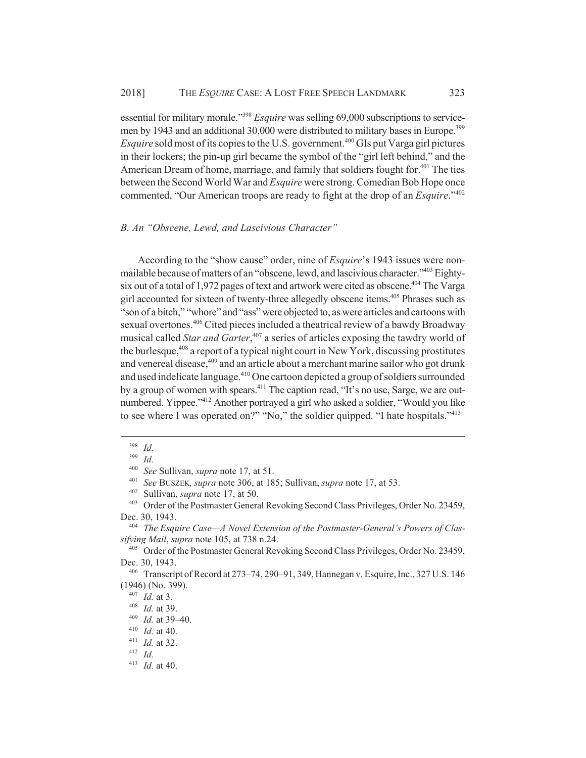essential for military morale."398 *Esquire* was selling 69,000 subscriptions to servicemen by 1943 and an additional 30,000 were distributed to military bases in Europe.<sup>399</sup> *Esquire* sold most of its copies to the U.S. government.<sup>400</sup> GIs put Varga girl pictures in their lockers; the pin-up girl became the symbol of the "girl left behind," and the American Dream of home, marriage, and family that soldiers fought for.<sup>401</sup> The ties between the Second World War and *Esquire* were strong. Comedian Bob Hope once commented, "Our American troops are ready to fight at the drop of an *Esquire*."402

### *B. An "Obscene, Lewd, and Lascivious Character"*

According to the "show cause" order, nine of *Esquire*'s 1943 issues were nonmailable because of matters of an "obscene, lewd, and lascivious character."403 Eightysix out of a total of 1,972 pages of text and artwork were cited as obscene.<sup>404</sup> The Varga girl accounted for sixteen of twenty-three allegedly obscene items.<sup>405</sup> Phrases such as "son of a bitch," "whore" and "ass" were objected to, as were articles and cartoons with sexual overtones.<sup>406</sup> Cited pieces included a theatrical review of a bawdy Broadway musical called *Star and Garter*, 407 a series of articles exposing the tawdry world of the burlesque,<sup>408</sup> a report of a typical night court in New York, discussing prostitutes and venereal disease,<sup>409</sup> and an article about a merchant marine sailor who got drunk and used indelicate language.<sup>410</sup> One cartoon depicted a group of soldiers surrounded by a group of women with spears.<sup>411</sup> The caption read, "It's no use, Sarge, we are outnumbered. Yippee."<sup>412</sup> Another portrayed a girl who asked a soldier, "Would you like to see where I was operated on?" "No," the soldier quipped. "I hate hospitals."<sup>413</sup>

<sup>398</sup> *Id.*

<sup>399</sup> *Id.*

<sup>400</sup> *See* Sullivan, *supra* note 17, at 51.

<sup>401</sup> *See* BUSZEK*, supra* note 306, at 185; Sullivan, *supra* note 17, at 53.

<sup>402</sup> Sullivan, *supra* note 17, at 50.

<sup>403</sup> Order of the Postmaster General Revoking Second Class Privileges, Order No. 23459, Dec. 30, 1943.

<sup>404</sup> *The Esquire Case—A Novel Extension of the Postmaster-General's Powers of Classifying Mail*, *supra* note 105, at 738 n.24.

<sup>405</sup> Order of the Postmaster General Revoking Second Class Privileges, Order No. 23459, Dec. 30, 1943.

<sup>406</sup> Transcript of Record at 273–74, 290–91, 349, Hannegan v. Esquire, Inc., 327 U.S. 146 (1946) (No. 399).

<sup>407</sup> *Id.* at 3.

<sup>408</sup> *Id.* at 39.

<sup>409</sup> *Id.* at 39–40.

<sup>410</sup> *Id.* at 40.

<sup>411</sup> *Id.* at 32.

<sup>412</sup> *Id.*

<sup>413</sup> *Id.* at 40.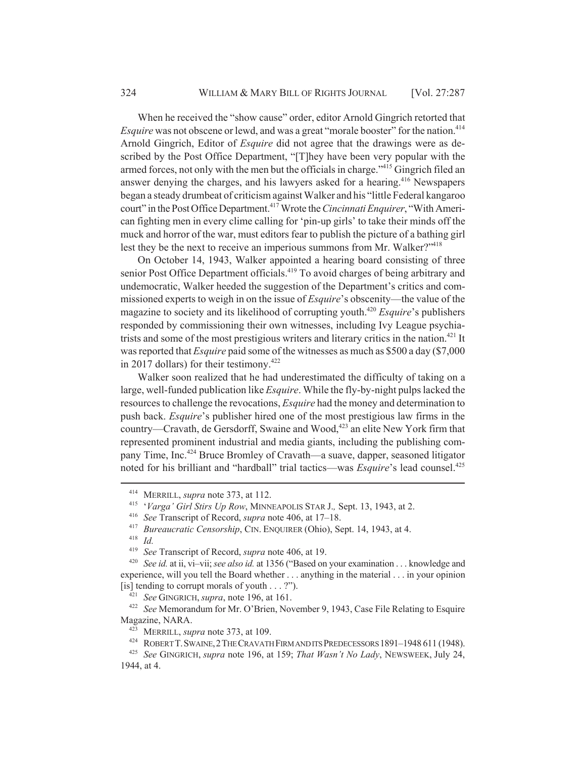When he received the "show cause" order, editor Arnold Gingrich retorted that *Esquire* was not obscene or lewd, and was a great "morale booster" for the nation.<sup>414</sup> Arnold Gingrich, Editor of *Esquire* did not agree that the drawings were as described by the Post Office Department, "[T]hey have been very popular with the armed forces, not only with the men but the officials in charge.<sup>"415</sup> Gingrich filed an answer denying the charges, and his lawyers asked for a hearing.<sup>416</sup> Newspapers began a steady drumbeat of criticism against Walker and his "little Federal kangaroo court" in the Post Office Department.<sup>417</sup> Wrote the *Cincinnati Enquirer*, "With American fighting men in every clime calling for 'pin-up girls' to take their minds off the muck and horror of the war, must editors fear to publish the picture of a bathing girl lest they be the next to receive an imperious summons from Mr. Walker?"<sup>418</sup>

On October 14, 1943, Walker appointed a hearing board consisting of three senior Post Office Department officials.<sup>419</sup> To avoid charges of being arbitrary and undemocratic, Walker heeded the suggestion of the Department's critics and commissioned experts to weigh in on the issue of *Esquire*'s obscenity—the value of the magazine to society and its likelihood of corrupting youth.420 *Esquire*'s publishers responded by commissioning their own witnesses, including Ivy League psychiatrists and some of the most prestigious writers and literary critics in the nation.<sup> $421$ </sup> It was reported that *Esquire* paid some of the witnesses as much as \$500 a day (\$7,000 in 2017 dollars) for their testimony.<sup>422</sup>

Walker soon realized that he had underestimated the difficulty of taking on a large, well-funded publication like *Esquire*. While the fly-by-night pulps lacked the resources to challenge the revocations, *Esquire* had the money and determination to push back. *Esquire*'s publisher hired one of the most prestigious law firms in the country—Cravath, de Gersdorff, Swaine and Wood, $423$  an elite New York firm that represented prominent industrial and media giants, including the publishing company Time, Inc.424 Bruce Bromley of Cravath—a suave, dapper, seasoned litigator noted for his brilliant and "hardball" trial tactics—was *Esquire*'s lead counsel.<sup>425</sup>

<sup>421</sup> *See* GINGRICH, *supra*, note 196, at 161.

<sup>414</sup> MERRILL, *supra* note 373, at 112.

<sup>415</sup> '*Varga' Girl Stirs Up Row*, MINNEAPOLIS STAR J.*,* Sept. 13, 1943, at 2.

<sup>416</sup> *See* Transcript of Record, *supra* note 406, at 17–18.

<sup>417</sup> *Bureaucratic Censorship*, CIN. ENQUIRER (Ohio), Sept. 14, 1943, at 4.

<sup>&</sup>lt;sup>418</sup> *Id.*<br><sup>419</sup> So

<sup>419</sup> *See* Transcript of Record, *supra* note 406, at 19.

See id. at ii, vi-vii; see also id. at 1356 ("Based on your examination . . . knowledge and experience, will you tell the Board whether . . . anything in the material . . . in your opinion [is] tending to corrupt morals of youth  $\dots$  ?").

<sup>422</sup> *See* Memorandum for Mr. O'Brien, November 9, 1943, Case File Relating to Esquire Magazine, NARA.

<sup>423</sup> MERRILL, *supra* note 373, at 109.

<sup>424</sup> ROBERT T.SWAINE,2THE CRAVATH FIRM AND ITS PREDECESSORS 1891–1948 611 (1948).

<sup>425</sup> *See* GINGRICH, *supra* note 196, at 159; *That Wasn't No Lady*, NEWSWEEK, July 24, 1944, at 4.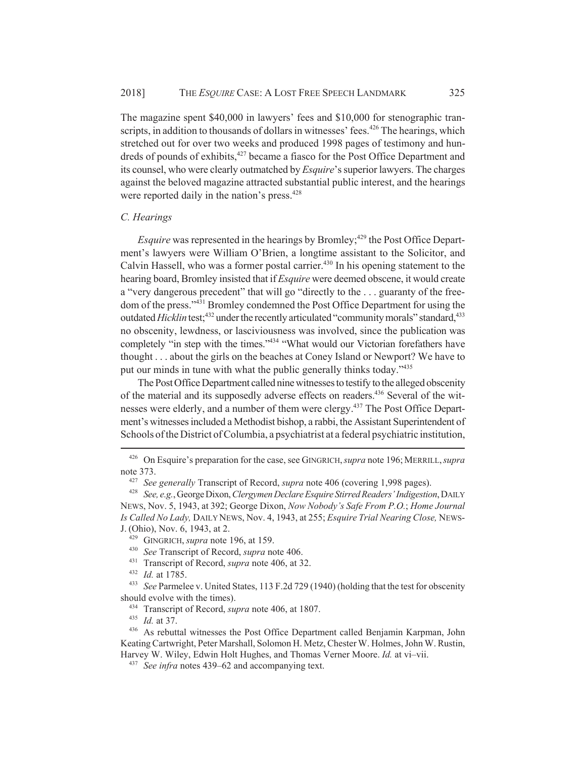The magazine spent \$40,000 in lawyers' fees and \$10,000 for stenographic transcripts, in addition to thousands of dollars in witnesses' fees.<sup>426</sup> The hearings, which stretched out for over two weeks and produced 1998 pages of testimony and hundreds of pounds of exhibits,<sup>427</sup> became a fiasco for the Post Office Department and its counsel, who were clearly outmatched by *Esquire*'s superior lawyers. The charges against the beloved magazine attracted substantial public interest, and the hearings were reported daily in the nation's press.<sup>428</sup>

### *C. Hearings*

*Esquire* was represented in the hearings by Bromley;<sup>429</sup> the Post Office Department's lawyers were William O'Brien, a longtime assistant to the Solicitor, and Calvin Hassell, who was a former postal carrier.<sup>430</sup> In his opening statement to the hearing board, Bromley insisted that if *Esquire* were deemed obscene, it would create a "very dangerous precedent" that will go "directly to the . . . guaranty of the freedom of the press."431 Bromley condemned the Post Office Department for using the outdated *Hicklin* test;<sup>432</sup> under the recently articulated "community morals" standard,<sup>433</sup> no obscenity, lewdness, or lasciviousness was involved, since the publication was completely "in step with the times."<sup>434</sup> "What would our Victorian forefathers have thought . . . about the girls on the beaches at Coney Island or Newport? We have to put our minds in tune with what the public generally thinks today."<sup>435</sup>

The Post Office Department called nine witnesses to testify to the alleged obscenity of the material and its supposedly adverse effects on readers.436 Several of the witnesses were elderly, and a number of them were clergy.<sup>437</sup> The Post Office Department's witnesses included a Methodist bishop, a rabbi, the Assistant Superintendent of Schools of the District of Columbia, a psychiatrist at a federal psychiatric institution,

<sup>432</sup> *Id.* at 1785.

<sup>433</sup> *See* Parmelee v. United States, 113 F.2d 729 (1940) (holding that the test for obscenity should evolve with the times).

<sup>434</sup> Transcript of Record, *supra* note 406, at 1807.

<sup>435</sup> *Id.* at 37.

<sup>426</sup> On Esquire's preparation for the case, see GINGRICH,*supra* note 196;MERRILL,*supra* note 373.

<sup>427</sup> *See generally* Transcript of Record, *supra* note 406 (covering 1,998 pages).

<sup>428</sup> *See, e.g.*, George Dixon, *Clergymen Declare Esquire Stirred Readers' Indigestion*, DAILY NEWS, Nov. 5, 1943, at 392; George Dixon, *Now Nobody's Safe From P.O.*; *Home Journal Is Called No Lady,* DAILY NEWS, Nov. 4, 1943, at 255; *Esquire Trial Nearing Close,* NEWS-J. (Ohio), Nov. 6, 1943, at 2.

<sup>429</sup> GINGRICH, *supra* note 196, at 159.

<sup>430</sup> *See* Transcript of Record, *supra* note 406.

<sup>431</sup> Transcript of Record, *supra* note 406, at 32.

<sup>436</sup> As rebuttal witnesses the Post Office Department called Benjamin Karpman, John Keating Cartwright, Peter Marshall, Solomon H. Metz, Chester W. Holmes, John W. Rustin, Harvey W. Wiley, Edwin Holt Hughes, and Thomas Verner Moore. *Id.* at vi–vii.

<sup>437</sup> *See infra* notes 439–62 and accompanying text.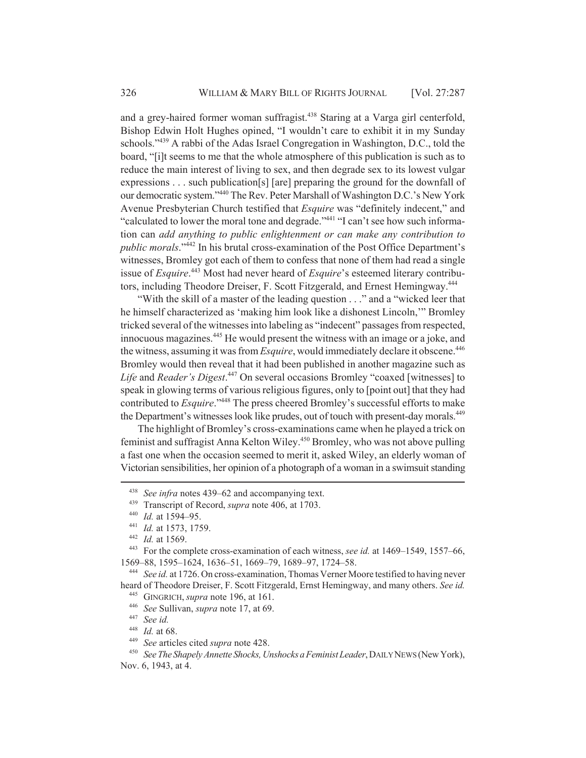and a grey-haired former woman suffragist.<sup>438</sup> Staring at a Varga girl centerfold, Bishop Edwin Holt Hughes opined, "I wouldn't care to exhibit it in my Sunday schools."<sup>439</sup> A rabbi of the Adas Israel Congregation in Washington, D.C., told the board, "[i]t seems to me that the whole atmosphere of this publication is such as to reduce the main interest of living to sex, and then degrade sex to its lowest vulgar expressions . . . such publication[s] [are] preparing the ground for the downfall of our democratic system."440 The Rev. Peter Marshall of Washington D.C.'s New York Avenue Presbyterian Church testified that *Esquire* was "definitely indecent," and "calculated to lower the moral tone and degrade."<sup>441</sup> "I can't see how such information can *add anything to public enlightenment or can make any contribution to public morals*."442 In his brutal cross-examination of the Post Office Department's witnesses, Bromley got each of them to confess that none of them had read a single issue of *Esquire*. 443 Most had never heard of *Esquire*'s esteemed literary contributors, including Theodore Dreiser, F. Scott Fitzgerald, and Ernest Hemingway.444

"With the skill of a master of the leading question . . ." and a "wicked leer that he himself characterized as 'making him look like a dishonest Lincoln,'" Bromley tricked several of the witnesses into labeling as "indecent" passages from respected, innocuous magazines.<sup>445</sup> He would present the witness with an image or a joke, and the witness, assuming it was from *Esquire*, would immediately declare it obscene.<sup>446</sup> Bromley would then reveal that it had been published in another magazine such as *Life* and *Reader's Digest*. 447 On several occasions Bromley "coaxed [witnesses] to speak in glowing terms of various religious figures, only to [point out] that they had contributed to *Esquire*."448 The press cheered Bromley's successful efforts to make the Department's witnesses look like prudes, out of touch with present-day morals.<sup>449</sup>

The highlight of Bromley's cross-examinations came when he played a trick on feminist and suffragist Anna Kelton Wiley.450 Bromley, who was not above pulling a fast one when the occasion seemed to merit it, asked Wiley, an elderly woman of Victorian sensibilities, her opinion of a photograph of a woman in a swimsuit standing

<sup>438</sup> *See infra* notes 439–62 and accompanying text.

<sup>439</sup> Transcript of Record, *supra* note 406, at 1703.

<sup>440</sup> *Id.* at 1594–95.

<sup>441</sup> *Id.* at 1573, 1759.

<sup>442</sup> *Id.* at 1569.

<sup>443</sup> For the complete cross-examination of each witness, *see id.* at 1469–1549, 1557–66, 1569–88, 1595–1624, 1636–51, 1669–79, 1689–97, 1724–58.

<sup>444</sup> *See id.* at 1726. On cross-examination, Thomas Verner Moore testified to having never heard of Theodore Dreiser, F. Scott Fitzgerald, Ernst Hemingway, and many others. *See id.*

<sup>445</sup> GINGRICH, *supra* note 196, at 161.

<sup>446</sup> *See* Sullivan, *supra* note 17, at 69.

<sup>447</sup> *See id.*

<sup>448</sup> *Id.* at 68.

<sup>449</sup> *See* articles cited *supra* note 428.

<sup>450</sup> *See The Shapely Annette Shocks, Unshocks a Feminist Leader*, DAILY NEWS (New York), Nov. 6, 1943, at 4.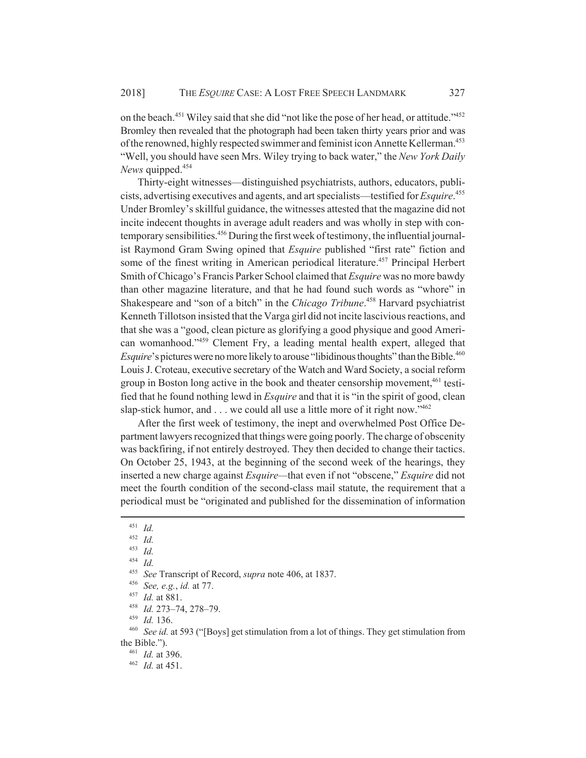on the beach.<sup>451</sup> Wiley said that she did "not like the pose of her head, or attitude."<sup>452</sup> Bromley then revealed that the photograph had been taken thirty years prior and was of the renowned, highly respected swimmer and feminist icon Annette Kellerman.<sup>453</sup> "Well, you should have seen Mrs. Wiley trying to back water," the *New York Daily News* quipped.454

Thirty-eight witnesses—distinguished psychiatrists, authors, educators, publicists, advertising executives and agents, and art specialists—testified for *Esquire*. 455 Under Bromley's skillful guidance, the witnesses attested that the magazine did not incite indecent thoughts in average adult readers and was wholly in step with contemporary sensibilities.<sup>456</sup> During the first week of testimony, the influential journalist Raymond Gram Swing opined that *Esquire* published "first rate" fiction and some of the finest writing in American periodical literature.<sup>457</sup> Principal Herbert Smith of Chicago's Francis Parker School claimed that *Esquire* was no more bawdy than other magazine literature, and that he had found such words as "whore" in Shakespeare and "son of a bitch" in the *Chicago Tribune*. 458 Harvard psychiatrist Kenneth Tillotson insisted that the Varga girl did not incite lascivious reactions, and that she was a "good, clean picture as glorifying a good physique and good American womanhood."459 Clement Fry, a leading mental health expert, alleged that *Esquire*'s pictures were no more likely to arouse "libidinous thoughts" than the Bible.<sup>460</sup> Louis J. Croteau, executive secretary of the Watch and Ward Society, a social reform group in Boston long active in the book and theater censorship movement,  $461$  testified that he found nothing lewd in *Esquire* and that it is "in the spirit of good, clean slap-stick humor, and . . . we could all use a little more of it right now."<sup>462</sup>

After the first week of testimony, the inept and overwhelmed Post Office Department lawyers recognized that things were going poorly. The charge of obscenity was backfiring, if not entirely destroyed. They then decided to change their tactics. On October 25, 1943, at the beginning of the second week of the hearings, they inserted a new charge against *Esquire—*that even if not "obscene," *Esquire* did not meet the fourth condition of the second-class mail statute, the requirement that a periodical must be "originated and published for the dissemination of information

<sup>459</sup> *Id.* 136.<br><sup>460</sup> *See id.* a

See id. at 593 ("[Boys] get stimulation from a lot of things. They get stimulation from the Bible.").

<sup>461</sup> *Id.* at 396.

<sup>462</sup> *Id.* at 451.

<sup>451</sup> *Id.*

 $\frac{452}{453}$  *Id.* 

 $\frac{453}{454}$  *Id.* 

 $\frac{454}{455}$  *Id.* 

<sup>455</sup> *See* Transcript of Record, *supra* note 406, at 1837.

<sup>456</sup> *See, e.g.*, *id.* at 77.

*Id.* at 881.

<sup>458</sup> *Id.* 273–74, 278–79.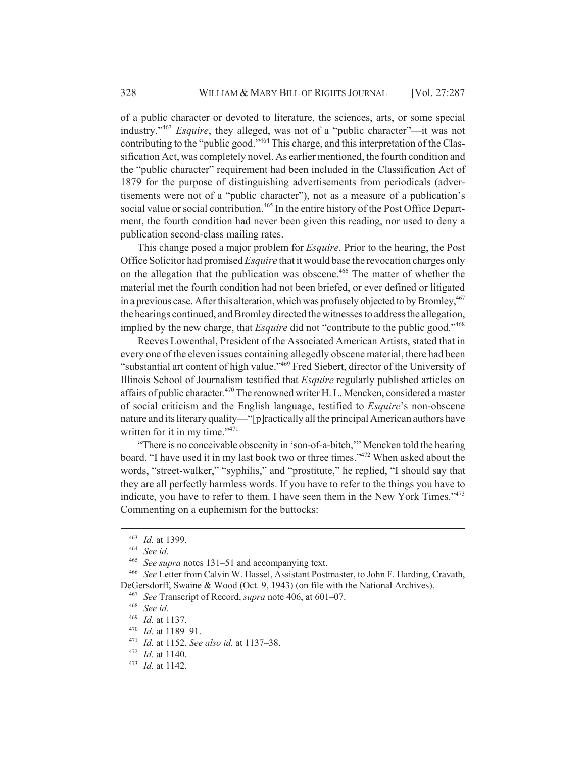of a public character or devoted to literature, the sciences, arts, or some special industry."463 *Esquire*, they alleged, was not of a "public character"—it was not contributing to the "public good."464 This charge, and this interpretation of the Classification Act, was completely novel. As earlier mentioned, the fourth condition and the "public character" requirement had been included in the Classification Act of 1879 for the purpose of distinguishing advertisements from periodicals (advertisements were not of a "public character"), not as a measure of a publication's social value or social contribution.<sup>465</sup> In the entire history of the Post Office Department, the fourth condition had never been given this reading, nor used to deny a publication second-class mailing rates.

This change posed a major problem for *Esquire*. Prior to the hearing, the Post Office Solicitor had promised *Esquire* that it would base the revocation charges only on the allegation that the publication was obscene.<sup>466</sup> The matter of whether the material met the fourth condition had not been briefed, or ever defined or litigated in a previous case. After this alteration, which was profusely objected to by Bromley,  $467$ the hearings continued, and Bromley directed the witnesses to address the allegation, implied by the new charge, that *Esquire* did not "contribute to the public good."468

Reeves Lowenthal, President of the Associated American Artists, stated that in every one of the eleven issues containing allegedly obscene material, there had been "substantial art content of high value."<sup>469</sup> Fred Siebert, director of the University of Illinois School of Journalism testified that *Esquire* regularly published articles on affairs of public character.<sup>470</sup> The renowned writer H. L. Mencken, considered a master of social criticism and the English language, testified to *Esquire*'s non-obscene nature and its literary quality—"[p]ractically all the principal American authors have written for it in my time."<sup>471</sup>

"There is no conceivable obscenity in 'son-of-a-bitch,'" Mencken told the hearing board. "I have used it in my last book two or three times."472 When asked about the words, "street-walker," "syphilis," and "prostitute," he replied, "I should say that they are all perfectly harmless words. If you have to refer to the things you have to indicate, you have to refer to them. I have seen them in the New York Times."<sup>473</sup> Commenting on a euphemism for the buttocks:

<sup>470</sup> *Id.* at 1189–91.

<sup>463</sup> *Id.* at 1399.

<sup>464</sup> *See id.*

<sup>465</sup> *See supra* notes 131–51 and accompanying text.

<sup>466</sup> *See* Letter from Calvin W. Hassel, Assistant Postmaster, to John F. Harding, Cravath, DeGersdorff, Swaine & Wood (Oct. 9, 1943) (on file with the National Archives).

<sup>467</sup> *See* Transcript of Record, *supra* note 406, at 601–07.

<sup>468</sup> *See id.*

<sup>469</sup> *Id.* at 1137.

<sup>471</sup> *Id.* at 1152. *See also id.* at 1137–38.

<sup>472</sup> *Id.* at 1140.

<sup>473</sup> *Id.* at 1142.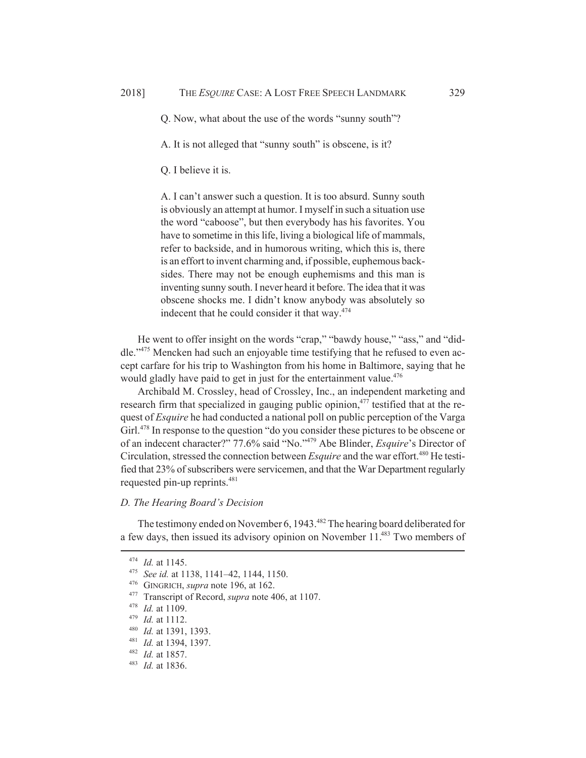Q. Now, what about the use of the words "sunny south"?

A. It is not alleged that "sunny south" is obscene, is it?

Q. I believe it is.

A. I can't answer such a question. It is too absurd. Sunny south is obviously an attempt at humor. I myself in such a situation use the word "caboose", but then everybody has his favorites. You have to sometime in this life, living a biological life of mammals, refer to backside, and in humorous writing, which this is, there is an effort to invent charming and, if possible, euphemous backsides. There may not be enough euphemisms and this man is inventing sunny south. I never heard it before. The idea that it was obscene shocks me. I didn't know anybody was absolutely so indecent that he could consider it that way.<sup>474</sup>

He went to offer insight on the words "crap," "bawdy house," "ass," and "diddle."475 Mencken had such an enjoyable time testifying that he refused to even accept carfare for his trip to Washington from his home in Baltimore, saying that he would gladly have paid to get in just for the entertainment value.<sup>476</sup>

Archibald M. Crossley, head of Crossley, Inc., an independent marketing and research firm that specialized in gauging public opinion, $477$  testified that at the request of *Esquire* he had conducted a national poll on public perception of the Varga Girl.<sup>478</sup> In response to the question "do you consider these pictures to be obscene or of an indecent character?" 77.6% said "No."479 Abe Blinder, *Esquire*'s Director of Circulation, stressed the connection between *Esquire* and the war effort.<sup>480</sup> He testified that 23% of subscribers were servicemen, and that the War Department regularly requested pin-up reprints.<sup>481</sup>

### *D. The Hearing Board's Decision*

The testimony ended on November 6, 1943.<sup>482</sup> The hearing board deliberated for a few days, then issued its advisory opinion on November 11.<sup>483</sup> Two members of

<sup>474</sup> *Id.* at 1145.

<sup>475</sup> *See id.* at 1138, 1141–42, 1144, 1150.

<sup>476</sup> GINGRICH, *supra* note 196, at 162.

<sup>477</sup> Transcript of Record, *supra* note 406, at 1107.

<sup>478</sup> *Id.* at 1109.

<sup>479</sup> *Id.* at 1112.

<sup>480</sup> *Id.* at 1391, 1393.

<sup>481</sup> *Id.* at 1394, 1397.

<sup>482</sup> *Id.* at 1857.

<sup>483</sup> *Id.* at 1836.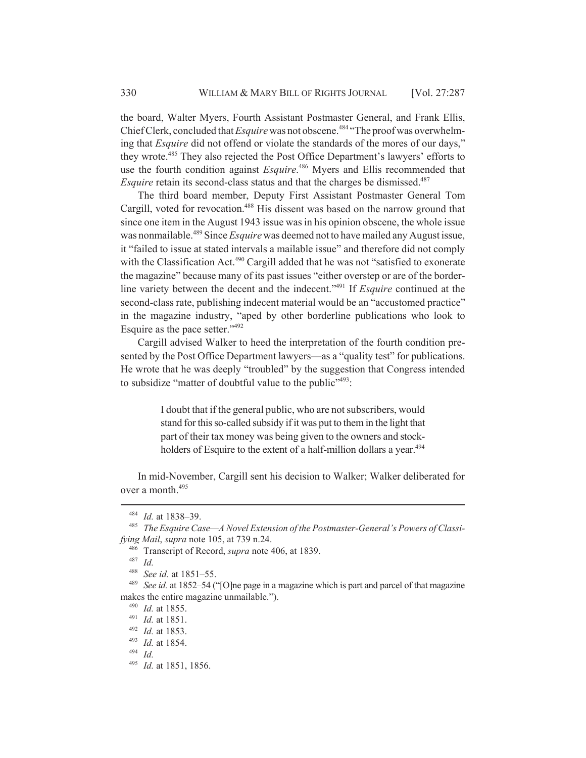the board, Walter Myers, Fourth Assistant Postmaster General, and Frank Ellis, Chief Clerk, concluded that *Esquire* was not obscene.<sup>484</sup> "The proof was overwhelming that *Esquire* did not offend or violate the standards of the mores of our days," they wrote.485 They also rejected the Post Office Department's lawyers' efforts to use the fourth condition against *Esquire*. 486 Myers and Ellis recommended that *Esquire* retain its second-class status and that the charges be dismissed.<sup>487</sup>

The third board member, Deputy First Assistant Postmaster General Tom Cargill, voted for revocation.<sup>488</sup> His dissent was based on the narrow ground that since one item in the August 1943 issue was in his opinion obscene, the whole issue was nonmailable.489 Since *Esquire* was deemed not to have mailed any August issue, it "failed to issue at stated intervals a mailable issue" and therefore did not comply with the Classification Act.<sup>490</sup> Cargill added that he was not "satisfied to exonerate the magazine" because many of its past issues "either overstep or are of the borderline variety between the decent and the indecent."491 If *Esquire* continued at the second-class rate, publishing indecent material would be an "accustomed practice" in the magazine industry, "aped by other borderline publications who look to Esquire as the pace setter."492

Cargill advised Walker to heed the interpretation of the fourth condition presented by the Post Office Department lawyers—as a "quality test" for publications. He wrote that he was deeply "troubled" by the suggestion that Congress intended to subsidize "matter of doubtful value to the public" $493$ :

> I doubt that if the general public, who are not subscribers, would stand for this so-called subsidy if it was put to them in the light that part of their tax money was being given to the owners and stockholders of Esquire to the extent of a half-million dollars a year.<sup>494</sup>

In mid-November, Cargill sent his decision to Walker; Walker deliberated for over a month.495

<sup>484</sup> *Id.* at 1838–39.

<sup>485</sup> *The Esquire Case—A Novel Extension of the Postmaster-General's Powers of Classifying Mail*, *supra* note 105, at 739 n.24.

<sup>486</sup> Transcript of Record, *supra* note 406, at 1839.

<sup>488</sup> *See id.* at 1851–55.

<sup>489</sup> *See id.* at 1852–54 ("[O]ne page in a magazine which is part and parcel of that magazine makes the entire magazine unmailable.").

<sup>490</sup> *Id.* at 1855.

<sup>491</sup> *Id.* at 1851.

<sup>492</sup> *Id.* at 1853.

<sup>493</sup> *Id.* at 1854.

<sup>494</sup> *Id.*

<sup>495</sup> *Id.* at 1851, 1856.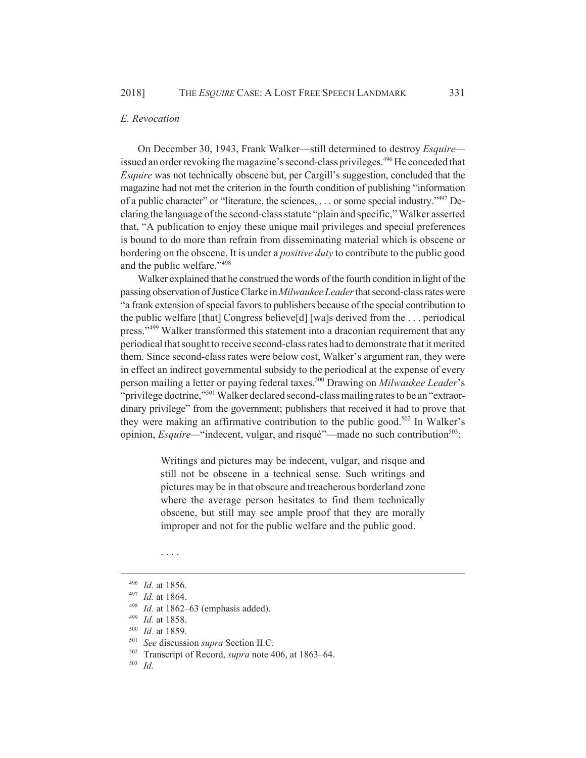#### *E. Revocation*

On December 30, 1943, Frank Walker—still determined to destroy *Esquire* issued an order revoking the magazine's second-class privileges.<sup>496</sup> He conceded that *Esquire* was not technically obscene but, per Cargill's suggestion, concluded that the magazine had not met the criterion in the fourth condition of publishing "information of a public character" or "literature, the sciences, . . . or some special industry."497 Declaring the language of the second-class statute "plain and specific," Walker asserted that, "A publication to enjoy these unique mail privileges and special preferences is bound to do more than refrain from disseminating material which is obscene or bordering on the obscene. It is under a *positive duty* to contribute to the public good and the public welfare."498

Walker explained that he construed the words of the fourth condition in light of the passing observation of Justice Clarke in *Milwaukee Leader* that second-class rates were "a frank extension of special favors to publishers because of the special contribution to the public welfare [that] Congress believe[d] [wa]s derived from the . . . periodical press."<sup>499</sup> Walker transformed this statement into a draconian requirement that any periodical that sought to receive second-class rates had to demonstrate that it merited them. Since second-class rates were below cost, Walker's argument ran, they were in effect an indirect governmental subsidy to the periodical at the expense of every person mailing a letter or paying federal taxes.500 Drawing on *Milwaukee Leader*'s "privilege doctrine,"<sup>501</sup> Walker declared second-class mailing rates to be an "extraordinary privilege" from the government; publishers that received it had to prove that they were making an affirmative contribution to the public good.<sup>502</sup> In Walker's opinion, *Esquire*—"indecent, vulgar, and risqué"—made no such contribution<sup>503</sup>:

> Writings and pictures may be indecent, vulgar, and risque and still not be obscene in a technical sense. Such writings and pictures may be in that obscure and treacherous borderland zone where the average person hesitates to find them technically obscene, but still may see ample proof that they are morally improper and not for the public welfare and the public good.

. . . .

<sup>496</sup> *Id.* at 1856.

<sup>497</sup> *Id.* at 1864.

<sup>498</sup> *Id.* at 1862–63 (emphasis added).

<sup>499</sup> *Id.* at 1858.

<sup>500</sup> *Id.* at 1859.

<sup>501</sup> *See* discussion *supra* Section II.C.

<sup>502</sup> Transcript of Record, *supra* note 406, at 1863–64.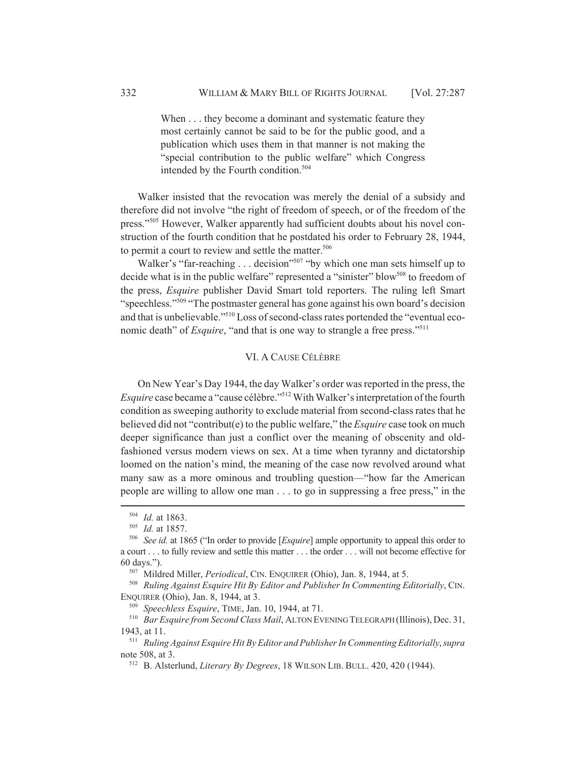When . . . they become a dominant and systematic feature they most certainly cannot be said to be for the public good, and a publication which uses them in that manner is not making the "special contribution to the public welfare" which Congress intended by the Fourth condition.<sup>504</sup>

Walker insisted that the revocation was merely the denial of a subsidy and therefore did not involve "the right of freedom of speech, or of the freedom of the press."505 However, Walker apparently had sufficient doubts about his novel construction of the fourth condition that he postdated his order to February 28, 1944, to permit a court to review and settle the matter.<sup>506</sup>

Walker's "far-reaching . . . decision"<sup>507</sup> "by which one man sets himself up to decide what is in the public welfare" represented a "sinister" blow<sup>508</sup> to freedom of the press, *Esquire* publisher David Smart told reporters. The ruling left Smart "speechless."<sup>509</sup> "The postmaster general has gone against his own board's decision and that is unbelievable."510 Loss of second-class rates portended the "eventual economic death" of *Esquire*, "and that is one way to strangle a free press."<sup>511</sup>

# VI. A CAUSE CÉLÈBRE

On New Year's Day 1944, the day Walker's order was reported in the press, the *Esquire* case became a "cause célèbre."<sup>512</sup> With Walker's interpretation of the fourth condition as sweeping authority to exclude material from second-class rates that he believed did not "contribut(e) to the public welfare," the *Esquire* case took on much deeper significance than just a conflict over the meaning of obscenity and oldfashioned versus modern views on sex. At a time when tyranny and dictatorship loomed on the nation's mind, the meaning of the case now revolved around what many saw as a more ominous and troubling question—"how far the American people are willing to allow one man . . . to go in suppressing a free press," in the

<sup>504</sup> *Id.* at 1863.

<sup>505</sup> *Id.* at 1857.

<sup>506</sup> *See id.* at 1865 ("In order to provide [*Esquire*] ample opportunity to appeal this order to a court . . . to fully review and settle this matter . . . the order . . . will not become effective for 60 days.").<br><sup>507</sup> Mildred Miller, *Periodical*, CIN. ENQUIRER (Ohio), Jan. 8, 1944, at 5.

<sup>&</sup>lt;sup>508</sup> Ruling Against Esquire Hit By Editor and Publisher In Commenting Editorially, CIN. ENQUIRER (Ohio), Jan. 8, 1944, at 3.

<sup>509</sup> *Speechless Esquire*, TIME, Jan. 10, 1944, at 71.

<sup>510</sup> *Bar Esquire from Second Class Mail*, ALTON EVENING TELEGRAPH (Illinois), Dec. 31, 1943, at 11.

<sup>511</sup> *Ruling Against Esquire Hit By Editor and Publisher In Commenting Editorially*, *supra* note 508, at 3.

<sup>512</sup> B. Alsterlund, *Literary By Degrees*, 18 WILSON LIB. BULL. 420, 420 (1944).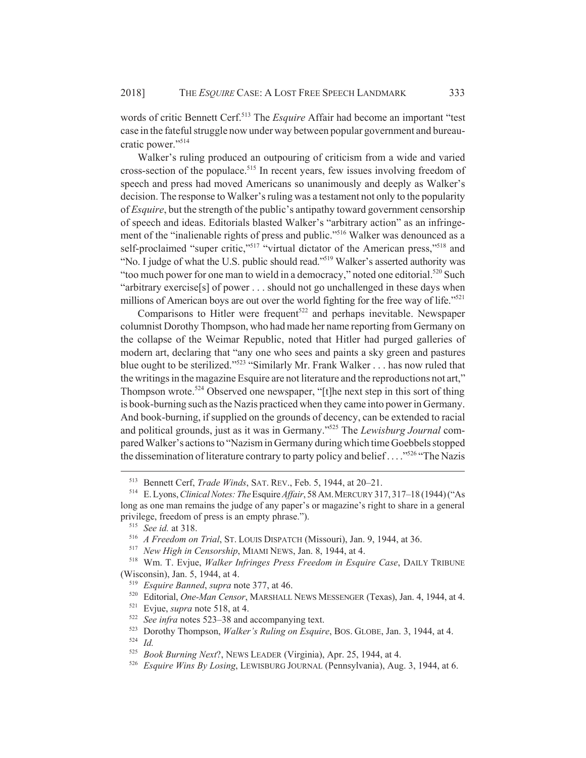words of critic Bennett Cerf.<sup>513</sup> The *Esquire* Affair had become an important "test case in the fateful struggle now under way between popular government and bureaucratic power."514

Walker's ruling produced an outpouring of criticism from a wide and varied cross-section of the populace.<sup>515</sup> In recent years, few issues involving freedom of speech and press had moved Americans so unanimously and deeply as Walker's decision. The response to Walker's ruling was a testament not only to the popularity of *Esquire*, but the strength of the public's antipathy toward government censorship of speech and ideas. Editorials blasted Walker's "arbitrary action" as an infringement of the "inalienable rights of press and public."<sup>516</sup> Walker was denounced as a self-proclaimed "super critic,"<sup>517</sup> "virtual dictator of the American press,"<sup>518</sup> and "No. I judge of what the U.S. public should read."519 Walker's asserted authority was "too much power for one man to wield in a democracy," noted one editorial.<sup>520</sup> Such "arbitrary exercise[s] of power . . . should not go unchallenged in these days when millions of American boys are out over the world fighting for the free way of life."<sup>521</sup>

Comparisons to Hitler were frequent<sup>522</sup> and perhaps inevitable. Newspaper columnist Dorothy Thompson, who had made her name reporting from Germany on the collapse of the Weimar Republic, noted that Hitler had purged galleries of modern art, declaring that "any one who sees and paints a sky green and pastures blue ought to be sterilized."523 "Similarly Mr. Frank Walker . . . has now ruled that the writings in the magazine Esquire are not literature and the reproductions not art," Thompson wrote.<sup>524</sup> Observed one newspaper, "[t]he next step in this sort of thing is book-burning such as the Nazis practiced when they came into power in Germany. And book-burning, if supplied on the grounds of decency, can be extended to racial and political grounds, just as it was in Germany."525 The *Lewisburg Journal* compared Walker's actions to "Nazism in Germany during which time Goebbels stopped the dissemination of literature contrary to party policy and belief  $\ldots$  <sup>5526</sup> "The Nazis"

<sup>513</sup> Bennett Cerf, *Trade Winds*, SAT. REV., Feb. 5, 1944, at 20–21.

<sup>514</sup> E. Lyons, *Clinical Notes: The* Esquire *Affair*, 58 AM.MERCURY 317, 317–18 (1944) ("As long as one man remains the judge of any paper's or magazine's right to share in a general privilege, freedom of press is an empty phrase.").

<sup>515</sup> *See id.* at 318.

<sup>516</sup> *A Freedom on Trial*, ST. LOUIS DISPATCH (Missouri), Jan. 9, 1944, at 36.

<sup>517</sup> *New High in Censorship*, MIAMI NEWS, Jan. 8, 1944, at 4.

<sup>518</sup> Wm. T. Evjue, *Walker Infringes Press Freedom in Esquire Case*, DAILY TRIBUNE (Wisconsin), Jan. 5, 1944, at 4.

<sup>519</sup> *Esquire Banned*, *supra* note 377, at 46.

<sup>520</sup> Editorial, *One-Man Censor*, MARSHALL NEWS MESSENGER (Texas), Jan. 4, 1944, at 4.

<sup>521</sup> Evjue, *supra* note 518, at 4.

<sup>522</sup> *See infra* notes 523–38 and accompanying text.

<sup>523</sup> Dorothy Thompson, *Walker's Ruling on Esquire*, BOS. GLOBE, Jan. 3, 1944, at 4. <sup>524</sup> *Id.*

<sup>525</sup> *Book Burning Next*?, NEWS LEADER (Virginia), Apr. 25, 1944, at 4.

<sup>526</sup> *Esquire Wins By Losing*, LEWISBURG JOURNAL (Pennsylvania), Aug. 3, 1944, at 6.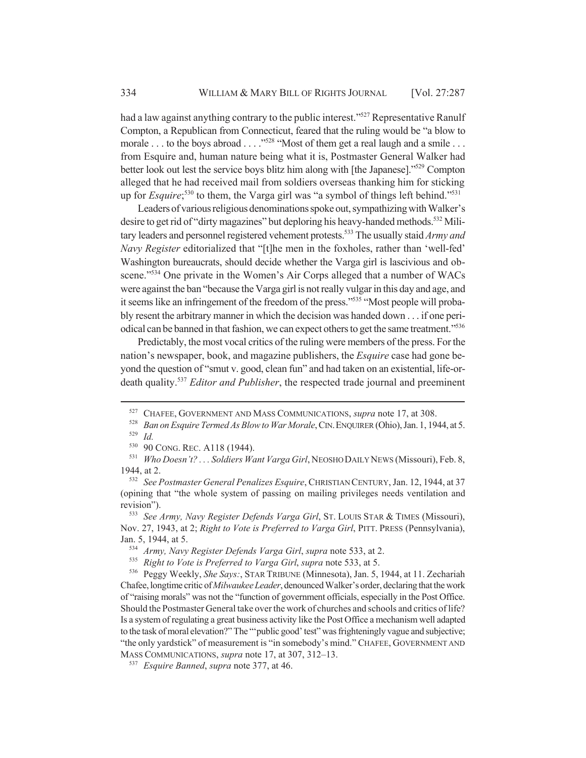had a law against anything contrary to the public interest."<sup>527</sup> Representative Ranulf Compton, a Republican from Connecticut, feared that the ruling would be "a blow to morale . . . to the boys abroad . . . . "<sup>528</sup> "Most of them get a real laugh and a smile . . . from Esquire and, human nature being what it is, Postmaster General Walker had better look out lest the service boys blitz him along with [the Japanese]."529 Compton alleged that he had received mail from soldiers overseas thanking him for sticking up for *Esquire*;<sup>530</sup> to them, the Varga girl was "a symbol of things left behind."<sup>531</sup>

Leaders of various religious denominations spoke out, sympathizing with Walker's desire to get rid of "dirty magazines" but deploring his heavy-handed methods.<sup>532</sup> Military leaders and personnel registered vehement protests.533 The usually staid *Army and Navy Register* editorialized that "[t]he men in the foxholes, rather than 'well-fed' Washington bureaucrats, should decide whether the Varga girl is lascivious and obscene."<sup>534</sup> One private in the Women's Air Corps alleged that a number of WACs were against the ban "because the Varga girl is not really vulgar in this day and age, and it seems like an infringement of the freedom of the press."535 "Most people will probably resent the arbitrary manner in which the decision was handed down . . . if one periodical can be banned in that fashion, we can expect others to get the same treatment."536

Predictably, the most vocal critics of the ruling were members of the press. For the nation's newspaper, book, and magazine publishers, the *Esquire* case had gone beyond the question of "smut v. good, clean fun" and had taken on an existential, life-ordeath quality.537 *Editor and Publisher*, the respected trade journal and preeminent

<sup>527</sup> CHAFEE, GOVERNMENT AND MASS COMMUNICATIONS, *supra* note 17, at 308.

<sup>&</sup>lt;sup>528</sup> *Ban on Esquire Termed As Blow to War Morale*, CIN. ENQUIRER (Ohio), Jan. 1, 1944, at 5.  $\frac{529}{530}$  *Id.* 

 $^{530}$  90 CONG. REC. A118 (1944).<br> $^{531}$  Who Doesn't? Soldiers Wa

<sup>531</sup> *Who Doesn't? . . . Soldiers Want Varga Girl*, NEOSHO DAILY NEWS (Missouri), Feb. 8, 1944, at 2.

<sup>532</sup> *See Postmaster General Penalizes Esquire*, CHRISTIAN CENTURY, Jan. 12, 1944, at 37 (opining that "the whole system of passing on mailing privileges needs ventilation and revision").

<sup>533</sup> *See Army, Navy Register Defends Varga Girl*, ST. LOUIS STAR & TIMES (Missouri), Nov. 27, 1943, at 2; *Right to Vote is Preferred to Varga Girl*, PITT. PRESS (Pennsylvania), Jan. 5, 1944, at 5.

<sup>534</sup> *Army, Navy Register Defends Varga Girl*, *supra* note 533, at 2.

<sup>535</sup> *Right to Vote is Preferred to Varga Girl*, *supra* note 533, at 5.

<sup>536</sup> Peggy Weekly, *She Says:*, STAR TRIBUNE (Minnesota), Jan. 5, 1944, at 11. Zechariah Chafee, longtime critic of *Milwaukee Leader*, denounced Walker's order, declaring that the work of "raising morals" was not the "function of government officials, especially in the Post Office. Should the Postmaster General take over the work of churches and schools and critics of life? Is a system of regulating a great business activity like the Post Office a mechanism well adapted to the task of moral elevation?" The "'public good' test" was frighteningly vague and subjective; "the only yardstick" of measurement is "in somebody's mind." CHAFEE, GOVERNMENT AND MASS COMMUNICATIONS, *supra* note 17, at 307, 312–13.

<sup>537</sup> *Esquire Banned*, *supra* note 377, at 46.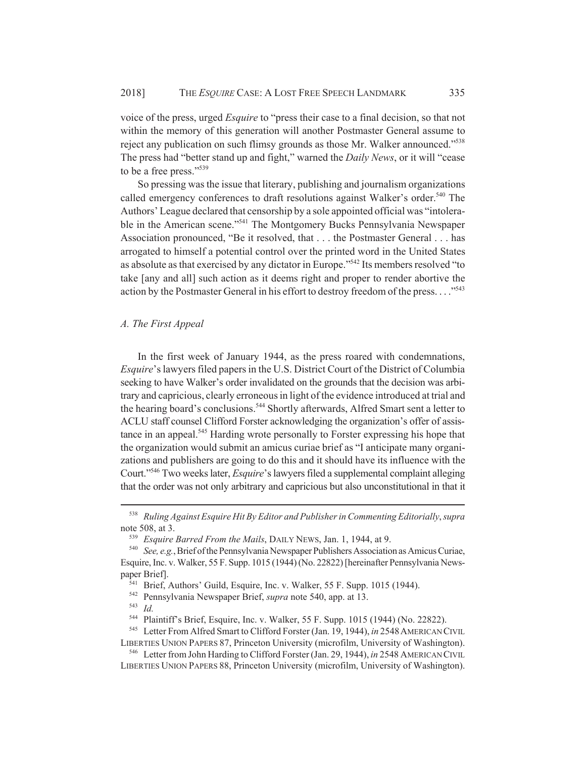voice of the press, urged *Esquire* to "press their case to a final decision, so that not within the memory of this generation will another Postmaster General assume to reject any publication on such flimsy grounds as those Mr. Walker announced."538 The press had "better stand up and fight," warned the *Daily News*, or it will "cease to be a free press."539

So pressing was the issue that literary, publishing and journalism organizations called emergency conferences to draft resolutions against Walker's order.<sup>540</sup> The Authors' League declared that censorship by a sole appointed official was "intolerable in the American scene."<sup>541</sup> The Montgomery Bucks Pennsylvania Newspaper Association pronounced, "Be it resolved, that . . . the Postmaster General . . . has arrogated to himself a potential control over the printed word in the United States as absolute as that exercised by any dictator in Europe."542 Its members resolved "to take [any and all] such action as it deems right and proper to render abortive the action by the Postmaster General in his effort to destroy freedom of the press..."<sup>543</sup>

## *A. The First Appeal*

In the first week of January 1944, as the press roared with condemnations, *Esquire*'s lawyers filed papers in the U.S. District Court of the District of Columbia seeking to have Walker's order invalidated on the grounds that the decision was arbitrary and capricious, clearly erroneous in light of the evidence introduced at trial and the hearing board's conclusions.<sup>544</sup> Shortly afterwards, Alfred Smart sent a letter to ACLU staff counsel Clifford Forster acknowledging the organization's offer of assistance in an appeal.<sup>545</sup> Harding wrote personally to Forster expressing his hope that the organization would submit an amicus curiae brief as "I anticipate many organizations and publishers are going to do this and it should have its influence with the Court."546 Two weeks later, *Esquire*'s lawyers filed a supplemental complaint alleging that the order was not only arbitrary and capricious but also unconstitutional in that it

<sup>538</sup> *Ruling Against Esquire Hit By Editor and Publisher in Commenting Editorially*, *supra* note 508, at 3.

<sup>539</sup> *Esquire Barred From the Mails*, DAILY NEWS, Jan. 1, 1944, at 9.

<sup>540</sup> *See, e.g.*, Brief of the Pennsylvania Newspaper Publishers Association as Amicus Curiae, Esquire, Inc. v. Walker, 55 F. Supp. 1015 (1944) (No. 22822) [hereinafter Pennsylvania Newspaper Brief].

 $\overline{541}$  Brief, Authors' Guild, Esquire, Inc. v. Walker, 55 F. Supp. 1015 (1944).

<sup>542</sup> Pennsylvania Newspaper Brief, *supra* note 540, app. at 13.

<sup>543</sup> *Id.*

<sup>544</sup> Plaintiff's Brief, Esquire, Inc. v. Walker, 55 F. Supp. 1015 (1944) (No. 22822).

<sup>545</sup> Letter From Alfred Smart to Clifford Forster (Jan. 19, 1944), *in* 2548AMERICAN CIVIL LIBERTIES UNION PAPERS 87, Princeton University (microfilm, University of Washington).

<sup>546</sup> Letter from John Harding to Clifford Forster (Jan. 29, 1944), *in* 2548 AMERICAN CIVIL LIBERTIES UNION PAPERS 88, Princeton University (microfilm, University of Washington).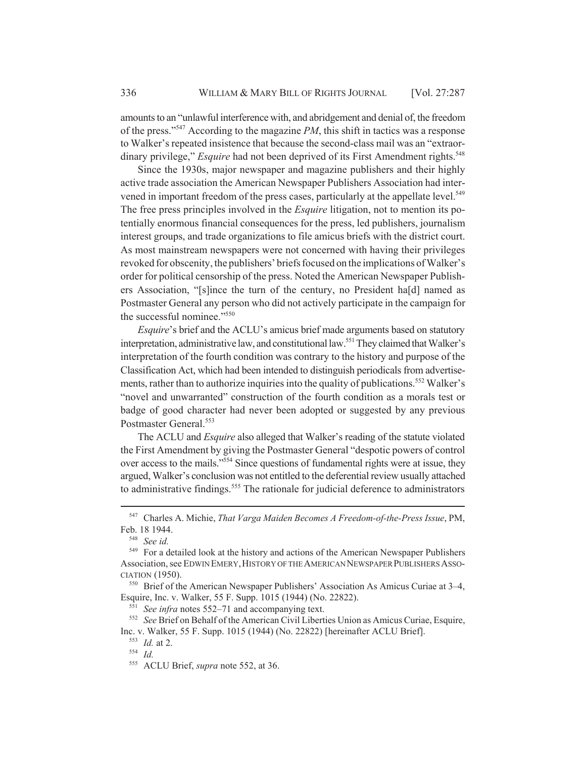amounts to an "unlawful interference with, and abridgement and denial of, the freedom of the press."547 According to the magazine *PM*, this shift in tactics was a response to Walker's repeated insistence that because the second-class mail was an "extraordinary privilege," *Esquire* had not been deprived of its First Amendment rights.<sup>548</sup>

Since the 1930s, major newspaper and magazine publishers and their highly active trade association the American Newspaper Publishers Association had intervened in important freedom of the press cases, particularly at the appellate level.<sup>549</sup> The free press principles involved in the *Esquire* litigation, not to mention its potentially enormous financial consequences for the press, led publishers, journalism interest groups, and trade organizations to file amicus briefs with the district court. As most mainstream newspapers were not concerned with having their privileges revoked for obscenity, the publishers' briefs focused on the implications of Walker's order for political censorship of the press. Noted the American Newspaper Publishers Association, "[s]ince the turn of the century, no President ha[d] named as Postmaster General any person who did not actively participate in the campaign for the successful nominee."550

*Esquire*'s brief and the ACLU's amicus brief made arguments based on statutory interpretation, administrative law, and constitutional law.<sup>551</sup> They claimed that Walker's interpretation of the fourth condition was contrary to the history and purpose of the Classification Act, which had been intended to distinguish periodicals from advertisements, rather than to authorize inquiries into the quality of publications.<sup>552</sup> Walker's "novel and unwarranted" construction of the fourth condition as a morals test or badge of good character had never been adopted or suggested by any previous Postmaster General.<sup>553</sup>

The ACLU and *Esquire* also alleged that Walker's reading of the statute violated the First Amendment by giving the Postmaster General "despotic powers of control over access to the mails."554 Since questions of fundamental rights were at issue, they argued, Walker's conclusion was not entitled to the deferential review usually attached to administrative findings.<sup>555</sup> The rationale for judicial deference to administrators

<sup>547</sup> Charles A. Michie, *That Varga Maiden Becomes A Freedom-of-the-Press Issue*, PM, Feb. 18 1944.

<sup>548</sup> *See id.*

<sup>549</sup> For a detailed look at the history and actions of the American Newspaper Publishers Association, see EDWIN EMERY,HISTORY OF THE AMERICAN NEWSPAPER PUBLISHERS ASSO-CIATION (1950).

<sup>550</sup> Brief of the American Newspaper Publishers' Association As Amicus Curiae at 3–4, Esquire, Inc. v. Walker, 55 F. Supp. 1015 (1944) (No. 22822).

<sup>551</sup> *See infra* notes 552–71 and accompanying text.

<sup>552</sup> *See* Brief on Behalf of the American Civil Liberties Union as Amicus Curiae, Esquire, Inc. v. Walker, 55 F. Supp. 1015 (1944) (No. 22822) [hereinafter ACLU Brief].

<sup>553</sup> *Id.* at 2.

<sup>554</sup> *Id.*

<sup>555</sup> ACLU Brief, *supra* note 552, at 36.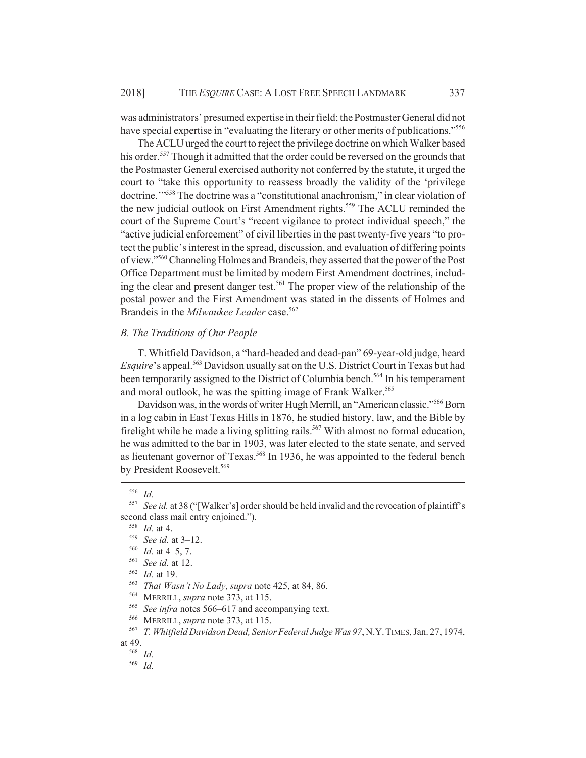was administrators' presumed expertise in their field; the Postmaster General did not have special expertise in "evaluating the literary or other merits of publications."<sup>556</sup>

The ACLU urged the court to reject the privilege doctrine on which Walker based his order.<sup>557</sup> Though it admitted that the order could be reversed on the grounds that the Postmaster General exercised authority not conferred by the statute, it urged the court to "take this opportunity to reassess broadly the validity of the 'privilege doctrine.'"558 The doctrine was a "constitutional anachronism," in clear violation of the new judicial outlook on First Amendment rights.<sup>559</sup> The ACLU reminded the court of the Supreme Court's "recent vigilance to protect individual speech," the "active judicial enforcement" of civil liberties in the past twenty-five years "to protect the public's interest in the spread, discussion, and evaluation of differing points of view."560 Channeling Holmes and Brandeis, they asserted that the power of the Post Office Department must be limited by modern First Amendment doctrines, including the clear and present danger test.<sup>561</sup> The proper view of the relationship of the postal power and the First Amendment was stated in the dissents of Holmes and Brandeis in the *Milwaukee Leader* case.<sup>562</sup>

# *B. The Traditions of Our People*

T. Whitfield Davidson, a "hard-headed and dead-pan" 69-year-old judge, heard *Esquire*'s appeal.<sup>563</sup> Davidson usually sat on the U.S. District Court in Texas but had been temporarily assigned to the District of Columbia bench.<sup>564</sup> In his temperament and moral outlook, he was the spitting image of Frank Walker.<sup>565</sup>

Davidson was, in the words of writer Hugh Merrill, an "American classic."<sup>566</sup> Born in a log cabin in East Texas Hills in 1876, he studied history, law, and the Bible by firelight while he made a living splitting rails.<sup>567</sup> With almost no formal education, he was admitted to the bar in 1903, was later elected to the state senate, and served as lieutenant governor of Texas.<sup>568</sup> In 1936, he was appointed to the federal bench by President Roosevelt.<sup>569</sup>

<sup>556</sup> *Id.*

<sup>557</sup> *See id.* at 38 ("[Walker's] order should be held invalid and the revocation of plaintiff's second class mail entry enjoined.").

<sup>558</sup> *Id.* at 4.

<sup>559</sup> *See id.* at 3–12.

 $\frac{560}{561}$  *Id.* at 4–5, 7.

See id. at 12.

<sup>562</sup> *Id.* at 19.

<sup>563</sup> *That Wasn't No Lady*, *supra* note 425, at 84, 86.

<sup>564</sup> MERRILL, *supra* note 373, at 115.

<sup>565</sup> *See infra* notes 566–617 and accompanying text.

<sup>566</sup> MERRILL, *supra* note 373, at 115.

<sup>567</sup> *T. Whitfield Davidson Dead, Senior Federal Judge Was 97*, N.Y.TIMES, Jan. 27, 1974,

at 49.

<sup>568</sup> *Id.*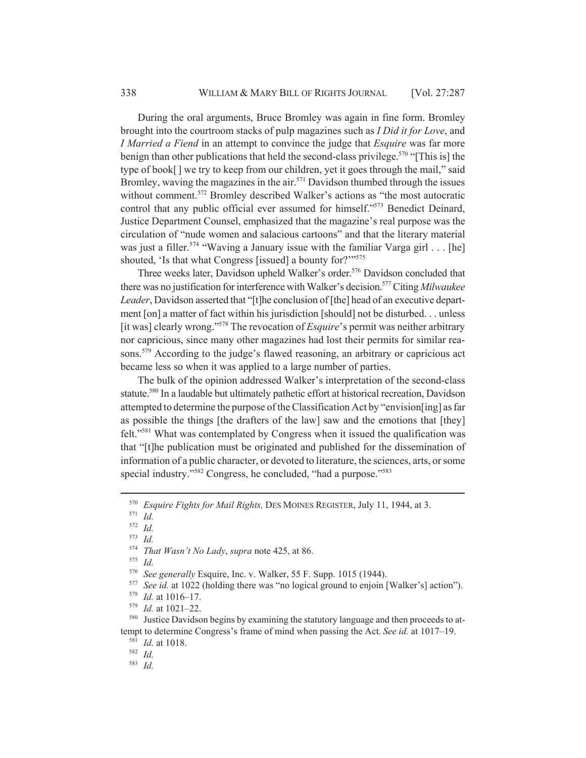During the oral arguments, Bruce Bromley was again in fine form. Bromley brought into the courtroom stacks of pulp magazines such as *I Did it for Love*, and *I Married a Fiend* in an attempt to convince the judge that *Esquire* was far more benign than other publications that held the second-class privilege.<sup>570</sup> "[This is] the type of book[ ] we try to keep from our children, yet it goes through the mail," said Bromley, waving the magazines in the air. $571$  Davidson thumbed through the issues without comment.<sup>572</sup> Bromley described Walker's actions as "the most autocratic control that any public official ever assumed for himself."573 Benedict Deinard, Justice Department Counsel, emphasized that the magazine's real purpose was the circulation of "nude women and salacious cartoons" and that the literary material was just a filler.<sup>574</sup> "Waving a January issue with the familiar Varga girl  $\ldots$  [he] shouted, 'Is that what Congress [issued] a bounty for?"<sup>575</sup>

Three weeks later, Davidson upheld Walker's order.<sup>576</sup> Davidson concluded that there was no justification for interference with Walker's decision.577 Citing *Milwaukee Leader*, Davidson asserted that "[t]he conclusion of [the] head of an executive department [on] a matter of fact within his jurisdiction [should] not be disturbed. . . unless [it was] clearly wrong."578 The revocation of *Esquire*'s permit was neither arbitrary nor capricious, since many other magazines had lost their permits for similar reasons.<sup>579</sup> According to the judge's flawed reasoning, an arbitrary or capricious act became less so when it was applied to a large number of parties.

The bulk of the opinion addressed Walker's interpretation of the second-class statute.<sup>580</sup> In a laudable but ultimately pathetic effort at historical recreation, Davidson attempted to determine the purpose of the Classification Act by "envision[ing] as far as possible the things [the drafters of the law] saw and the emotions that [they] felt."581 What was contemplated by Congress when it issued the qualification was that "[t]he publication must be originated and published for the dissemination of information of a public character, or devoted to literature, the sciences, arts, or some special industry."<sup>582</sup> Congress, he concluded, "had a purpose."<sup>583</sup>

<sup>570</sup> *Esquire Fights for Mail Rights,* DES MOINES REGISTER, July 11, 1944, at 3.

<sup>571</sup> *Id.*

<sup>572</sup> *Id.*

<sup>573</sup> *Id.*

<sup>574</sup> *That Wasn't No Lady*, *supra* note 425, at 86.

<sup>576</sup> *See generally* Esquire, Inc. v. Walker, 55 F. Supp. 1015 (1944).

<sup>&</sup>lt;sup>577</sup> *See id.* at 1022 (holding there was "no logical ground to enjoin [Walker's] action").<br><sup>578</sup> *Id* at 1016–17

<sup>578</sup> *Id.* at 1016–17.

<sup>579</sup> *Id.* at 1021–22.

<sup>580</sup> Justice Davidson begins by examining the statutory language and then proceeds to attempt to determine Congress's frame of mind when passing the Act. *See id.* at 1017–19.

<sup>581</sup> *Id.* at 1018.

<sup>582</sup> *Id.*

<sup>583</sup> *Id.*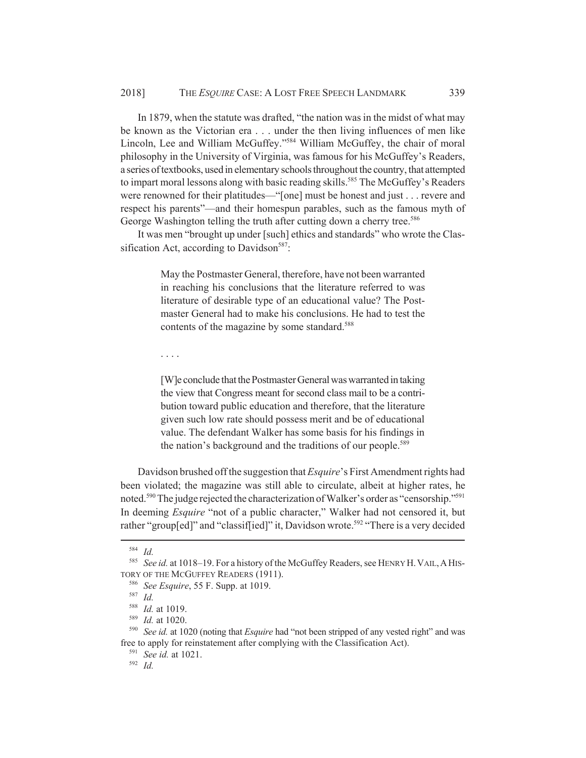In 1879, when the statute was drafted, "the nation was in the midst of what may be known as the Victorian era . . . under the then living influences of men like Lincoln, Lee and William McGuffey."584 William McGuffey, the chair of moral philosophy in the University of Virginia, was famous for his McGuffey's Readers, a series of textbooks, used in elementary schools throughout the country, that attempted to impart moral lessons along with basic reading skills.<sup>585</sup> The McGuffey's Readers were renowned for their platitudes—"[one] must be honest and just . . . revere and respect his parents"—and their homespun parables, such as the famous myth of George Washington telling the truth after cutting down a cherry tree.<sup>586</sup>

It was men "brought up under [such] ethics and standards" who wrote the Classification Act, according to Davidson<sup>587</sup>:

> May the Postmaster General, therefore, have not been warranted in reaching his conclusions that the literature referred to was literature of desirable type of an educational value? The Postmaster General had to make his conclusions. He had to test the contents of the magazine by some standard.<sup>588</sup>

. . . .

[W]e conclude that the Postmaster General was warranted in taking the view that Congress meant for second class mail to be a contribution toward public education and therefore, that the literature given such low rate should possess merit and be of educational value. The defendant Walker has some basis for his findings in the nation's background and the traditions of our people.<sup>589</sup>

Davidson brushed off the suggestion that *Esquire*'s First Amendment rights had been violated; the magazine was still able to circulate, albeit at higher rates, he noted.<sup>590</sup> The judge rejected the characterization of Walker's order as "censorship."<sup>591</sup> In deeming *Esquire* "not of a public character," Walker had not censored it, but rather "group[ed]" and "classif[ied]" it, Davidson wrote.<sup>592</sup> "There is a very decided

<sup>584</sup> *Id.*

<sup>585</sup> *See id.* at 1018–19. For a history of the McGuffey Readers, see HENRY H.VAIL,AHIS-TORY OF THE MCGUFFEY READERS (1911).

<sup>586</sup> *See Esquire*, 55 F. Supp. at 1019.

<sup>587</sup> *Id.*

<sup>588</sup> *Id.* at 1019.

<sup>589</sup> *Id.* at 1020.

<sup>590</sup> *See id.* at 1020 (noting that *Esquire* had "not been stripped of any vested right" and was free to apply for reinstatement after complying with the Classification Act).

<sup>591</sup> *See id.* at 1021.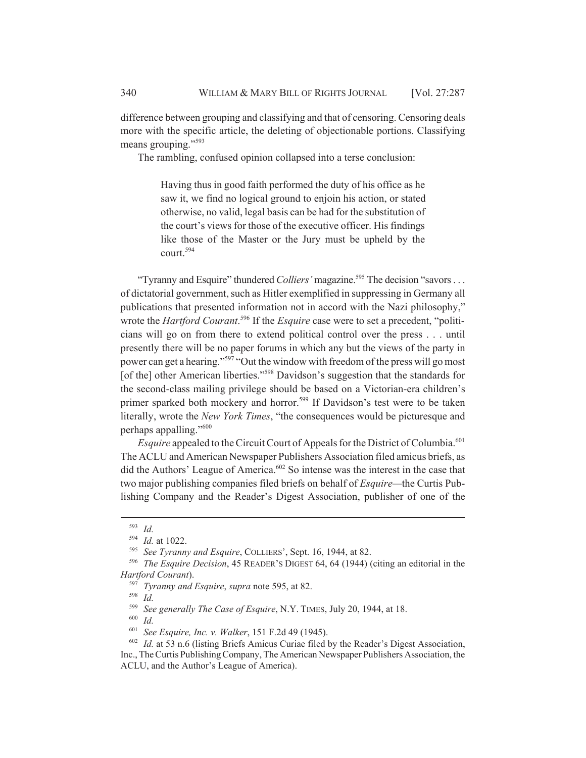difference between grouping and classifying and that of censoring. Censoring deals more with the specific article, the deleting of objectionable portions. Classifying means grouping."<sup>593</sup>

The rambling, confused opinion collapsed into a terse conclusion:

Having thus in good faith performed the duty of his office as he saw it, we find no logical ground to enjoin his action, or stated otherwise, no valid, legal basis can be had for the substitution of the court's views for those of the executive officer. His findings like those of the Master or the Jury must be upheld by the court.594

"Tyranny and Esquire" thundered *Colliers*' magazine.<sup>595</sup> The decision "savors . . . of dictatorial government, such as Hitler exemplified in suppressing in Germany all publications that presented information not in accord with the Nazi philosophy," wrote the *Hartford Courant*. 596 If the *Esquire* case were to set a precedent, "politicians will go on from there to extend political control over the press . . . until presently there will be no paper forums in which any but the views of the party in power can get a hearing."597 "Out the window with freedom of the press will go most [of the] other American liberties."<sup>598</sup> Davidson's suggestion that the standards for the second-class mailing privilege should be based on a Victorian-era children's primer sparked both mockery and horror.<sup>599</sup> If Davidson's test were to be taken literally, wrote the *New York Times*, "the consequences would be picturesque and perhaps appalling."600

*Esquire* appealed to the Circuit Court of Appeals for the District of Columbia.<sup>601</sup> The ACLU and American Newspaper Publishers Association filed amicus briefs, as did the Authors' League of America.<sup>602</sup> So intense was the interest in the case that two major publishing companies filed briefs on behalf of *Esquire—*the Curtis Publishing Company and the Reader's Digest Association, publisher of one of the

<sup>593</sup> *Id.*

<sup>594</sup> *Id.* at 1022.

<sup>595</sup> *See Tyranny and Esquire*, COLLIERS', Sept. 16, 1944, at 82.

<sup>596</sup> *The Esquire Decision*, 45 READER'S DIGEST 64, 64 (1944) (citing an editorial in the *Hartford Courant*).

<sup>597</sup> *Tyranny and Esquire*, *supra* note 595, at 82.

<sup>599</sup> *See generally The Case of Esquire*, N.Y. TIMES, July 20, 1944, at 18.

<sup>600</sup> *Id.*

<sup>601</sup> *See Esquire, Inc. v. Walker*, 151 F.2d 49 (1945).

<sup>602</sup> *Id.* at 53 n.6 (listing Briefs Amicus Curiae filed by the Reader's Digest Association, Inc., The Curtis Publishing Company, The American Newspaper Publishers Association, the ACLU, and the Author's League of America).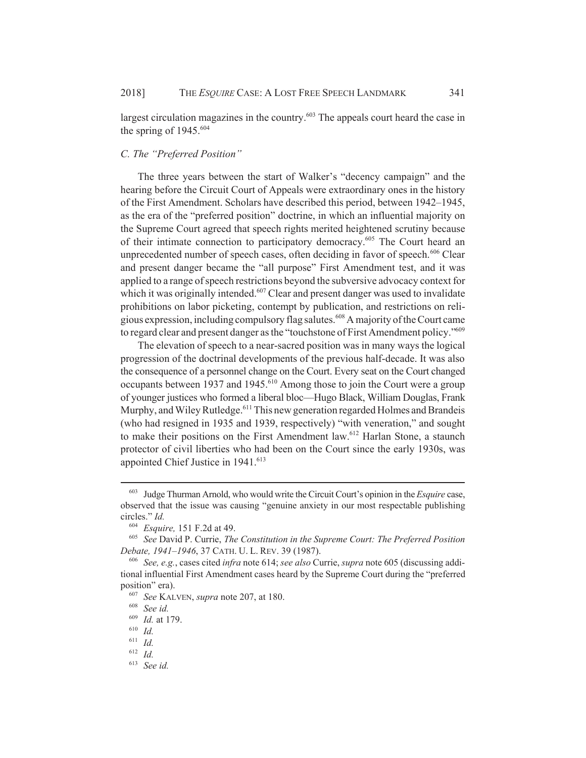largest circulation magazines in the country.<sup>603</sup> The appeals court heard the case in the spring of  $1945.^{604}$ 

# *C. The "Preferred Position"*

The three years between the start of Walker's "decency campaign" and the hearing before the Circuit Court of Appeals were extraordinary ones in the history of the First Amendment. Scholars have described this period, between 1942–1945, as the era of the "preferred position" doctrine, in which an influential majority on the Supreme Court agreed that speech rights merited heightened scrutiny because of their intimate connection to participatory democracy.<sup>605</sup> The Court heard an unprecedented number of speech cases, often deciding in favor of speech.<sup>606</sup> Clear and present danger became the "all purpose" First Amendment test, and it was applied to a range of speech restrictions beyond the subversive advocacy context for which it was originally intended.<sup>607</sup> Clear and present danger was used to invalidate prohibitions on labor picketing, contempt by publication, and restrictions on religious expression, including compulsory flag salutes.<sup>608</sup> A majority of the Court came to regard clear and present danger as the "touchstone of First Amendment policy."<sup>609</sup>

The elevation of speech to a near-sacred position was in many ways the logical progression of the doctrinal developments of the previous half-decade. It was also the consequence of a personnel change on the Court. Every seat on the Court changed occupants between 1937 and 1945.<sup>610</sup> Among those to join the Court were a group of younger justices who formed a liberal bloc—Hugo Black, William Douglas, Frank Murphy, and Wiley Rutledge.<sup>611</sup> This new generation regarded Holmes and Brandeis (who had resigned in 1935 and 1939, respectively) "with veneration," and sought to make their positions on the First Amendment law.<sup>612</sup> Harlan Stone, a staunch protector of civil liberties who had been on the Court since the early 1930s, was appointed Chief Justice in 1941.<sup>613</sup>

<sup>603</sup> Judge Thurman Arnold, who would write the Circuit Court's opinion in the *Esquire* case, observed that the issue was causing "genuine anxiety in our most respectable publishing circles." *Id.*

<sup>604</sup> *Esquire,* 151 F.2d at 49.

<sup>605</sup> *See* David P. Currie, *The Constitution in the Supreme Court: The Preferred Position Debate, 1941–1946*, 37 CATH. U. L. REV. 39 (1987).

<sup>606</sup> *See, e.g.*, cases cited *infra* note 614; *see also* Currie, *supra* note 605 (discussing additional influential First Amendment cases heard by the Supreme Court during the "preferred position" era).

<sup>607</sup> *See* KALVEN, *supra* note 207, at 180.

<sup>608</sup> *See id.*

<sup>609</sup> *Id.* at 179.

<sup>610</sup> *Id.*

<sup>611</sup> *Id.*

<sup>612</sup> *Id.*

<sup>613</sup> *See id.*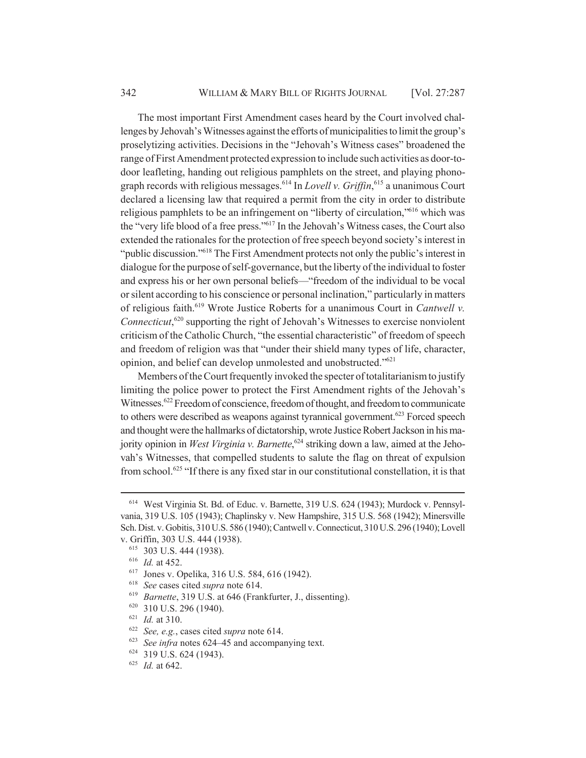The most important First Amendment cases heard by the Court involved challenges by Jehovah's Witnesses against the efforts of municipalities to limit the group's proselytizing activities. Decisions in the "Jehovah's Witness cases" broadened the range of First Amendment protected expression to include such activities as door-todoor leafleting, handing out religious pamphlets on the street, and playing phonograph records with religious messages.614 In *Lovell v. Griffin*, 615 a unanimous Court declared a licensing law that required a permit from the city in order to distribute religious pamphlets to be an infringement on "liberty of circulation,"616 which was the "very life blood of a free press."617 In the Jehovah's Witness cases, the Court also extended the rationales for the protection of free speech beyond society's interest in "public discussion."618 The First Amendment protects not only the public's interest in dialogue for the purpose of self-governance, but the liberty of the individual to foster and express his or her own personal beliefs—"freedom of the individual to be vocal or silent according to his conscience or personal inclination," particularly in matters of religious faith.619 Wrote Justice Roberts for a unanimous Court in *Cantwell v.* Connecticut,<sup>620</sup> supporting the right of Jehovah's Witnesses to exercise nonviolent criticism of the Catholic Church, "the essential characteristic" of freedom of speech and freedom of religion was that "under their shield many types of life, character, opinion, and belief can develop unmolested and unobstructed."621

Members of the Court frequently invoked the specter of totalitarianism to justify limiting the police power to protect the First Amendment rights of the Jehovah's Witnesses.<sup>622</sup> Freedom of conscience, freedom of thought, and freedom to communicate to others were described as weapons against tyrannical government.<sup>623</sup> Forced speech and thought were the hallmarks of dictatorship, wrote Justice Robert Jackson in his majority opinion in *West Virginia v. Barnette*, 624 striking down a law, aimed at the Jehovah's Witnesses, that compelled students to salute the flag on threat of expulsion from school.<sup>625</sup> "If there is any fixed star in our constitutional constellation, it is that

<sup>614</sup> West Virginia St. Bd. of Educ. v. Barnette, 319 U.S. 624 (1943); Murdock v. Pennsylvania, 319 U.S. 105 (1943); Chaplinsky v. New Hampshire, 315 U.S. 568 (1942); Minersville Sch. Dist. v. Gobitis, 310 U.S. 586 (1940); Cantwell v. Connecticut, 310 U.S. 296 (1940); Lovell v. Griffin, 303 U.S. 444 (1938).

<sup>615</sup> 303 U.S. 444 (1938).

<sup>616</sup> *Id.* at 452.

<sup>617</sup> Jones v. Opelika, 316 U.S. 584, 616 (1942).

<sup>618</sup> *See* cases cited *supra* note 614.

<sup>619</sup> *Barnette*, 319 U.S. at 646 (Frankfurter, J., dissenting).

<sup>620</sup> 310 U.S. 296 (1940).

<sup>621</sup> *Id.* at 310.

<sup>622</sup> *See, e.g.*, cases cited *supra* note 614.

<sup>623</sup> *See infra* notes 624–45 and accompanying text.

<sup>624</sup> 319 U.S. 624 (1943).

<sup>625</sup> *Id.* at 642.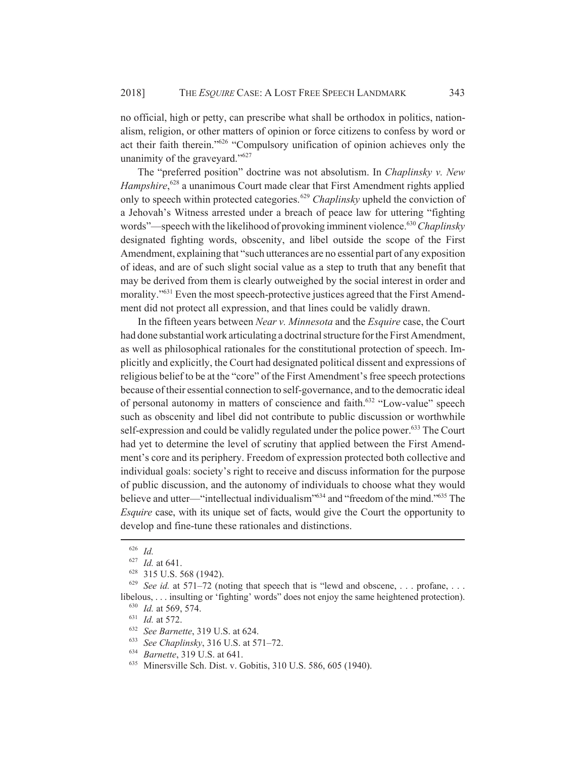no official, high or petty, can prescribe what shall be orthodox in politics, nationalism, religion, or other matters of opinion or force citizens to confess by word or act their faith therein."626 "Compulsory unification of opinion achieves only the unanimity of the graveyard."<sup>627</sup>

The "preferred position" doctrine was not absolutism. In *Chaplinsky v. New* Hampshire,<sup>628</sup> a unanimous Court made clear that First Amendment rights applied only to speech within protected categories.<sup>629</sup> *Chaplinsky* upheld the conviction of a Jehovah's Witness arrested under a breach of peace law for uttering "fighting words"—speech with the likelihood of provoking imminent violence.<sup>630</sup> Chaplinsky designated fighting words, obscenity, and libel outside the scope of the First Amendment, explaining that "such utterances are no essential part of any exposition of ideas, and are of such slight social value as a step to truth that any benefit that may be derived from them is clearly outweighed by the social interest in order and morality."<sup>631</sup> Even the most speech-protective justices agreed that the First Amendment did not protect all expression, and that lines could be validly drawn.

In the fifteen years between *Near v. Minnesota* and the *Esquire* case, the Court had done substantial work articulating a doctrinal structure for the First Amendment, as well as philosophical rationales for the constitutional protection of speech. Implicitly and explicitly, the Court had designated political dissent and expressions of religious belief to be at the "core" of the First Amendment's free speech protections because of their essential connection to self-governance, and to the democratic ideal of personal autonomy in matters of conscience and faith.<sup>632</sup> "Low-value" speech such as obscenity and libel did not contribute to public discussion or worthwhile self-expression and could be validly regulated under the police power.<sup>633</sup> The Court had yet to determine the level of scrutiny that applied between the First Amendment's core and its periphery. Freedom of expression protected both collective and individual goals: society's right to receive and discuss information for the purpose of public discussion, and the autonomy of individuals to choose what they would believe and utter—"intellectual individualism"<sup>634</sup> and "freedom of the mind."<sup>635</sup> The *Esquire* case, with its unique set of facts, would give the Court the opportunity to develop and fine-tune these rationales and distinctions.

<sup>626</sup> *Id.*

<sup>627</sup> *Id.* at 641.

<sup>628</sup> 315 U.S. 568 (1942).

<sup>&</sup>lt;sup>629</sup> *See id.* at 571–72 (noting that speech that is "lewd and obscene, ... profane, ... libelous, . . . insulting or 'fighting' words" does not enjoy the same heightened protection). <sup>630</sup> *Id.* at 569, 574.

<sup>631</sup> *Id.* at 572.

<sup>632</sup> *See Barnette*, 319 U.S. at 624.

<sup>633</sup> *See Chaplinsky*, 316 U.S. at 571–72.

<sup>634</sup> *Barnette*, 319 U.S. at 641.

<sup>635</sup> Minersville Sch. Dist. v. Gobitis, 310 U.S. 586, 605 (1940).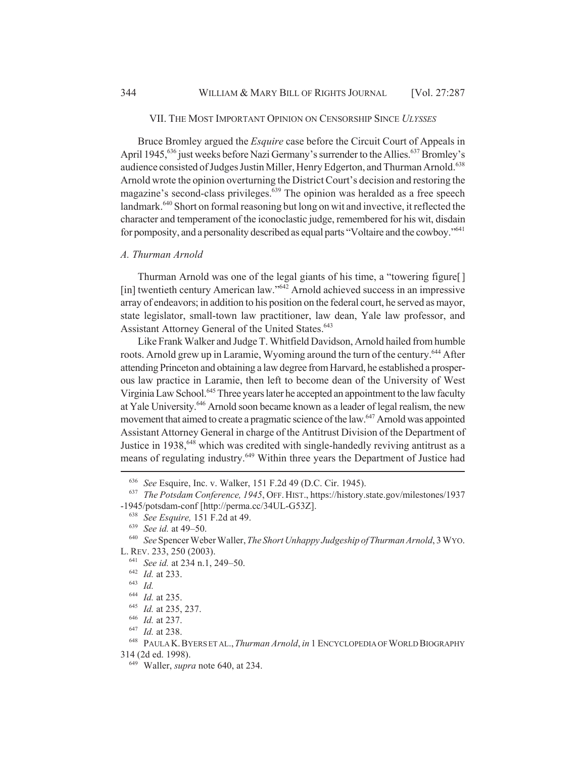## VII. THE MOST IMPORTANT OPINION ON CENSORSHIP SINCE *ULYSSES*

Bruce Bromley argued the *Esquire* case before the Circuit Court of Appeals in April 1945,<sup>636</sup> just weeks before Nazi Germany's surrender to the Allies.<sup>637</sup> Bromley's audience consisted of Judges Justin Miller, Henry Edgerton, and Thurman Arnold.<sup>638</sup> Arnold wrote the opinion overturning the District Court's decision and restoring the magazine's second-class privileges.<sup>639</sup> The opinion was heralded as a free speech landmark.<sup>640</sup> Short on formal reasoning but long on wit and invective, it reflected the character and temperament of the iconoclastic judge, remembered for his wit, disdain for pomposity, and a personality described as equal parts "Voltaire and the cowboy."<sup>641</sup>

### *A. Thurman Arnold*

Thurman Arnold was one of the legal giants of his time, a "towering figure[ ] [in] twentieth century American law."<sup>642</sup> Arnold achieved success in an impressive array of endeavors; in addition to his position on the federal court, he served as mayor, state legislator, small-town law practitioner, law dean, Yale law professor, and Assistant Attorney General of the United States.<sup>643</sup>

Like Frank Walker and Judge T. Whitfield Davidson, Arnold hailed from humble roots. Arnold grew up in Laramie, Wyoming around the turn of the century.<sup>644</sup> After attending Princeton and obtaining a law degree from Harvard, he established a prosperous law practice in Laramie, then left to become dean of the University of West Virginia Law School.<sup>645</sup> Three years later he accepted an appointment to the law faculty at Yale University.<sup>646</sup> Arnold soon became known as a leader of legal realism, the new movement that aimed to create a pragmatic science of the law.<sup>647</sup> Arnold was appointed Assistant Attorney General in charge of the Antitrust Division of the Department of Justice in 1938,<sup>648</sup> which was credited with single-handedly reviving antitrust as a means of regulating industry.<sup>649</sup> Within three years the Department of Justice had

<sup>645</sup> *Id.* at 235, 237.

<sup>647</sup> *Id.* at 238.

<sup>636</sup> *See* Esquire, Inc. v. Walker, 151 F.2d 49 (D.C. Cir. 1945).

<sup>637</sup> *The Potsdam Conference, 1945*, OFF.HIST., https://history.state.gov/milestones/1937 -1945/potsdam-conf [http://perma.cc/34UL-G53Z].

<sup>638</sup> *See Esquire,* 151 F.2d at 49.

<sup>639</sup> *See id.* at 49–50.

<sup>640</sup> *See* Spencer Weber Waller, *The Short Unhappy Judgeship of Thurman Arnold*, 3 WYO. L. REV. 233, 250 (2003).

<sup>641</sup> *See id.* at 234 n.1, 249–50.

<sup>642</sup> *Id.* at 233.

<sup>643</sup> *Id.*

<sup>644</sup> *Id.* at 235.

<sup>646</sup> *Id.* at 237.

<sup>648</sup> PAULA K.BYERS ET AL.,*Thurman Arnold*, *in* 1 ENCYCLOPEDIA OF WORLD BIOGRAPHY 314 (2d ed. 1998).

<sup>649</sup> Waller, *supra* note 640, at 234.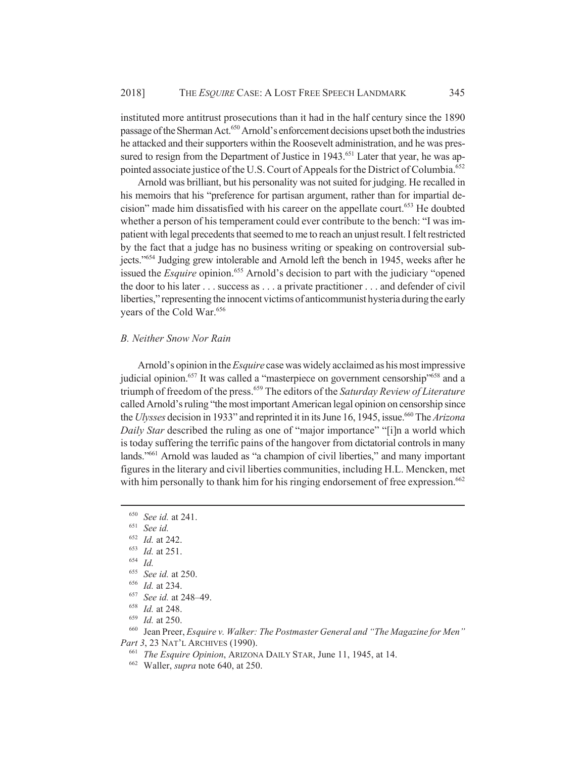instituted more antitrust prosecutions than it had in the half century since the 1890 passage of the Sherman Act.<sup>650</sup> Arnold's enforcement decisions upset both the industries he attacked and their supporters within the Roosevelt administration, and he was pressured to resign from the Department of Justice in 1943.<sup>651</sup> Later that year, he was appointed associate justice of the U.S. Court of Appeals for the District of Columbia.<sup>652</sup>

Arnold was brilliant, but his personality was not suited for judging. He recalled in his memoirs that his "preference for partisan argument, rather than for impartial decision" made him dissatisfied with his career on the appellate court.<sup>653</sup> He doubted whether a person of his temperament could ever contribute to the bench: "I was impatient with legal precedents that seemed to me to reach an unjust result. I felt restricted by the fact that a judge has no business writing or speaking on controversial subjects."654 Judging grew intolerable and Arnold left the bench in 1945, weeks after he issued the *Esquire* opinion.<sup>655</sup> Arnold's decision to part with the judiciary "opened the door to his later . . . success as . . . a private practitioner . . . and defender of civil liberties," representing the innocent victims of anticommunist hysteria during the early years of the Cold War.<sup>656</sup>

## *B. Neither Snow Nor Rain*

Arnold's opinion in the *Esquire* case was widely acclaimed as his most impressive judicial opinion.<sup>657</sup> It was called a "masterpiece on government censorship"<sup>658</sup> and a triumph of freedom of the press.659 The editors of the *Saturday Review of Literature* called Arnold's ruling "the most important American legal opinion on censorship since the *Ulysses* decision in 1933" and reprinted it in its June 16, 1945, issue.<sup>660</sup> The *Arizona Daily Star* described the ruling as one of "major importance" "[i]n a world which is today suffering the terrific pains of the hangover from dictatorial controls in many lands."661 Arnold was lauded as "a champion of civil liberties," and many important figures in the literary and civil liberties communities, including H.L. Mencken, met with him personally to thank him for his ringing endorsement of free expression.<sup>662</sup>

<sup>650</sup> *See id.* at 241.

<sup>651</sup> *See id.*

<sup>652</sup> *Id.* at 242.

 $\frac{653}{654}$  *Id.* at 251.

 $\frac{654}{655}$  *Id.* 

<sup>&</sup>lt;sup>655</sup> *See id.* at 250.<br><sup>656</sup> *Id.* at 234

<sup>&</sup>lt;sup>656</sup> *Id.* at 234.

<sup>&</sup>lt;sup>657</sup> *See id.* at 248–49.<br><sup>658</sup> *Id.* at 248

*Id.* at 248.

<sup>&</sup>lt;sup>659</sup> *Id.* at 250.<br><sup>660</sup> **Iean Preer** 

<sup>660</sup> Jean Preer, *Esquire v. Walker: The Postmaster General and "The Magazine for Men" Part 3*, 23 NAT'L ARCHIVES (1990).

<sup>661</sup> *The Esquire Opinion*, ARIZONA DAILY STAR, June 11, 1945, at 14.

<sup>662</sup> Waller, *supra* note 640, at 250.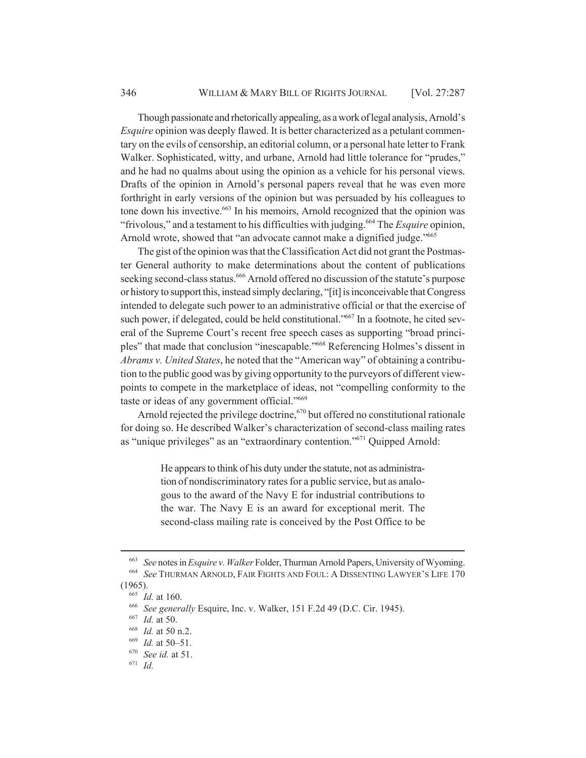Though passionate and rhetorically appealing, as a work of legal analysis, Arnold's *Esquire* opinion was deeply flawed. It is better characterized as a petulant commentary on the evils of censorship, an editorial column, or a personal hate letter to Frank Walker. Sophisticated, witty, and urbane, Arnold had little tolerance for "prudes," and he had no qualms about using the opinion as a vehicle for his personal views. Drafts of the opinion in Arnold's personal papers reveal that he was even more forthright in early versions of the opinion but was persuaded by his colleagues to tone down his invective.<sup>663</sup> In his memoirs, Arnold recognized that the opinion was "frivolous," and a testament to his difficulties with judging.664 The *Esquire* opinion, Arnold wrote, showed that "an advocate cannot make a dignified judge."665

The gist of the opinion was that the Classification Act did not grant the Postmaster General authority to make determinations about the content of publications seeking second-class status.<sup>666</sup> Arnold offered no discussion of the statute's purpose or history to support this, instead simply declaring, "[it] is inconceivable that Congress intended to delegate such power to an administrative official or that the exercise of such power, if delegated, could be held constitutional."<sup>667</sup> In a footnote, he cited several of the Supreme Court's recent free speech cases as supporting "broad principles" that made that conclusion "inescapable."668 Referencing Holmes's dissent in *Abrams v. United States*, he noted that the "American way" of obtaining a contribution to the public good was by giving opportunity to the purveyors of different viewpoints to compete in the marketplace of ideas, not "compelling conformity to the taste or ideas of any government official."669

Arnold rejected the privilege doctrine,<sup> $570$ </sup> but offered no constitutional rationale for doing so. He described Walker's characterization of second-class mailing rates as "unique privileges" as an "extraordinary contention."671 Quipped Arnold:

> He appears to think of his duty under the statute, not as administration of nondiscriminatory rates for a public service, but as analogous to the award of the Navy E for industrial contributions to the war. The Navy E is an award for exceptional merit. The second-class mailing rate is conceived by the Post Office to be

<sup>663</sup> *See* notes in *Esquire v. Walker* Folder, Thurman Arnold Papers, University of Wyoming. <sup>664</sup> *See* THURMAN ARNOLD, FAIR FIGHTS AND FOUL: A DISSENTING LAWYER'S LIFE 170

<sup>(1965).</sup>

<sup>665</sup> *Id.* at 160.

<sup>666</sup> *See generally* Esquire, Inc. v. Walker, 151 F.2d 49 (D.C. Cir. 1945).

<sup>667</sup> *Id.* at 50.

<sup>668</sup> *Id.* at 50 n.2.

<sup>669</sup> *Id.* at 50–51.

<sup>670</sup> *See id.* at 51.

<sup>671</sup> *Id.*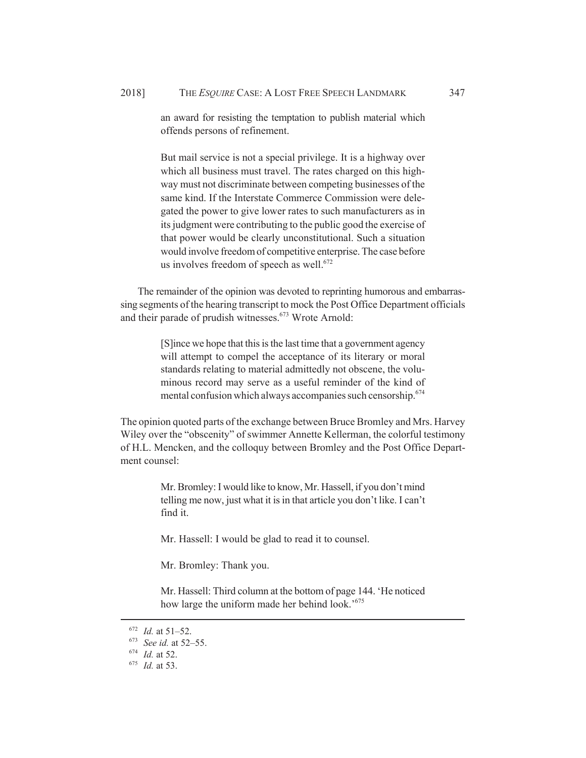But mail service is not a special privilege. It is a highway over which all business must travel. The rates charged on this highway must not discriminate between competing businesses of the same kind. If the Interstate Commerce Commission were delegated the power to give lower rates to such manufacturers as in its judgment were contributing to the public good the exercise of that power would be clearly unconstitutional. Such a situation would involve freedom of competitive enterprise. The case before us involves freedom of speech as well. $672$ 

The remainder of the opinion was devoted to reprinting humorous and embarrassing segments of the hearing transcript to mock the Post Office Department officials and their parade of prudish witnesses.<sup>673</sup> Wrote Arnold:

> [S]ince we hope that this is the last time that a government agency will attempt to compel the acceptance of its literary or moral standards relating to material admittedly not obscene, the voluminous record may serve as a useful reminder of the kind of mental confusion which always accompanies such censorship.<sup>674</sup>

The opinion quoted parts of the exchange between Bruce Bromley and Mrs. Harvey Wiley over the "obscenity" of swimmer Annette Kellerman, the colorful testimony of H.L. Mencken, and the colloquy between Bromley and the Post Office Department counsel:

> Mr. Bromley: I would like to know, Mr. Hassell, if you don't mind telling me now, just what it is in that article you don't like. I can't find it.

Mr. Hassell: I would be glad to read it to counsel.

Mr. Bromley: Thank you.

Mr. Hassell: Third column at the bottom of page 144. 'He noticed how large the uniform made her behind look.'675

<sup>672</sup> *Id.* at 51–52.

<sup>673</sup> *See id.* at 52–55.

<sup>674</sup> *Id.* at 52.

<sup>675</sup> *Id.* at 53.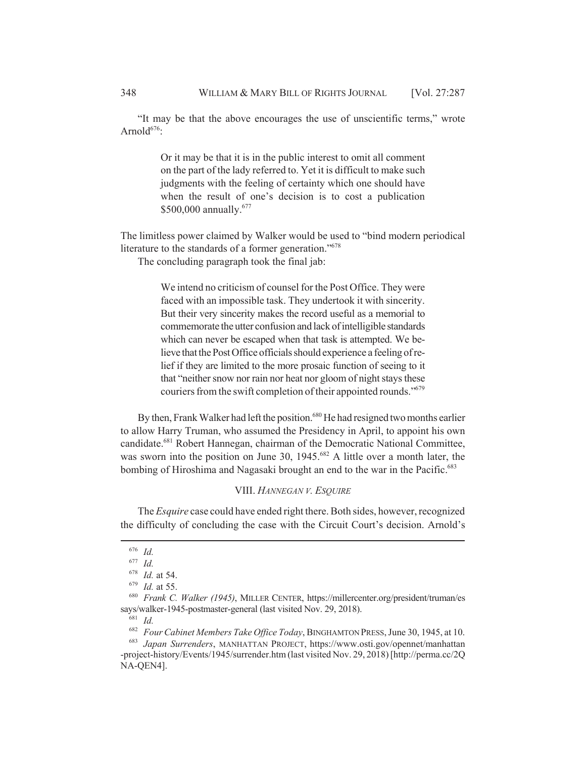"It may be that the above encourages the use of unscientific terms," wrote Arnold $676$ :

> Or it may be that it is in the public interest to omit all comment on the part of the lady referred to. Yet it is difficult to make such judgments with the feeling of certainty which one should have when the result of one's decision is to cost a publication \$500,000 annually.<sup>677</sup>

The limitless power claimed by Walker would be used to "bind modern periodical literature to the standards of a former generation."<sup>678</sup>

The concluding paragraph took the final jab:

We intend no criticism of counsel for the Post Office. They were faced with an impossible task. They undertook it with sincerity. But their very sincerity makes the record useful as a memorial to commemorate the utter confusion and lack of intelligible standards which can never be escaped when that task is attempted. We believe that the Post Office officials should experience a feeling of relief if they are limited to the more prosaic function of seeing to it that "neither snow nor rain nor heat nor gloom of night stays these couriers from the swift completion of their appointed rounds."<sup>679</sup>

By then, Frank Walker had left the position.<sup>680</sup> He had resigned two months earlier to allow Harry Truman, who assumed the Presidency in April, to appoint his own candidate.681 Robert Hannegan, chairman of the Democratic National Committee, was sworn into the position on June 30, 1945.<sup>682</sup> A little over a month later, the bombing of Hiroshima and Nagasaki brought an end to the war in the Pacific.<sup>683</sup>

### VIII. *HANNEGAN V. ESQUIRE*

The *Esquire* case could have ended right there. Both sides, however, recognized the difficulty of concluding the case with the Circuit Court's decision. Arnold's

<sup>676</sup> *Id.*

<sup>677</sup> *Id.*

<sup>678</sup> *Id.* at 54.

<sup>679</sup> *Id.* at 55.

<sup>680</sup> *Frank C. Walker (1945)*, MILLER CENTER, https://millercenter.org/president/truman/es says/walker-1945-postmaster-general (last visited Nov. 29, 2018).

<sup>681</sup> *Id.*

<sup>682</sup> *Four Cabinet Members Take Office Today*, BINGHAMTON PRESS, June 30, 1945, at 10.

<sup>683</sup> *Japan Surrenders*, MANHATTAN PROJECT, https://www.osti.gov/opennet/manhattan -project-history/Events/1945/surrender.htm (last visited Nov. 29, 2018) [http://perma.cc/2Q NA-QEN4].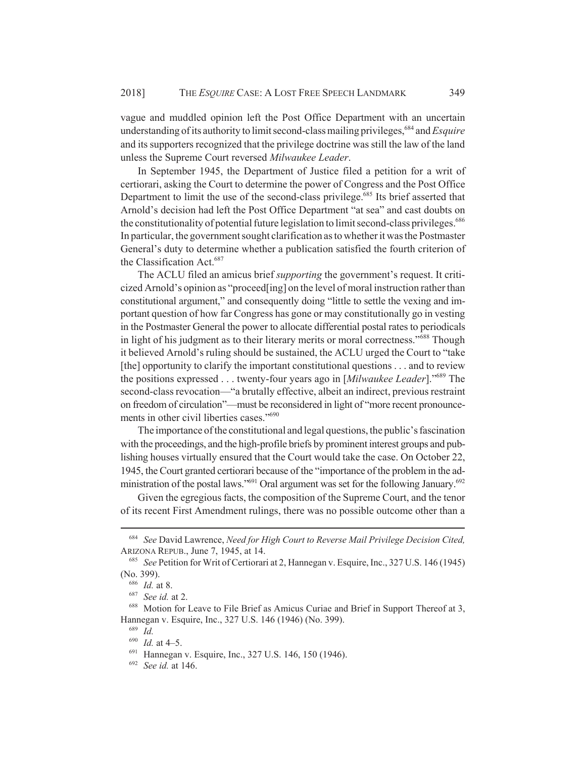vague and muddled opinion left the Post Office Department with an uncertain understanding of its authority to limit second-class mailing privileges,<sup>684</sup> and *Esquire* and its supporters recognized that the privilege doctrine was still the law of the land unless the Supreme Court reversed *Milwaukee Leader*.

In September 1945, the Department of Justice filed a petition for a writ of certiorari, asking the Court to determine the power of Congress and the Post Office Department to limit the use of the second-class privilege.<sup>685</sup> Its brief asserted that Arnold's decision had left the Post Office Department "at sea" and cast doubts on the constitutionality of potential future legislation to limit second-class privileges.<sup>686</sup> In particular, the government sought clarification as to whether it was the Postmaster General's duty to determine whether a publication satisfied the fourth criterion of the Classification Act.<sup>687</sup>

The ACLU filed an amicus brief *supporting* the government's request. It criticized Arnold's opinion as "proceed[ing] on the level of moral instruction rather than constitutional argument," and consequently doing "little to settle the vexing and important question of how far Congress has gone or may constitutionally go in vesting in the Postmaster General the power to allocate differential postal rates to periodicals in light of his judgment as to their literary merits or moral correctness."688 Though it believed Arnold's ruling should be sustained, the ACLU urged the Court to "take [the] opportunity to clarify the important constitutional questions . . . and to review the positions expressed . . . twenty-four years ago in [*Milwaukee Leader*]."689 The second-class revocation—"a brutally effective, albeit an indirect, previous restraint on freedom of circulation"—must be reconsidered in light of "more recent pronouncements in other civil liberties cases."<sup>690</sup>

The importance of the constitutional and legal questions, the public's fascination with the proceedings, and the high-profile briefs by prominent interest groups and publishing houses virtually ensured that the Court would take the case. On October 22, 1945, the Court granted certiorari because of the "importance of the problem in the administration of the postal laws." $691$  Oral argument was set for the following January. $692$ 

Given the egregious facts, the composition of the Supreme Court, and the tenor of its recent First Amendment rulings, there was no possible outcome other than a

<sup>684</sup> *See* David Lawrence, *Need for High Court to Reverse Mail Privilege Decision Cited,* ARIZONA REPUB., June 7, 1945, at 14.

<sup>685</sup> *See* Petition for Writ of Certiorari at 2, Hannegan v. Esquire, Inc., 327 U.S. 146 (1945) (No. 399).

<sup>686</sup> *Id.* at 8.

<sup>687</sup> *See id.* at 2.

<sup>688</sup> Motion for Leave to File Brief as Amicus Curiae and Brief in Support Thereof at 3, Hannegan v. Esquire, Inc., 327 U.S. 146 (1946) (No. 399).

<sup>689</sup> *Id.*

<sup>690</sup> *Id.* at 4–5.

<sup>691</sup> Hannegan v. Esquire, Inc., 327 U.S. 146, 150 (1946).

<sup>692</sup> *See id.* at 146.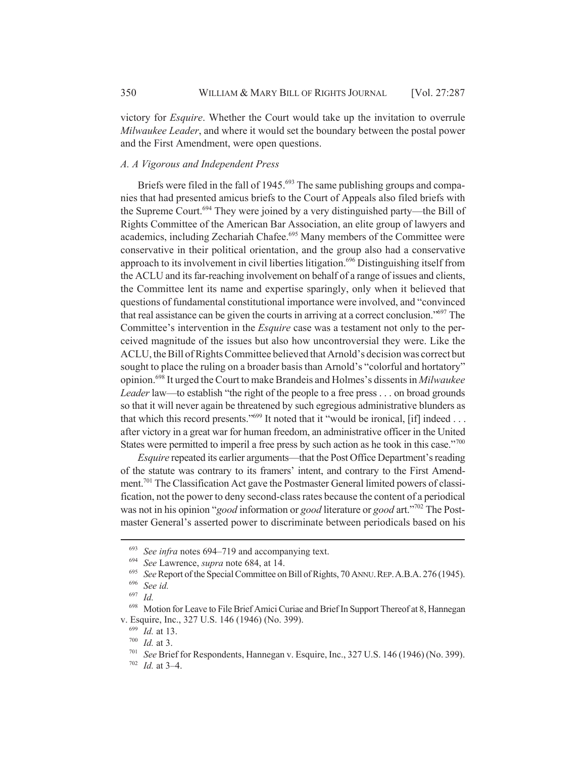victory for *Esquire*. Whether the Court would take up the invitation to overrule *Milwaukee Leader*, and where it would set the boundary between the postal power and the First Amendment, were open questions.

### *A. A Vigorous and Independent Press*

Briefs were filed in the fall of 1945.<sup>693</sup> The same publishing groups and companies that had presented amicus briefs to the Court of Appeals also filed briefs with the Supreme Court.<sup>694</sup> They were joined by a very distinguished party—the Bill of Rights Committee of the American Bar Association, an elite group of lawyers and academics, including Zechariah Chafee.<sup>695</sup> Many members of the Committee were conservative in their political orientation, and the group also had a conservative approach to its involvement in civil liberties litigation.<sup>696</sup> Distinguishing itself from the ACLU and its far-reaching involvement on behalf of a range of issues and clients, the Committee lent its name and expertise sparingly, only when it believed that questions of fundamental constitutional importance were involved, and "convinced that real assistance can be given the courts in arriving at a correct conclusion."697 The Committee's intervention in the *Esquire* case was a testament not only to the perceived magnitude of the issues but also how uncontroversial they were. Like the ACLU, the Bill of Rights Committee believed that Arnold's decision was correct but sought to place the ruling on a broader basis than Arnold's "colorful and hortatory" opinion.698 It urged the Court to make Brandeis and Holmes's dissents in *Milwaukee Leader* law—to establish "the right of the people to a free press . . . on broad grounds so that it will never again be threatened by such egregious administrative blunders as that which this record presents."<sup>699</sup> It noted that it "would be ironical, [if] indeed . . . after victory in a great war for human freedom, an administrative officer in the United States were permitted to imperil a free press by such action as he took in this case."700

*Esquire* repeated its earlier arguments—that the Post Office Department's reading of the statute was contrary to its framers' intent, and contrary to the First Amendment.<sup>701</sup> The Classification Act gave the Postmaster General limited powers of classification, not the power to deny second-class rates because the content of a periodical was not in his opinion "*good* information or *good* literature or *good* art."702 The Postmaster General's asserted power to discriminate between periodicals based on his

 $\frac{693}{694}$  *See infra* notes 694–719 and accompanying text.

<sup>694</sup> *See* Lawrence, *supra* note 684, at 14.

<sup>&</sup>lt;sup>695</sup> *See* Report of the Special Committee on Bill of Rights, 70 ANNU. REP. A.B.A. 276 (1945).

<sup>696</sup> *See id.*

*Id.* 

Motion for Leave to File Brief Amici Curiae and Brief In Support Thereof at 8, Hannegan v. Esquire, Inc., 327 U.S. 146 (1946) (No. 399).

<sup>699</sup> *Id.* at 13.

<sup>700</sup> *Id.* at 3.

<sup>701</sup> *See* Brief for Respondents, Hannegan v. Esquire, Inc., 327 U.S. 146 (1946) (No. 399).

<sup>702</sup> *Id.* at 3–4.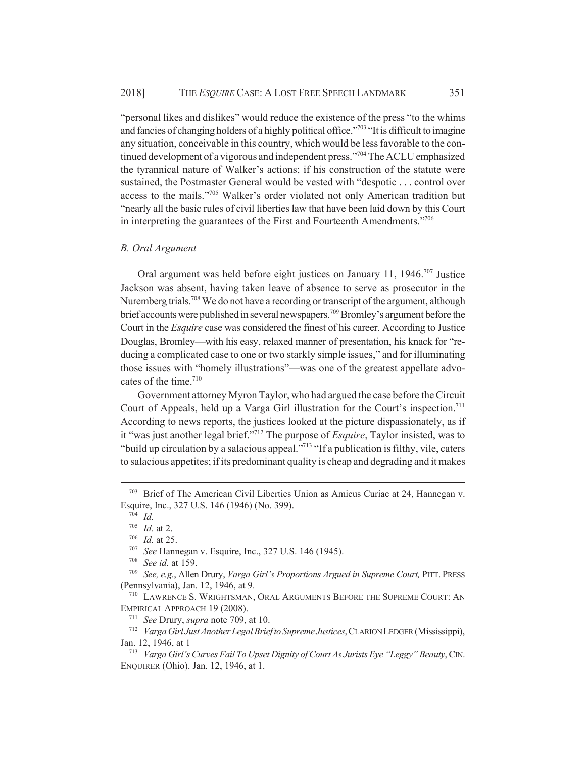"personal likes and dislikes" would reduce the existence of the press "to the whims and fancies of changing holders of a highly political office."<sup>703</sup> "It is difficult to imagine any situation, conceivable in this country, which would be less favorable to the continued development of a vigorous and independent press."<sup>704</sup> The ACLU emphasized the tyrannical nature of Walker's actions; if his construction of the statute were sustained, the Postmaster General would be vested with "despotic . . . control over access to the mails."705 Walker's order violated not only American tradition but "nearly all the basic rules of civil liberties law that have been laid down by this Court in interpreting the guarantees of the First and Fourteenth Amendments."706

### *B. Oral Argument*

Oral argument was held before eight justices on January 11, 1946.707 Justice Jackson was absent, having taken leave of absence to serve as prosecutor in the Nuremberg trials.<sup>708</sup> We do not have a recording or transcript of the argument, although brief accounts were published in several newspapers.<sup>709</sup> Bromley's argument before the Court in the *Esquire* case was considered the finest of his career. According to Justice Douglas, Bromley—with his easy, relaxed manner of presentation, his knack for "reducing a complicated case to one or two starkly simple issues," and for illuminating those issues with "homely illustrations"—was one of the greatest appellate advocates of the time.<sup>710</sup>

Government attorney Myron Taylor, who had argued the case before the Circuit Court of Appeals, held up a Varga Girl illustration for the Court's inspection.<sup>711</sup> According to news reports, the justices looked at the picture dispassionately, as if it "was just another legal brief."712 The purpose of *Esquire*, Taylor insisted, was to "build up circulation by a salacious appeal."713 "If a publication is filthy, vile, caters to salacious appetites; if its predominant quality is cheap and degrading and it makes

<sup>708</sup> *See id.* at 159.

<sup>703</sup> Brief of The American Civil Liberties Union as Amicus Curiae at 24, Hannegan v. Esquire, Inc., 327 U.S. 146 (1946) (No. 399).

<sup>704</sup> *Id.*

<sup>705</sup> *Id.* at 2.

<sup>706</sup> *Id.* at 25.

<sup>707</sup> *See* Hannegan v. Esquire, Inc., 327 U.S. 146 (1945).

<sup>709</sup> *See, e.g.*, Allen Drury, *Varga Girl's Proportions Argued in Supreme Court,* PITT. PRESS (Pennsylvania), Jan. 12, 1946, at 9.

<sup>710</sup> LAWRENCE S. WRIGHTSMAN, ORAL ARGUMENTS BEFORE THE SUPREME COURT: AN EMPIRICAL APPROACH 19 (2008).

<sup>711</sup> *See* Drury, *supra* note 709, at 10.

<sup>712</sup> *Varga Girl Just Another Legal Brief to Supreme Justices*, CLARION LEDGER (Mississippi), Jan. 12, 1946, at 1

<sup>713</sup> *Varga Girl's Curves Fail To Upset Dignity of Court As Jurists Eye "Leggy" Beauty*, CIN. ENQUIRER (Ohio). Jan. 12, 1946, at 1.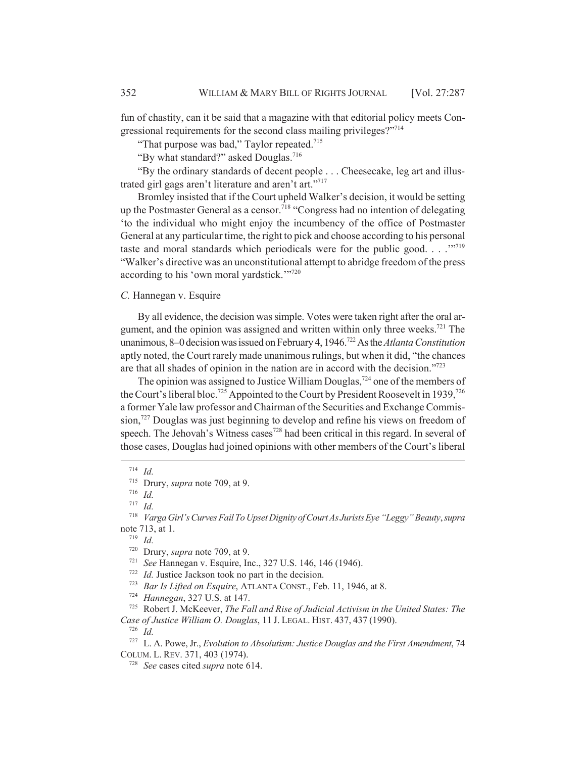fun of chastity, can it be said that a magazine with that editorial policy meets Congressional requirements for the second class mailing privileges?"714

"That purpose was bad," Taylor repeated. $715$ 

"By what standard?" asked Douglas.716

"By the ordinary standards of decent people . . . Cheesecake, leg art and illustrated girl gags aren't literature and aren't art."717

Bromley insisted that if the Court upheld Walker's decision, it would be setting up the Postmaster General as a censor.<sup>718</sup> "Congress had no intention of delegating 'to the individual who might enjoy the incumbency of the office of Postmaster General at any particular time, the right to pick and choose according to his personal taste and moral standards which periodicals were for the public good.  $\ldots$ <sup>"719</sup> "Walker's directive was an unconstitutional attempt to abridge freedom of the press according to his 'own moral yardstick."<sup>7720</sup>

### *C.* Hannegan v. Esquire

By all evidence, the decision was simple. Votes were taken right after the oral argument, and the opinion was assigned and written within only three weeks.<sup>721</sup> The unanimous, 8–0 decision was issued on February 4, 1946.722 As the *Atlanta Constitution* aptly noted, the Court rarely made unanimous rulings, but when it did, "the chances are that all shades of opinion in the nation are in accord with the decision."723

The opinion was assigned to Justice William Douglas,<sup>724</sup> one of the members of the Court's liberal bloc.<sup>725</sup> Appointed to the Court by President Roosevelt in 1939,<sup>726</sup> a former Yale law professor and Chairman of the Securities and Exchange Commission,<sup>727</sup> Douglas was just beginning to develop and refine his views on freedom of speech. The Jehovah's Witness cases<sup>728</sup> had been critical in this regard. In several of those cases, Douglas had joined opinions with other members of the Court's liberal

<sup>721</sup> *See* Hannegan v. Esquire, Inc., 327 U.S. 146, 146 (1946).

<sup>722</sup> *Id.* Justice Jackson took no part in the decision.

<sup>723</sup> *Bar Is Lifted on Esquire*, ATLANTA CONST., Feb. 11, 1946, at 8.

<sup>725</sup> Robert J. McKeever, *The Fall and Rise of Judicial Activism in the United States: The Case of Justice William O. Douglas*, 11 J. LEGAL. HIST. 437, 437 (1990).

<sup>726</sup> *Id.*

<sup>727</sup> L. A. Powe, Jr., *Evolution to Absolutism: Justice Douglas and the First Amendment*, 74 COLUM. L. REV. 371, 403 (1974).

<sup>728</sup> *See* cases cited *supra* note 614.

<sup>714</sup> *Id.*

<sup>715</sup> Drury, *supra* note 709, at 9.

<sup>716</sup> *Id.*

<sup>717</sup> *Id.*

<sup>718</sup> *Varga Girl's Curves Fail To Upset Dignity of Court As Jurists Eye "Leggy" Beauty*, *supra* note 713, at 1.

<sup>719</sup> *Id.*

<sup>720</sup> Drury, *supra* note 709, at 9.

<sup>724</sup> *Hannegan*, 327 U.S. at 147.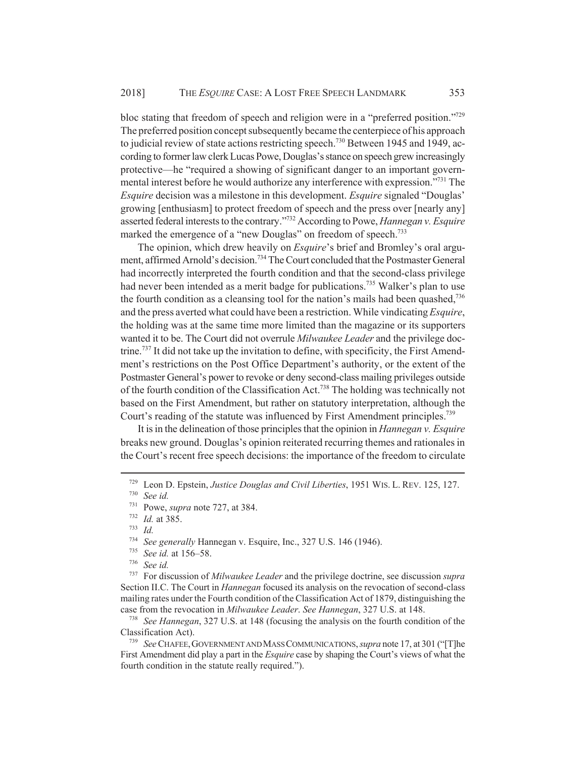bloc stating that freedom of speech and religion were in a "preferred position."729 The preferred position concept subsequently became the centerpiece of his approach to judicial review of state actions restricting speech.<sup>730</sup> Between 1945 and 1949, according to former law clerk Lucas Powe, Douglas's stance on speech grew increasingly protective—he "required a showing of significant danger to an important governmental interest before he would authorize any interference with expression."731 The *Esquire* decision was a milestone in this development. *Esquire* signaled "Douglas' growing [enthusiasm] to protect freedom of speech and the press over [nearly any] asserted federal interests to the contrary."732 According to Powe, *Hannegan v. Esquire* marked the emergence of a "new Douglas" on freedom of speech.<sup>733</sup>

The opinion, which drew heavily on *Esquire*'s brief and Bromley's oral argument, affirmed Arnold's decision.<sup>734</sup> The Court concluded that the Postmaster General had incorrectly interpreted the fourth condition and that the second-class privilege had never been intended as a merit badge for publications.<sup>735</sup> Walker's plan to use the fourth condition as a cleansing tool for the nation's mails had been quashed,736 and the press averted what could have been a restriction. While vindicating *Esquire*, the holding was at the same time more limited than the magazine or its supporters wanted it to be. The Court did not overrule *Milwaukee Leader* and the privilege doctrine.<sup>737</sup> It did not take up the invitation to define, with specificity, the First Amendment's restrictions on the Post Office Department's authority, or the extent of the Postmaster General's power to revoke or deny second-class mailing privileges outside of the fourth condition of the Classification Act.738 The holding was technically not based on the First Amendment, but rather on statutory interpretation, although the Court's reading of the statute was influenced by First Amendment principles.<sup>739</sup>

It is in the delineation of those principles that the opinion in *Hannegan v. Esquire* breaks new ground. Douglas's opinion reiterated recurring themes and rationales in the Court's recent free speech decisions: the importance of the freedom to circulate

<sup>737</sup> For discussion of *Milwaukee Leader* and the privilege doctrine, see discussion *supra* Section II.C. The Court in *Hannegan* focused its analysis on the revocation of second-class mailing rates under the Fourth condition of the Classification Act of 1879, distinguishing the case from the revocation in *Milwaukee Leader*. *See Hannegan*, 327 U.S. at 148.

<sup>738</sup> *See Hannegan*, 327 U.S. at 148 (focusing the analysis on the fourth condition of the Classification Act).

<sup>739</sup> *See* CHAFEE,GOVERNMENT AND MASS COMMUNICATIONS, *supra* note 17, at 301 ("[T]he First Amendment did play a part in the *Esquire* case by shaping the Court's views of what the fourth condition in the statute really required.").

<sup>729</sup> Leon D. Epstein, *Justice Douglas and Civil Liberties*, 1951 WIS. L. REV. 125, 127.

<sup>730</sup> *See id.*

<sup>731</sup> Powe, *supra* note 727, at 384.

<sup>732</sup> *Id.* at 385.

<sup>733</sup> *Id.*

<sup>&</sup>lt;sup>734</sup> *See generally* Hannegan v. Esquire, Inc., 327 U.S. 146 (1946).<br><sup>735</sup> *See id at 156.58* 

See id. at 156–58.

 $736$  *See id.*<br> $737$  For dis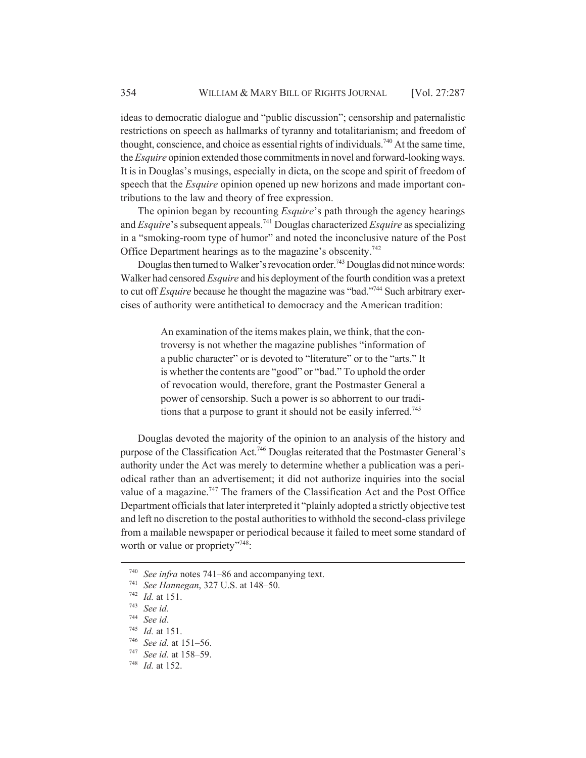ideas to democratic dialogue and "public discussion"; censorship and paternalistic restrictions on speech as hallmarks of tyranny and totalitarianism; and freedom of thought, conscience, and choice as essential rights of individuals.<sup>740</sup> At the same time, the *Esquire* opinion extended those commitments in novel and forward-looking ways. It is in Douglas's musings, especially in dicta, on the scope and spirit of freedom of speech that the *Esquire* opinion opened up new horizons and made important contributions to the law and theory of free expression.

The opinion began by recounting *Esquire*'s path through the agency hearings and *Esquire*'s subsequent appeals.741 Douglas characterized *Esquire* as specializing in a "smoking-room type of humor" and noted the inconclusive nature of the Post Office Department hearings as to the magazine's obscenity.<sup>742</sup>

Douglas then turned to Walker's revocation order.<sup>743</sup> Douglas did not mince words: Walker had censored *Esquire* and his deployment of the fourth condition was a pretext to cut off *Esquire* because he thought the magazine was "bad."<sup>744</sup> Such arbitrary exercises of authority were antithetical to democracy and the American tradition:

> An examination of the items makes plain, we think, that the controversy is not whether the magazine publishes "information of a public character" or is devoted to "literature" or to the "arts." It is whether the contents are "good" or "bad." To uphold the order of revocation would, therefore, grant the Postmaster General a power of censorship. Such a power is so abhorrent to our traditions that a purpose to grant it should not be easily inferred.<sup>745</sup>

Douglas devoted the majority of the opinion to an analysis of the history and purpose of the Classification Act.<sup>746</sup> Douglas reiterated that the Postmaster General's authority under the Act was merely to determine whether a publication was a periodical rather than an advertisement; it did not authorize inquiries into the social value of a magazine.<sup>747</sup> The framers of the Classification Act and the Post Office Department officials that later interpreted it "plainly adopted a strictly objective test and left no discretion to the postal authorities to withhold the second-class privilege from a mailable newspaper or periodical because it failed to meet some standard of worth or value or propriety"<sup>748</sup>:

<sup>740</sup> *See infra* notes 741–86 and accompanying text.

<sup>741</sup> *See Hannegan*, 327 U.S. at 148–50.

<sup>742</sup> *Id.* at 151.

<sup>743</sup> *See id.*

<sup>744</sup> *See id*.

<sup>745</sup> *Id.* at 151.

<sup>746</sup> *See id.* at 151–56.

<sup>747</sup> *See id.* at 158–59.

<sup>748</sup> *Id.* at 152.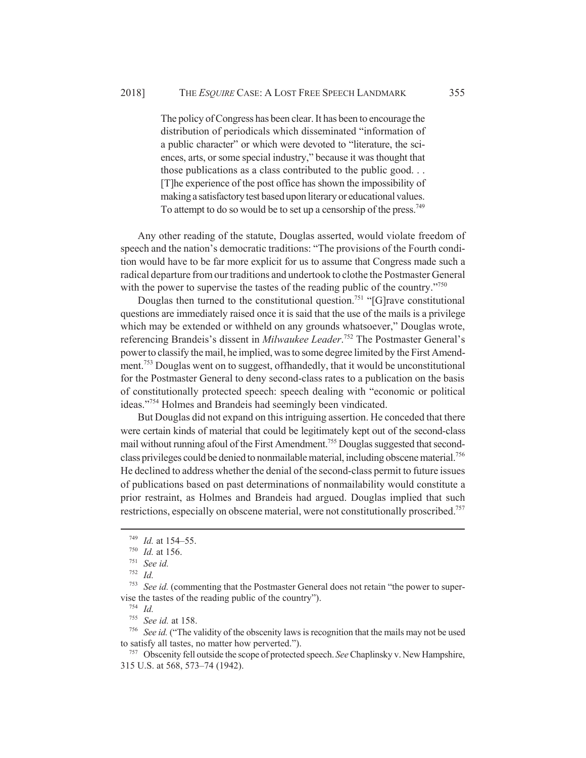The policy of Congress has been clear. It has been to encourage the distribution of periodicals which disseminated "information of a public character" or which were devoted to "literature, the sciences, arts, or some special industry," because it was thought that those publications as a class contributed to the public good. . . [T]he experience of the post office has shown the impossibility of making a satisfactory test based upon literary or educational values. To attempt to do so would be to set up a censorship of the press.<sup>749</sup>

Any other reading of the statute, Douglas asserted, would violate freedom of speech and the nation's democratic traditions: "The provisions of the Fourth condition would have to be far more explicit for us to assume that Congress made such a radical departure from our traditions and undertook to clothe the Postmaster General with the power to supervise the tastes of the reading public of the country.<sup>7750</sup>

Douglas then turned to the constitutional question.<sup>751</sup> "[G]rave constitutional questions are immediately raised once it is said that the use of the mails is a privilege which may be extended or withheld on any grounds whatsoever," Douglas wrote, referencing Brandeis's dissent in *Milwaukee Leader*. 752 The Postmaster General's power to classify the mail, he implied, was to some degree limited by the First Amendment.<sup>753</sup> Douglas went on to suggest, offhandedly, that it would be unconstitutional for the Postmaster General to deny second-class rates to a publication on the basis of constitutionally protected speech: speech dealing with "economic or political ideas."754 Holmes and Brandeis had seemingly been vindicated.

But Douglas did not expand on this intriguing assertion. He conceded that there were certain kinds of material that could be legitimately kept out of the second-class mail without running afoul of the First Amendment.<sup>755</sup> Douglas suggested that secondclass privileges could be denied to nonmailable material, including obscene material.756 He declined to address whether the denial of the second-class permit to future issues of publications based on past determinations of nonmailability would constitute a prior restraint, as Holmes and Brandeis had argued. Douglas implied that such restrictions, especially on obscene material, were not constitutionally proscribed.<sup>757</sup>

<sup>752</sup> *Id.*

<sup>749</sup> *Id.* at 154–55.

<sup>750</sup> *Id.* at 156.

<sup>751</sup> *See id.*

<sup>753</sup> *See id.* (commenting that the Postmaster General does not retain "the power to supervise the tastes of the reading public of the country").

<sup>755</sup> *See id.* at 158.

<sup>756</sup> *See id.* ("The validity of the obscenity laws is recognition that the mails may not be used to satisfy all tastes, no matter how perverted.").

<sup>757</sup> Obscenity fell outside the scope of protected speech. *See* Chaplinsky v. New Hampshire, 315 U.S. at 568, 573–74 (1942).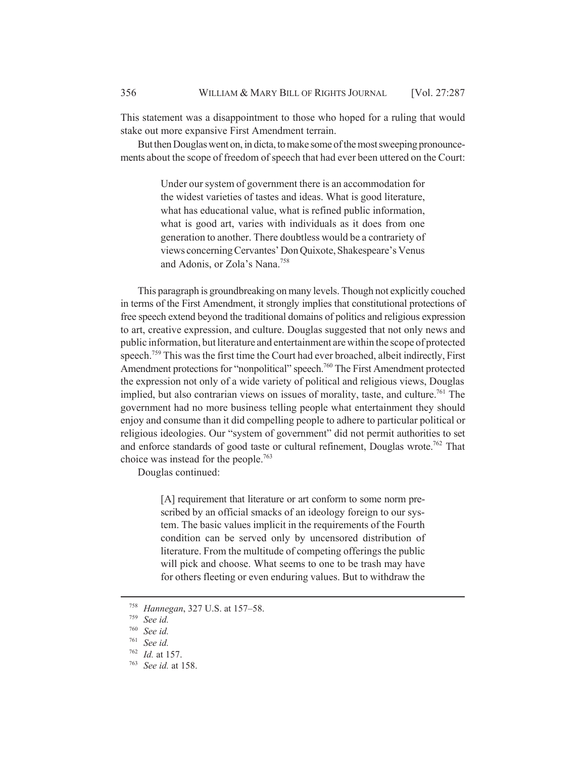This statement was a disappointment to those who hoped for a ruling that would stake out more expansive First Amendment terrain.

But then Douglas went on, in dicta, to make some of the most sweeping pronouncements about the scope of freedom of speech that had ever been uttered on the Court:

> Under our system of government there is an accommodation for the widest varieties of tastes and ideas. What is good literature, what has educational value, what is refined public information, what is good art, varies with individuals as it does from one generation to another. There doubtless would be a contrariety of views concerning Cervantes' Don Quixote, Shakespeare's Venus and Adonis, or Zola's Nana.758

This paragraph is groundbreaking on many levels. Though not explicitly couched in terms of the First Amendment, it strongly implies that constitutional protections of free speech extend beyond the traditional domains of politics and religious expression to art, creative expression, and culture. Douglas suggested that not only news and public information, but literature and entertainment are within the scope of protected speech.<sup>759</sup> This was the first time the Court had ever broached, albeit indirectly, First Amendment protections for "nonpolitical" speech.<sup>760</sup> The First Amendment protected the expression not only of a wide variety of political and religious views, Douglas implied, but also contrarian views on issues of morality, taste, and culture.<sup>761</sup> The government had no more business telling people what entertainment they should enjoy and consume than it did compelling people to adhere to particular political or religious ideologies. Our "system of government" did not permit authorities to set and enforce standards of good taste or cultural refinement, Douglas wrote.<sup>762</sup> That choice was instead for the people.<sup>763</sup>

Douglas continued:

[A] requirement that literature or art conform to some norm prescribed by an official smacks of an ideology foreign to our system. The basic values implicit in the requirements of the Fourth condition can be served only by uncensored distribution of literature. From the multitude of competing offerings the public will pick and choose. What seems to one to be trash may have for others fleeting or even enduring values. But to withdraw the

<sup>758</sup> *Hannegan*, 327 U.S. at 157–58.

<sup>759</sup> *See id.*

<sup>760</sup> *See id.*

<sup>761</sup> *See id.*

<sup>762</sup> *Id.* at 157.

<sup>763</sup> *See id.* at 158.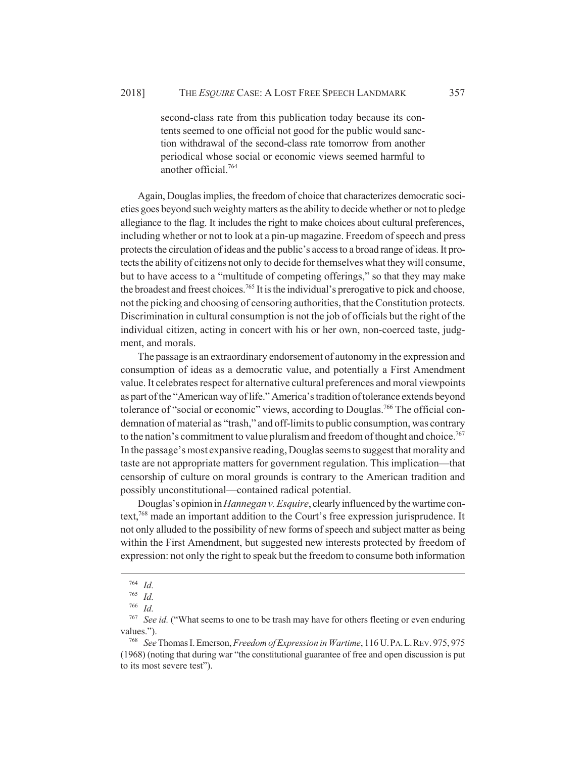second-class rate from this publication today because its contents seemed to one official not good for the public would sanction withdrawal of the second-class rate tomorrow from another periodical whose social or economic views seemed harmful to another official.764

Again, Douglas implies, the freedom of choice that characterizes democratic societies goes beyond such weighty matters as the ability to decide whether or not to pledge allegiance to the flag. It includes the right to make choices about cultural preferences, including whether or not to look at a pin-up magazine. Freedom of speech and press protects the circulation of ideas and the public's access to a broad range of ideas. It protects the ability of citizens not only to decide for themselves what they will consume, but to have access to a "multitude of competing offerings," so that they may make the broadest and freest choices.<sup>765</sup> It is the individual's prerogative to pick and choose, not the picking and choosing of censoring authorities, that the Constitution protects. Discrimination in cultural consumption is not the job of officials but the right of the individual citizen, acting in concert with his or her own, non-coerced taste, judgment, and morals.

The passage is an extraordinary endorsement of autonomy in the expression and consumption of ideas as a democratic value, and potentially a First Amendment value. It celebrates respect for alternative cultural preferences and moral viewpoints as part of the "American way of life." America's tradition of tolerance extends beyond tolerance of "social or economic" views, according to Douglas.<sup>766</sup> The official condemnation of material as "trash," and off-limits to public consumption, was contrary to the nation's commitment to value pluralism and freedom of thought and choice.<sup>767</sup> In the passage's most expansive reading, Douglas seems to suggest that morality and taste are not appropriate matters for government regulation. This implication—that censorship of culture on moral grounds is contrary to the American tradition and possibly unconstitutional—contained radical potential.

Douglas's opinion in *Hannegan v. Esquire*, clearly influenced by the wartime context,768 made an important addition to the Court's free expression jurisprudence. It not only alluded to the possibility of new forms of speech and subject matter as being within the First Amendment, but suggested new interests protected by freedom of expression: not only the right to speak but the freedom to consume both information

<sup>764</sup> *Id.*

<sup>765</sup> *Id.*

<sup>766</sup> *Id.*

<sup>767</sup> *See id.* ("What seems to one to be trash may have for others fleeting or even enduring values.").

<sup>768</sup> *See* Thomas I. Emerson, *Freedom of Expression in Wartime*, 116 U.PA.L.REV. 975, 975 (1968) (noting that during war "the constitutional guarantee of free and open discussion is put to its most severe test").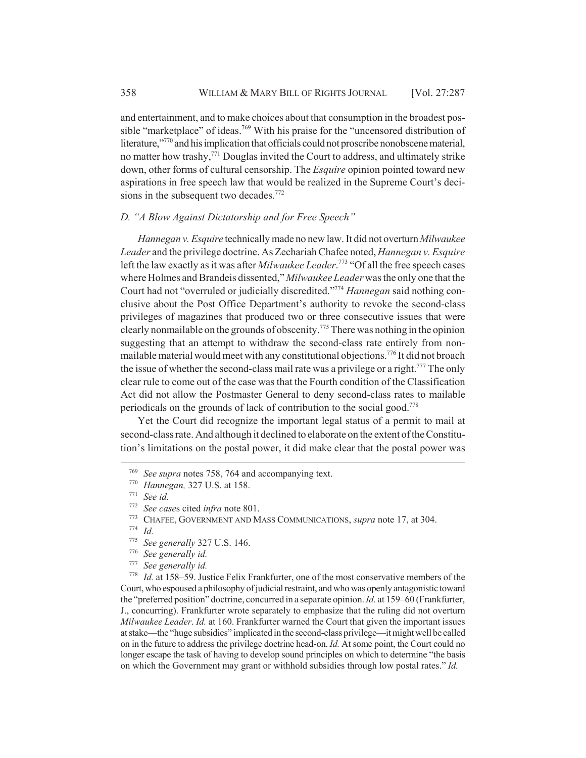and entertainment, and to make choices about that consumption in the broadest possible "marketplace" of ideas.<sup>769</sup> With his praise for the "uncensored distribution of literature,"770 and his implication that officials could not proscribe nonobscene material, no matter how trashy,<sup>771</sup> Douglas invited the Court to address, and ultimately strike down, other forms of cultural censorship. The *Esquire* opinion pointed toward new aspirations in free speech law that would be realized in the Supreme Court's decisions in the subsequent two decades.<sup>772</sup>

## *D. "A Blow Against Dictatorship and for Free Speech"*

*Hannegan v. Esquire* technically made no new law. It did not overturn *Milwaukee Leader* and the privilege doctrine. As Zechariah Chafee noted, *Hannegan v. Esquire* left the law exactly as it was after *Milwaukee Leader*. 773 "Of all the free speech cases where Holmes and Brandeis dissented," *Milwaukee Leader* was the only one that the Court had not "overruled or judicially discredited."774 *Hannegan* said nothing conclusive about the Post Office Department's authority to revoke the second-class privileges of magazines that produced two or three consecutive issues that were clearly nonmailable on the grounds of obscenity.775 There was nothing in the opinion suggesting that an attempt to withdraw the second-class rate entirely from nonmailable material would meet with any constitutional objections.776 It did not broach the issue of whether the second-class mail rate was a privilege or a right.<sup>777</sup> The only clear rule to come out of the case was that the Fourth condition of the Classification Act did not allow the Postmaster General to deny second-class rates to mailable periodicals on the grounds of lack of contribution to the social good.778

Yet the Court did recognize the important legal status of a permit to mail at second-class rate. And although it declined to elaborate on the extent of the Constitution's limitations on the postal power, it did make clear that the postal power was

<sup>778</sup> *Id.* at 158–59. Justice Felix Frankfurter, one of the most conservative members of the Court, who espoused a philosophy of judicial restraint, and who was openly antagonistic toward the "preferred position" doctrine, concurred in a separate opinion. *Id.* at 159–60 (Frankfurter, J., concurring). Frankfurter wrote separately to emphasize that the ruling did not overturn *Milwaukee Leader*. *Id.* at 160. Frankfurter warned the Court that given the important issues at stake—the "huge subsidies" implicated in the second-class privilege—it might well be called on in the future to address the privilege doctrine head-on. *Id.* At some point, the Court could no longer escape the task of having to develop sound principles on which to determine "the basis on which the Government may grant or withhold subsidies through low postal rates." *Id.*

<sup>769</sup> *See supra* notes 758, 764 and accompanying text.

<sup>770</sup> *Hannegan,* 327 U.S. at 158.

<sup>771</sup> *See id.*

<sup>772</sup> *See case*s cited *infra* note 801.

<sup>773</sup> CHAFEE, GOVERNMENT AND MASS COMMUNICATIONS, *supra* note 17, at 304.

 $\frac{774}{775}$  *Id.* 

<sup>775</sup> *See generally* 327 U.S. 146.

<sup>776</sup> *See generally id.*

See generally id.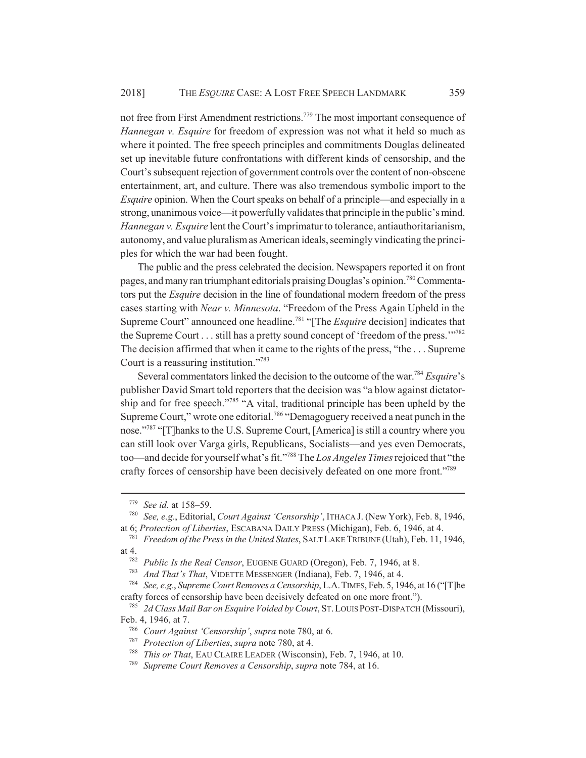not free from First Amendment restrictions.779 The most important consequence of *Hannegan v. Esquire* for freedom of expression was not what it held so much as where it pointed. The free speech principles and commitments Douglas delineated set up inevitable future confrontations with different kinds of censorship, and the Court's subsequent rejection of government controls over the content of non-obscene entertainment, art, and culture. There was also tremendous symbolic import to the *Esquire* opinion. When the Court speaks on behalf of a principle—and especially in a strong, unanimous voice—it powerfully validates that principle in the public's mind. *Hannegan v. Esquire* lent the Court's imprimatur to tolerance, antiauthoritarianism, autonomy, and value pluralism as American ideals, seemingly vindicating the principles for which the war had been fought.

The public and the press celebrated the decision. Newspapers reported it on front pages, and many ran triumphant editorials praising Douglas's opinion.<sup>780</sup> Commentators put the *Esquire* decision in the line of foundational modern freedom of the press cases starting with *Near v. Minnesota*. "Freedom of the Press Again Upheld in the Supreme Court" announced one headline.<sup>781</sup> "[The *Esquire* decision] indicates that the Supreme Court . . . still has a pretty sound concept of 'freedom of the press.'"<sup>782</sup> The decision affirmed that when it came to the rights of the press, "the . . . Supreme Court is a reassuring institution."783

Several commentators linked the decision to the outcome of the war.784 *Esquire*'s publisher David Smart told reporters that the decision was "a blow against dictatorship and for free speech."785 "A vital, traditional principle has been upheld by the Supreme Court," wrote one editorial.<sup>786</sup> "Demagoguery received a neat punch in the nose."<sup>787</sup> "[T]hanks to the U.S. Supreme Court, [America] is still a country where you can still look over Varga girls, Republicans, Socialists—and yes even Democrats, too—and decide for yourself what's fit."788 The *Los Angeles Times* rejoiced that "the crafty forces of censorship have been decisively defeated on one more front."789

<sup>779</sup> *See id.* at 158–59.

<sup>780</sup> *See, e.g.*, Editorial, *Court Against 'Censorship'*, ITHACA J. (New York), Feb. 8, 1946, at 6; *Protection of Liberties*, ESCABANA DAILY PRESS (Michigan), Feb. 6, 1946, at 4.

<sup>781</sup> *Freedom of the Press in the United States*, SALT LAKE TRIBUNE (Utah), Feb. 11, 1946, at 4.

<sup>782</sup> *Public Is the Real Censor*, EUGENE GUARD (Oregon), Feb. 7, 1946, at 8.

<sup>783</sup> *And That's That*, VIDETTE MESSENGER (Indiana), Feb. 7, 1946, at 4.

<sup>784</sup> *See, e.g.*, *Supreme Court Removes a Censorship*, L.A.TIMES, Feb. 5, 1946, at 16 ("[T]he crafty forces of censorship have been decisively defeated on one more front.").

<sup>785</sup> *2d Class Mail Bar on Esquire Voided by Court*, ST.LOUIS POST-DISPATCH (Missouri), Feb. 4, 1946, at 7.

<sup>786</sup> *Court Against 'Censorship'*, *supra* note 780, at 6.

<sup>787</sup> *Protection of Liberties*, *supra* note 780, at 4.

<sup>788</sup> *This or That*, EAU CLAIRE LEADER (Wisconsin), Feb. 7, 1946, at 10.

<sup>789</sup> *Supreme Court Removes a Censorship*, *supra* note 784, at 16.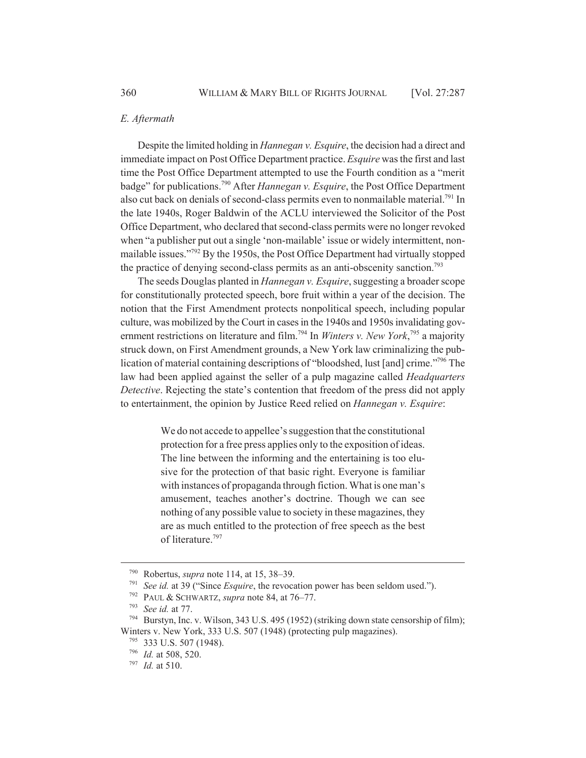## *E. Aftermath*

Despite the limited holding in *Hannegan v. Esquire*, the decision had a direct and immediate impact on Post Office Department practice. *Esquire* was the first and last time the Post Office Department attempted to use the Fourth condition as a "merit badge" for publications.790 After *Hannegan v. Esquire*, the Post Office Department also cut back on denials of second-class permits even to nonmailable material.<sup>791</sup> In the late 1940s, Roger Baldwin of the ACLU interviewed the Solicitor of the Post Office Department, who declared that second-class permits were no longer revoked when "a publisher put out a single 'non-mailable' issue or widely intermittent, nonmailable issues."<sup>792</sup> By the 1950s, the Post Office Department had virtually stopped the practice of denying second-class permits as an anti-obscenity sanction.<sup>793</sup>

The seeds Douglas planted in *Hannegan v. Esquire*, suggesting a broader scope for constitutionally protected speech, bore fruit within a year of the decision. The notion that the First Amendment protects nonpolitical speech, including popular culture, was mobilized by the Court in cases in the 1940s and 1950s invalidating government restrictions on literature and film.<sup>794</sup> In *Winters v. New York*,<sup>795</sup> a majority struck down, on First Amendment grounds, a New York law criminalizing the publication of material containing descriptions of "bloodshed, lust [and] crime."796 The law had been applied against the seller of a pulp magazine called *Headquarters Detective*. Rejecting the state's contention that freedom of the press did not apply to entertainment, the opinion by Justice Reed relied on *Hannegan v. Esquire*:

> We do not accede to appellee's suggestion that the constitutional protection for a free press applies only to the exposition of ideas. The line between the informing and the entertaining is too elusive for the protection of that basic right. Everyone is familiar with instances of propaganda through fiction. What is one man's amusement, teaches another's doctrine. Though we can see nothing of any possible value to society in these magazines, they are as much entitled to the protection of free speech as the best of literature.<sup>797</sup>

<sup>790</sup> Robertus, *supra* note 114, at 15, 38–39.

*See id.* at 39 ("Since *Esquire*, the revocation power has been seldom used.").

<sup>&</sup>lt;sup>792</sup> PAUL & SCHWARTZ, *supra* note 84, at 76–77.<br><sup>793</sup> See id at 77

 $^{793}$  *See id.* at 77.<br> $^{794}$  **Burstyn** Inc.

Burstyn, Inc. v. Wilson, 343 U.S. 495 (1952) (striking down state censorship of film); Winters v. New York, 333 U.S. 507 (1948) (protecting pulp magazines).

<sup>795</sup> 333 U.S. 507 (1948).

<sup>796</sup> *Id.* at 508, 520.

<sup>797</sup> *Id.* at 510.